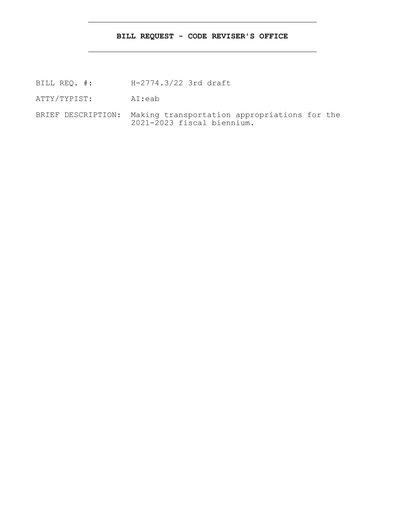# **BILL REQUEST - CODE REVISER'S OFFICE**

- BILL REQ. #: H-2774.3/22 3rd draft
- ATTY/TYPIST: AI:eab
- BRIEF DESCRIPTION: Making transportation appropriations for the 2021-2023 fiscal biennium.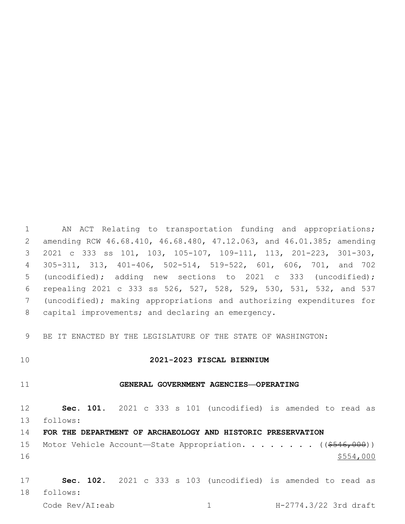AN ACT Relating to transportation funding and appropriations; amending RCW 46.68.410, 46.68.480, 47.12.063, and 46.01.385; amending 2021 c 333 ss 101, 103, 105-107, 109-111, 113, 201-223, 301-303, 305-311, 313, 401-406, 502-514, 519-522, 601, 606, 701, and 702 (uncodified); adding new sections to 2021 c 333 (uncodified); repealing 2021 c 333 ss 526, 527, 528, 529, 530, 531, 532, and 537 (uncodified); making appropriations and authorizing expenditures for 8 capital improvements; and declaring an emergency.

BE IT ENACTED BY THE LEGISLATURE OF THE STATE OF WASHINGTON:

## **2021-2023 FISCAL BIENNIUM**

## **GENERAL GOVERNMENT AGENCIES—OPERATING**

 **Sec. 101.** 2021 c 333 s 101 (uncodified) is amended to read as follows: 13

**FOR THE DEPARTMENT OF ARCHAEOLOGY AND HISTORIC PRESERVATION**

15 Motor Vehicle Account-State Appropriation. . . . . . . ((\$546,000)) \$554,000

 **Sec. 102.** 2021 c 333 s 103 (uncodified) is amended to read as follows: 18

Code Rev/AI:eab 1 H-2774.3/22 3rd draft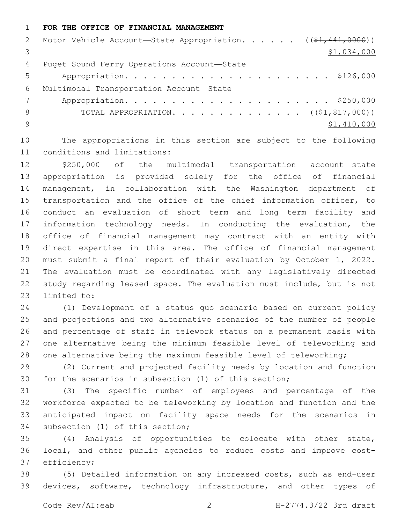#### **FOR THE OFFICE OF FINANCIAL MANAGEMENT**

|     | 2 Motor Vehicle Account-State Appropriation. ((\$1,441,0000)) |
|-----|---------------------------------------------------------------|
|     | \$1,034,000                                                   |
| 4   | Puget Sound Ferry Operations Account-State                    |
| 5   |                                                               |
| 6   | Multimodal Transportation Account-State                       |
|     |                                                               |
| 8   | TOTAL APPROPRIATION. $($ $(*1, 817, 000))$                    |
| - 9 | \$1,410,000                                                   |
|     |                                                               |

 The appropriations in this section are subject to the following 11 conditions and limitations:

 \$250,000 of the multimodal transportation account—state appropriation is provided solely for the office of financial management, in collaboration with the Washington department of transportation and the office of the chief information officer, to conduct an evaluation of short term and long term facility and information technology needs. In conducting the evaluation, the office of financial management may contract with an entity with direct expertise in this area. The office of financial management must submit a final report of their evaluation by October 1, 2022. The evaluation must be coordinated with any legislatively directed study regarding leased space. The evaluation must include, but is not 23 limited to:

 (1) Development of a status quo scenario based on current policy and projections and two alternative scenarios of the number of people and percentage of staff in telework status on a permanent basis with one alternative being the minimum feasible level of teleworking and one alternative being the maximum feasible level of teleworking;

 (2) Current and projected facility needs by location and function for the scenarios in subsection (1) of this section;

 (3) The specific number of employees and percentage of the workforce expected to be teleworking by location and function and the anticipated impact on facility space needs for the scenarios in 34 subsection (1) of this section;

 (4) Analysis of opportunities to colocate with other state, local, and other public agencies to reduce costs and improve cost-37 efficiency;

 (5) Detailed information on any increased costs, such as end-user devices, software, technology infrastructure, and other types of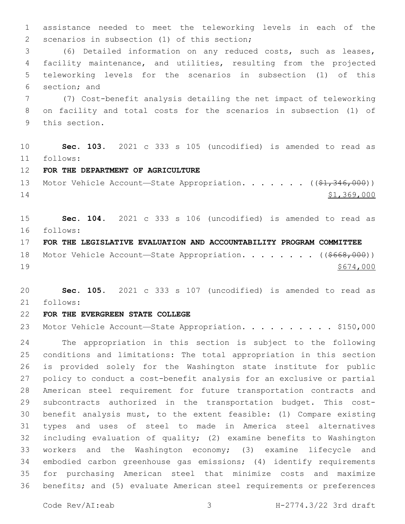assistance needed to meet the teleworking levels in each of the 2 scenarios in subsection (1) of this section;

 (6) Detailed information on any reduced costs, such as leases, facility maintenance, and utilities, resulting from the projected teleworking levels for the scenarios in subsection (1) of this 6 section; and

 (7) Cost-benefit analysis detailing the net impact of teleworking on facility and total costs for the scenarios in subsection (1) of 9 this section.

 **Sec. 103.** 2021 c 333 s 105 (uncodified) is amended to read as follows: 11

**FOR THE DEPARTMENT OF AGRICULTURE**

13 Motor Vehicle Account—State Appropriation. . . . . . ((\$1,346,000)) \$1,369,000

 **Sec. 104.** 2021 c 333 s 106 (uncodified) is amended to read as follows: 16

**FOR THE LEGISLATIVE EVALUATION AND ACCOUNTABILITY PROGRAM COMMITTEE**

18 Motor Vehicle Account—State Appropriation. . . . . . . ((\$668,000)) \$674,000

 **Sec. 105.** 2021 c 333 s 107 (uncodified) is amended to read as follows: 21

# **FOR THE EVERGREEN STATE COLLEGE**

23 Motor Vehicle Account-State Appropriation. . . . . . . . . \$150,000

 The appropriation in this section is subject to the following conditions and limitations: The total appropriation in this section is provided solely for the Washington state institute for public policy to conduct a cost-benefit analysis for an exclusive or partial American steel requirement for future transportation contracts and subcontracts authorized in the transportation budget. This cost- benefit analysis must, to the extent feasible: (1) Compare existing types and uses of steel to made in America steel alternatives including evaluation of quality; (2) examine benefits to Washington workers and the Washington economy; (3) examine lifecycle and embodied carbon greenhouse gas emissions; (4) identify requirements for purchasing American steel that minimize costs and maximize benefits; and (5) evaluate American steel requirements or preferences

Code Rev/AI:eab 3 H-2774.3/22 3rd draft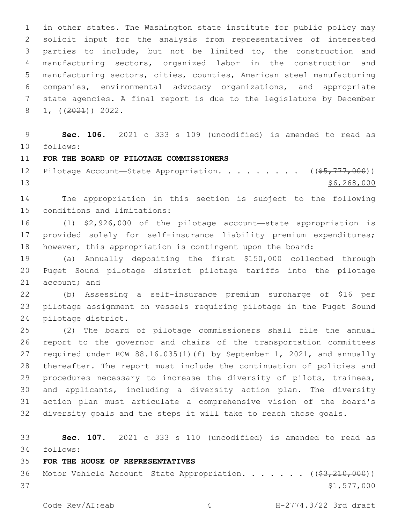in other states. The Washington state institute for public policy may solicit input for the analysis from representatives of interested parties to include, but not be limited to, the construction and manufacturing sectors, organized labor in the construction and manufacturing sectors, cities, counties, American steel manufacturing companies, environmental advocacy organizations, and appropriate state agencies. A final report is due to the legislature by December  $8 \quad 1, \quad \left( \frac{2021}{2} \right) \quad \frac{2022}{2}.$ 

 **Sec. 106.** 2021 c 333 s 109 (uncodified) is amended to read as follows: 10

## **FOR THE BOARD OF PILOTAGE COMMISSIONERS**

12 Pilotage Account—State Appropriation. . . . . . . . ((\$5,777,000)) \$6,268,000

 The appropriation in this section is subject to the following 15 conditions and limitations:

 (1) \$2,926,000 of the pilotage account—state appropriation is provided solely for self-insurance liability premium expenditures; however, this appropriation is contingent upon the board:

 (a) Annually depositing the first \$150,000 collected through Puget Sound pilotage district pilotage tariffs into the pilotage 21 account; and

 (b) Assessing a self-insurance premium surcharge of \$16 per pilotage assignment on vessels requiring pilotage in the Puget Sound 24 pilotage district.

 (2) The board of pilotage commissioners shall file the annual report to the governor and chairs of the transportation committees required under RCW 88.16.035(1)(f) by September 1, 2021, and annually thereafter. The report must include the continuation of policies and procedures necessary to increase the diversity of pilots, trainees, and applicants, including a diversity action plan. The diversity action plan must articulate a comprehensive vision of the board's diversity goals and the steps it will take to reach those goals.

 **Sec. 107.** 2021 c 333 s 110 (uncodified) is amended to read as follows: 34

### **FOR THE HOUSE OF REPRESENTATIVES**

36 Motor Vehicle Account—State Appropriation. . . . . . ((\$3,210,000))  $$1,577,000$ 

Code Rev/AI:eab 4 H-2774.3/22 3rd draft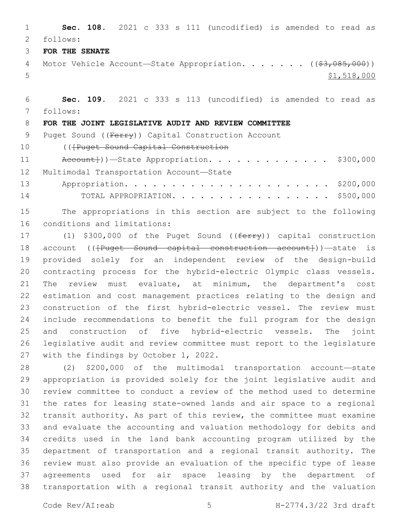**Sec. 108.** 2021 c 333 s 111 (uncodified) is amended to read as follows: 2

**FOR THE SENATE**

4 Motor Vehicle Account—State Appropriation. . . . . . ((\$3,085,000)) \$1,518,000

 **Sec. 109.** 2021 c 333 s 113 (uncodified) is amended to read as follows: 7

# **FOR THE JOINT LEGISLATIVE AUDIT AND REVIEW COMMITTEE**

9 Puget Sound ((Ferry)) Capital Construction Account

(([Puget Sound Capital Construction

11 Account}))—State Appropriation. . . . . . . . . . . . \$300,000 12 Multimodal Transportation Account-State

 Appropriation. . . . . . . . . . . . . . . . . . . . . . \$200,000 TOTAL APPROPRIATION. . . . . . . . . . . . . . . . . \$500,000

 The appropriations in this section are subject to the following 16 conditions and limitations:

17 (1) \$300,000 of the Puget Sound ((ferry)) capital construction 18 account ((<del>[Puget Sound capital construction account]</del>))—state is provided solely for an independent review of the design-build contracting process for the hybrid-electric Olympic class vessels. The review must evaluate, at minimum, the department's cost estimation and cost management practices relating to the design and construction of the first hybrid-electric vessel. The review must include recommendations to benefit the full program for the design and construction of five hybrid-electric vessels. The joint legislative audit and review committee must report to the legislature 27 with the findings by October 1, 2022.

 (2) \$200,000 of the multimodal transportation account—state appropriation is provided solely for the joint legislative audit and review committee to conduct a review of the method used to determine the rates for leasing state-owned lands and air space to a regional transit authority. As part of this review, the committee must examine and evaluate the accounting and valuation methodology for debits and credits used in the land bank accounting program utilized by the department of transportation and a regional transit authority. The review must also provide an evaluation of the specific type of lease agreements used for air space leasing by the department of transportation with a regional transit authority and the valuation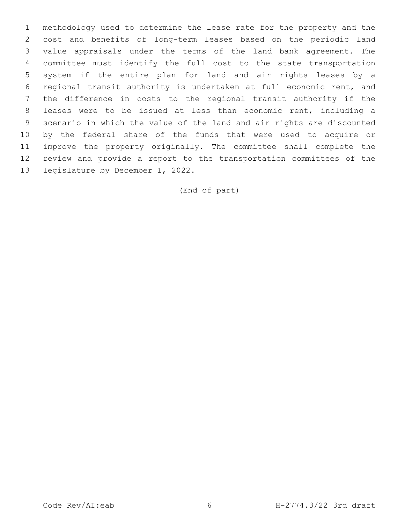methodology used to determine the lease rate for the property and the cost and benefits of long-term leases based on the periodic land value appraisals under the terms of the land bank agreement. The committee must identify the full cost to the state transportation system if the entire plan for land and air rights leases by a regional transit authority is undertaken at full economic rent, and the difference in costs to the regional transit authority if the leases were to be issued at less than economic rent, including a scenario in which the value of the land and air rights are discounted by the federal share of the funds that were used to acquire or improve the property originally. The committee shall complete the review and provide a report to the transportation committees of the 13 legislature by December 1, 2022.

(End of part)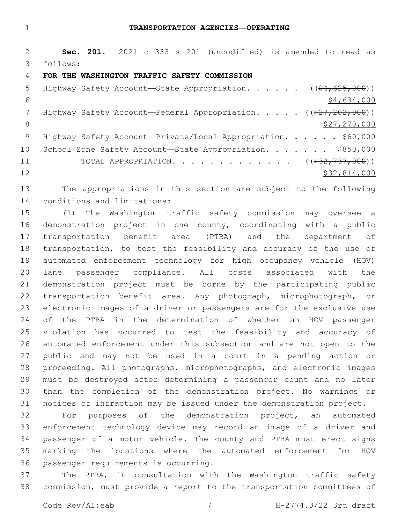**Sec. 201.** 2021 c 333 s 201 (uncodified) is amended to read as follows: 3

## **FOR THE WASHINGTON TRAFFIC SAFETY COMMISSION**

| 5               | Highway Safety Account—State Appropriation. ( $(\frac{64}{625}, \frac{625}{600})$ ) |
|-----------------|-------------------------------------------------------------------------------------|
| 6               | \$4,634,000                                                                         |
|                 | Highway Safety Account—Federal Appropriation. $($ $($ $27, 202, 000)$ )             |
| 8               | \$27,270,000                                                                        |
| - 9             | Highway Safety Account-Private/Local Appropriation. \$60,000                        |
| 10 <sub>o</sub> | School Zone Safety Account-State Appropriation. \$850,000                           |
| 11              | TOTAL APPROPRIATION. ( $(\frac{232}{737}, 000)$ )                                   |
| 12              | \$32,814,000                                                                        |

 The appropriations in this section are subject to the following 14 conditions and limitations:

 (1) The Washington traffic safety commission may oversee a demonstration project in one county, coordinating with a public transportation benefit area (PTBA) and the department of transportation, to test the feasibility and accuracy of the use of automated enforcement technology for high occupancy vehicle (HOV) lane passenger compliance. All costs associated with the demonstration project must be borne by the participating public transportation benefit area. Any photograph, microphotograph, or electronic images of a driver or passengers are for the exclusive use of the PTBA in the determination of whether an HOV passenger violation has occurred to test the feasibility and accuracy of automated enforcement under this subsection and are not open to the public and may not be used in a court in a pending action or proceeding. All photographs, microphotographs, and electronic images must be destroyed after determining a passenger count and no later than the completion of the demonstration project. No warnings or notices of infraction may be issued under the demonstration project.

 For purposes of the demonstration project, an automated enforcement technology device may record an image of a driver and passenger of a motor vehicle. The county and PTBA must erect signs marking the locations where the automated enforcement for HOV 36 passenger requirements is occurring.

 The PTBA, in consultation with the Washington traffic safety commission, must provide a report to the transportation committees of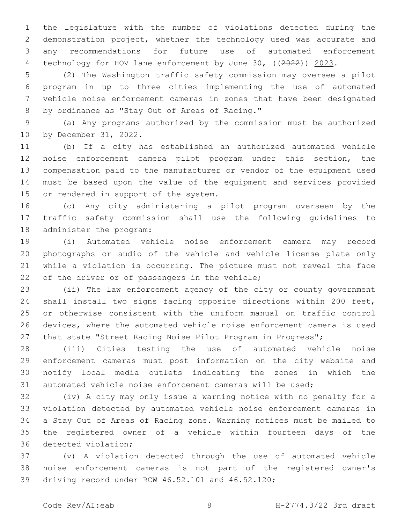the legislature with the number of violations detected during the demonstration project, whether the technology used was accurate and any recommendations for future use of automated enforcement 4 technology for HOV lane enforcement by June 30, ((2022)) 2023.

 (2) The Washington traffic safety commission may oversee a pilot program in up to three cities implementing the use of automated vehicle noise enforcement cameras in zones that have been designated 8 by ordinance as "Stay Out of Areas of Racing."

 (a) Any programs authorized by the commission must be authorized 10 by December 31, 2022.

 (b) If a city has established an authorized automated vehicle noise enforcement camera pilot program under this section, the compensation paid to the manufacturer or vendor of the equipment used must be based upon the value of the equipment and services provided 15 or rendered in support of the system.

 (c) Any city administering a pilot program overseen by the traffic safety commission shall use the following guidelines to 18 administer the program:

 (i) Automated vehicle noise enforcement camera may record photographs or audio of the vehicle and vehicle license plate only while a violation is occurring. The picture must not reveal the face 22 of the driver or of passengers in the vehicle;

 (ii) The law enforcement agency of the city or county government shall install two signs facing opposite directions within 200 feet, or otherwise consistent with the uniform manual on traffic control devices, where the automated vehicle noise enforcement camera is used that state "Street Racing Noise Pilot Program in Progress";

 (iii) Cities testing the use of automated vehicle noise enforcement cameras must post information on the city website and notify local media outlets indicating the zones in which the automated vehicle noise enforcement cameras will be used;

 (iv) A city may only issue a warning notice with no penalty for a violation detected by automated vehicle noise enforcement cameras in a Stay Out of Areas of Racing zone. Warning notices must be mailed to the registered owner of a vehicle within fourteen days of the 36 detected violation;

 (v) A violation detected through the use of automated vehicle noise enforcement cameras is not part of the registered owner's 39 driving record under RCW 46.52.101 and 46.52.120;

Code Rev/AI:eab 8 H-2774.3/22 3rd draft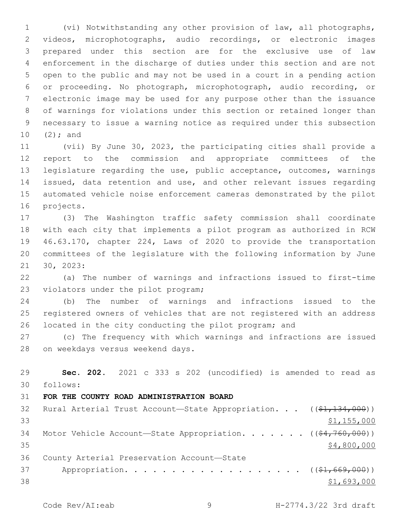(vi) Notwithstanding any other provision of law, all photographs, videos, microphotographs, audio recordings, or electronic images prepared under this section are for the exclusive use of law enforcement in the discharge of duties under this section and are not open to the public and may not be used in a court in a pending action or proceeding. No photograph, microphotograph, audio recording, or electronic image may be used for any purpose other than the issuance of warnings for violations under this section or retained longer than necessary to issue a warning notice as required under this subsection  $(2)$ ; and

 (vii) By June 30, 2023, the participating cities shall provide a report to the commission and appropriate committees of the legislature regarding the use, public acceptance, outcomes, warnings issued, data retention and use, and other relevant issues regarding automated vehicle noise enforcement cameras demonstrated by the pilot 16 projects.

 (3) The Washington traffic safety commission shall coordinate with each city that implements a pilot program as authorized in RCW 46.63.170, chapter 224, Laws of 2020 to provide the transportation committees of the legislature with the following information by June 21 30, 2023:

 (a) The number of warnings and infractions issued to first-time 23 violators under the pilot program;

 (b) The number of warnings and infractions issued to the registered owners of vehicles that are not registered with an address located in the city conducting the pilot program; and

 (c) The frequency with which warnings and infractions are issued 28 on weekdays versus weekend days.

| 29 | Sec. 202. 2021 c 333 s 202 (uncodified) is amended to read as                           |
|----|-----------------------------------------------------------------------------------------|
| 30 | follows:                                                                                |
| 31 | FOR THE COUNTY ROAD ADMINISTRATION BOARD                                                |
| 32 | Rural Arterial Trust Account-State Appropriation. $((\frac{21}{134}, \frac{134}{100}))$ |
| 33 | \$1,155,000                                                                             |
| 34 | Motor Vehicle Account-State Appropriation. ((\$4,760,000))                              |
| 35 | \$4,800,000                                                                             |
| 36 | County Arterial Preservation Account-State                                              |
| 37 | Appropriation. ( $(\frac{1}{21}, 669, 000)$ )                                           |
| 38 | \$1,693,000                                                                             |

Code Rev/AI:eab 9 H-2774.3/22 3rd draft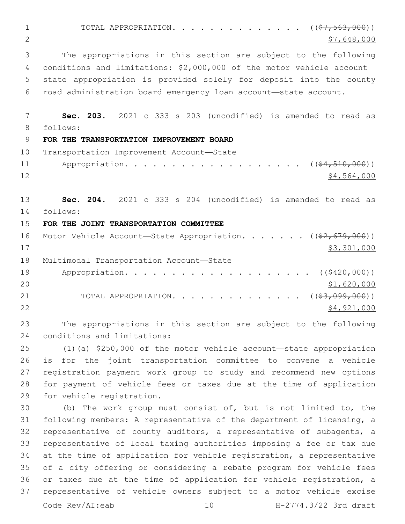1 TOTAL APPROPRIATION. . . . . . . . . . . . . ((<del>\$7,563,000</del>))  $\frac{1}{2}$   $\frac{1}{2}$   $\frac{1}{648,000}$  The appropriations in this section are subject to the following conditions and limitations: \$2,000,000 of the motor vehicle account— state appropriation is provided solely for deposit into the county road administration board emergency loan account—state account. **Sec. 203.** 2021 c 333 s 203 (uncodified) is amended to read as follows: 8 **FOR THE TRANSPORTATION IMPROVEMENT BOARD** 10 Transportation Improvement Account-State 11 Appropriation. . . . . . . . . . . . . . . . . (  $(\frac{24}{510},000)$  ) \$4,564,000 **Sec. 204.** 2021 c 333 s 204 (uncodified) is amended to read as follows: 14 **FOR THE JOINT TRANSPORTATION COMMITTEE** 16 Motor Vehicle Account—State Appropriation. . . . . . ((\$2,679,000)) \$3,301,000 18 Multimodal Transportation Account-State 19 Appropriation. . . . . . . . . . . . . . . . . . ((\$420,000)) \$1,620,000 21 TOTAL APPROPRIATION. . . . . . . . . . . . . ((<del>\$3,099,000</del>)) \$4,921,000 The appropriations in this section are subject to the following 24 conditions and limitations: (1)(a) \$250,000 of the motor vehicle account—state appropriation is for the joint transportation committee to convene a vehicle registration payment work group to study and recommend new options for payment of vehicle fees or taxes due at the time of application 29 for vehicle registration. (b) The work group must consist of, but is not limited to, the following members: A representative of the department of licensing, a representative of county auditors, a representative of subagents, a representative of local taxing authorities imposing a fee or tax due at the time of application for vehicle registration, a representative of a city offering or considering a rebate program for vehicle fees or taxes due at the time of application for vehicle registration, a

 representative of vehicle owners subject to a motor vehicle excise Code Rev/AI:eab 10 H-2774.3/22 3rd draft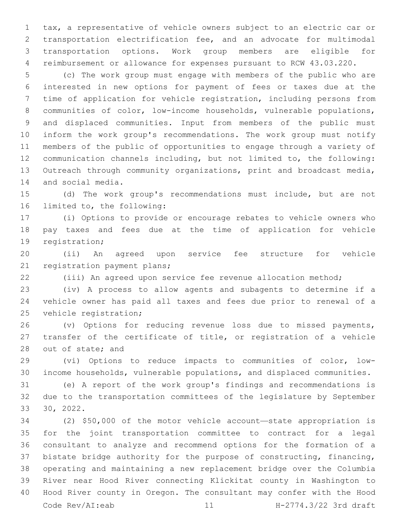tax, a representative of vehicle owners subject to an electric car or transportation electrification fee, and an advocate for multimodal transportation options. Work group members are eligible for reimbursement or allowance for expenses pursuant to RCW 43.03.220.

 (c) The work group must engage with members of the public who are interested in new options for payment of fees or taxes due at the time of application for vehicle registration, including persons from communities of color, low-income households, vulnerable populations, and displaced communities. Input from members of the public must inform the work group's recommendations. The work group must notify members of the public of opportunities to engage through a variety of communication channels including, but not limited to, the following: Outreach through community organizations, print and broadcast media, 14 and social media.

 (d) The work group's recommendations must include, but are not 16 limited to, the following:

 (i) Options to provide or encourage rebates to vehicle owners who pay taxes and fees due at the time of application for vehicle 19 registration;

 (ii) An agreed upon service fee structure for vehicle 21 registration payment plans;

(iii) An agreed upon service fee revenue allocation method;

 (iv) A process to allow agents and subagents to determine if a vehicle owner has paid all taxes and fees due prior to renewal of a 25 vehicle registration;

 (v) Options for reducing revenue loss due to missed payments, transfer of the certificate of title, or registration of a vehicle 28 out of state; and

 (vi) Options to reduce impacts to communities of color, low-income households, vulnerable populations, and displaced communities.

 (e) A report of the work group's findings and recommendations is due to the transportation committees of the legislature by September 30, 2022.

 (2) \$50,000 of the motor vehicle account—state appropriation is for the joint transportation committee to contract for a legal consultant to analyze and recommend options for the formation of a bistate bridge authority for the purpose of constructing, financing, operating and maintaining a new replacement bridge over the Columbia River near Hood River connecting Klickitat county in Washington to Hood River county in Oregon. The consultant may confer with the Hood Code Rev/AI:eab 11 H-2774.3/22 3rd draft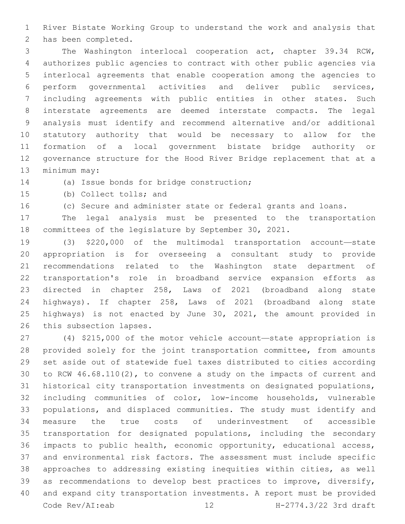River Bistate Working Group to understand the work and analysis that 2 has been completed.

 The Washington interlocal cooperation act, chapter 39.34 RCW, authorizes public agencies to contract with other public agencies via interlocal agreements that enable cooperation among the agencies to perform governmental activities and deliver public services, including agreements with public entities in other states. Such interstate agreements are deemed interstate compacts. The legal analysis must identify and recommend alternative and/or additional statutory authority that would be necessary to allow for the formation of a local government bistate bridge authority or governance structure for the Hood River Bridge replacement that at a 13 minimum may:

14 (a) Issue bonds for bridge construction;

15 (b) Collect tolls; and

(c) Secure and administer state or federal grants and loans.

 The legal analysis must be presented to the transportation committees of the legislature by September 30, 2021.

 (3) \$220,000 of the multimodal transportation account—state appropriation is for overseeing a consultant study to provide recommendations related to the Washington state department of transportation's role in broadband service expansion efforts as directed in chapter 258, Laws of 2021 (broadband along state highways). If chapter 258, Laws of 2021 (broadband along state highways) is not enacted by June 30, 2021, the amount provided in 26 this subsection lapses.

 (4) \$215,000 of the motor vehicle account—state appropriation is provided solely for the joint transportation committee, from amounts set aside out of statewide fuel taxes distributed to cities according to RCW 46.68.110(2), to convene a study on the impacts of current and historical city transportation investments on designated populations, including communities of color, low-income households, vulnerable populations, and displaced communities. The study must identify and measure the true costs of underinvestment of accessible transportation for designated populations, including the secondary impacts to public health, economic opportunity, educational access, and environmental risk factors. The assessment must include specific approaches to addressing existing inequities within cities, as well as recommendations to develop best practices to improve, diversify, and expand city transportation investments. A report must be provided Code Rev/AI:eab 12 H-2774.3/22 3rd draft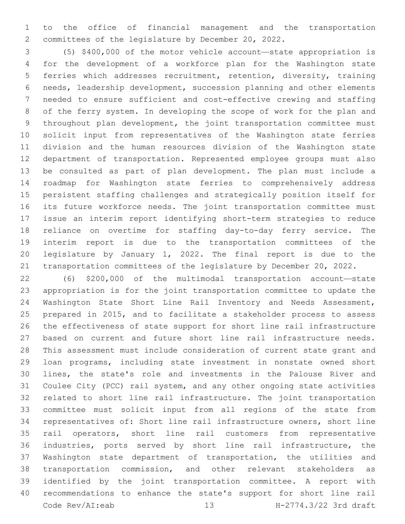to the office of financial management and the transportation committees of the legislature by December 20, 2022.

 (5) \$400,000 of the motor vehicle account—state appropriation is for the development of a workforce plan for the Washington state ferries which addresses recruitment, retention, diversity, training needs, leadership development, succession planning and other elements needed to ensure sufficient and cost-effective crewing and staffing of the ferry system. In developing the scope of work for the plan and throughout plan development, the joint transportation committee must solicit input from representatives of the Washington state ferries division and the human resources division of the Washington state department of transportation. Represented employee groups must also be consulted as part of plan development. The plan must include a roadmap for Washington state ferries to comprehensively address persistent staffing challenges and strategically position itself for its future workforce needs. The joint transportation committee must issue an interim report identifying short-term strategies to reduce reliance on overtime for staffing day-to-day ferry service. The interim report is due to the transportation committees of the legislature by January 1, 2022. The final report is due to the transportation committees of the legislature by December 20, 2022.

 (6) \$200,000 of the multimodal transportation account—state appropriation is for the joint transportation committee to update the Washington State Short Line Rail Inventory and Needs Assessment, prepared in 2015, and to facilitate a stakeholder process to assess the effectiveness of state support for short line rail infrastructure based on current and future short line rail infrastructure needs. This assessment must include consideration of current state grant and loan programs, including state investment in nonstate owned short lines, the state's role and investments in the Palouse River and Coulee City (PCC) rail system, and any other ongoing state activities related to short line rail infrastructure. The joint transportation committee must solicit input from all regions of the state from representatives of: Short line rail infrastructure owners, short line rail operators, short line rail customers from representative industries, ports served by short line rail infrastructure, the Washington state department of transportation, the utilities and transportation commission, and other relevant stakeholders as identified by the joint transportation committee. A report with recommendations to enhance the state's support for short line rail Code Rev/AI:eab 13 H-2774.3/22 3rd draft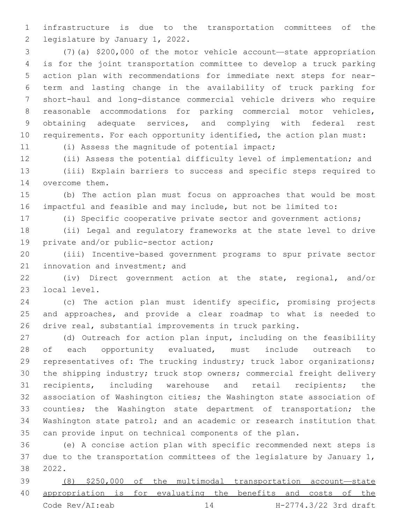infrastructure is due to the transportation committees of the 2 legislature by January 1, 2022.

 (7)(a) \$200,000 of the motor vehicle account—state appropriation is for the joint transportation committee to develop a truck parking action plan with recommendations for immediate next steps for near- term and lasting change in the availability of truck parking for short-haul and long-distance commercial vehicle drivers who require reasonable accommodations for parking commercial motor vehicles, obtaining adequate services, and complying with federal rest requirements. For each opportunity identified, the action plan must:

11 (i) Assess the magnitude of potential impact;

 (ii) Assess the potential difficulty level of implementation; and (iii) Explain barriers to success and specific steps required to 14 overcome them.

 (b) The action plan must focus on approaches that would be most impactful and feasible and may include, but not be limited to:

(i) Specific cooperative private sector and government actions;

 (ii) Legal and regulatory frameworks at the state level to drive 19 private and/or public-sector action;

 (iii) Incentive-based government programs to spur private sector 21 innovation and investment; and

 (iv) Direct government action at the state, regional, and/or 23 local level.

 (c) The action plan must identify specific, promising projects and approaches, and provide a clear roadmap to what is needed to drive real, substantial improvements in truck parking.

 (d) Outreach for action plan input, including on the feasibility 28 of each opportunity evaluated, must include outreach to 29 representatives of: The trucking industry; truck labor organizations; the shipping industry; truck stop owners; commercial freight delivery recipients, including warehouse and retail recipients; the association of Washington cities; the Washington state association of 33 counties; the Washington state department of transportation; the Washington state patrol; and an academic or research institution that can provide input on technical components of the plan.

 (e) A concise action plan with specific recommended next steps is 37 due to the transportation committees of the legislature by January 1, 2022.38

 (8) \$250,000 of the multimodal transportation account—state appropriation is for evaluating the benefits and costs of the Code Rev/AI:eab 14 H-2774.3/22 3rd draft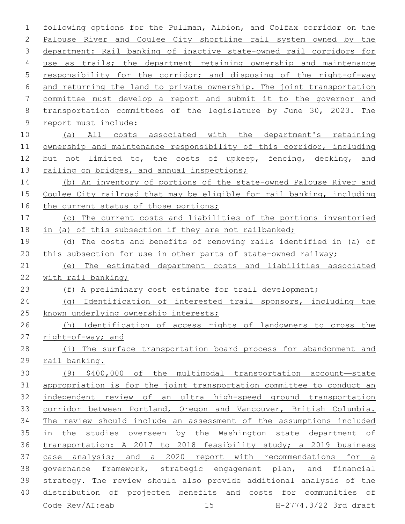following options for the Pullman, Albion, and Colfax corridor on the Palouse River and Coulee City shortline rail system owned by the department: Rail banking of inactive state-owned rail corridors for 4 use as trails; the department retaining ownership and maintenance responsibility for the corridor; and disposing of the right-of-way and returning the land to private ownership. The joint transportation committee must develop a report and submit it to the governor and transportation committees of the legislature by June 30, 2023. The 9 report must include: (a) All costs associated with the department's retaining ownership and maintenance responsibility of this corridor, including 12 but not limited to, the costs of upkeep, fencing, decking, and 13 railing on bridges, and annual inspections; (b) An inventory of portions of the state-owned Palouse River and Coulee City railroad that may be eligible for rail banking, including 16 the current status of those portions; (c) The current costs and liabilities of the portions inventoried 18 in (a) of this subsection if they are not railbanked; (d) The costs and benefits of removing rails identified in (a) of this subsection for use in other parts of state-owned railway; (e) The estimated department costs and liabilities associated with rail banking; (f) A preliminary cost estimate for trail development; (g) Identification of interested trail sponsors, including the 25 known underlying ownership interests; (h) Identification of access rights of landowners to cross the right-of-way; and (i) The surface transportation board process for abandonment and rail banking. (9) \$400,000 of the multimodal transportation account—state appropriation is for the joint transportation committee to conduct an independent review of an ultra high-speed ground transportation 33 corridor between Portland, Oregon and Vancouver, British Columbia. The review should include an assessment of the assumptions included in the studies overseen by the Washington state department of transportation: A 2017 to 2018 feasibility study; a 2019 business case analysis; and a 2020 report with recommendations for a governance framework, strategic engagement plan, and financial strategy. The review should also provide additional analysis of the distribution of projected benefits and costs for communities of Code Rev/AI:eab 15 H-2774.3/22 3rd draft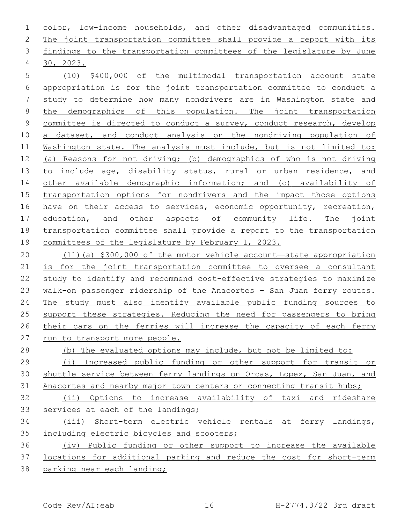color, low-income households, and other disadvantaged communities. The joint transportation committee shall provide a report with its findings to the transportation committees of the legislature by June 30, 2023.4

 (10) \$400,000 of the multimodal transportation account—state appropriation is for the joint transportation committee to conduct a study to determine how many nondrivers are in Washington state and 8 the demographics of this population. The joint transportation committee is directed to conduct a survey, conduct research, develop 10 a dataset, and conduct analysis on the nondriving population of 11 Washington state. The analysis must include, but is not limited to: (a) Reasons for not driving; (b) demographics of who is not driving 13 to include age, disability status, rural or urban residence, and other available demographic information; and (c) availability of transportation options for nondrivers and the impact those options 16 have on their access to services, economic opportunity, recreation, 17 education, and other aspects of community life. The joint transportation committee shall provide a report to the transportation committees of the legislature by February 1, 2023.

 (11)(a) \$300,000 of the motor vehicle account—state appropriation is for the joint transportation committee to oversee a consultant study to identify and recommend cost-effective strategies to maximize walk-on passenger ridership of the Anacortes – San Juan ferry routes. The study must also identify available public funding sources to support these strategies. Reducing the need for passengers to bring their cars on the ferries will increase the capacity of each ferry run to transport more people.

 (b) The evaluated options may include, but not be limited to: (i) Increased public funding or other support for transit or shuttle service between ferry landings on Orcas, Lopez, San Juan, and 31 Anacortes and nearby major town centers or connecting transit hubs;

 (ii) Options to increase availability of taxi and rideshare 33 services at each of the landings;

 (iii) Short-term electric vehicle rentals at ferry landings, 35 including electric bicycles and scooters;

 (iv) Public funding or other support to increase the available locations for additional parking and reduce the cost for short-term parking near each landing;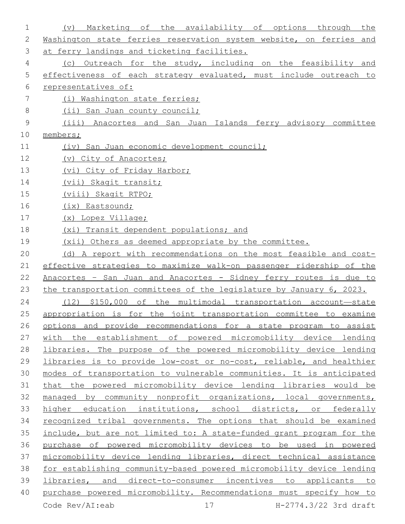| 1           | availability of<br>Marketing of<br>the<br>options<br>through<br>(v)<br>the |
|-------------|----------------------------------------------------------------------------|
| 2           | Washington state ferries reservation system website, on ferries and        |
| 3           | at ferry landings and ticketing facilities.                                |
| 4           | (c) Outreach for the study, including on the feasibility and               |
| 5           | effectiveness of each strategy evaluated, must include outreach to         |
| 6           | representatives of:                                                        |
| 7           | (i) Washington state ferries;                                              |
| 8           | (ii) San Juan county council;                                              |
| $\mathsf 9$ | (iii) Anacortes and San Juan Islands ferry advisory committee              |
| 10          | members;                                                                   |
| 11          | (iv) San Juan economic development council;                                |
| 12          | (v) City of Anacortes;                                                     |
| 13          | (vi) City of Friday Harbor;                                                |
| 14          | (vii) Skagit transit;                                                      |
| 15          | (viii) Skagit RTPO;                                                        |
| 16          | (ix) Eastsound;                                                            |
| 17          | (x) Lopez Village;                                                         |
| 18          | (xi) Transit dependent populations; and                                    |
| 19          | (xii) Others as deemed appropriate by the committee.                       |
| 20          | (d) A report with recommendations on the most feasible and cost-           |
| 21          | effective strategies to maximize walk-on passenger ridership of the        |
| 22          | Anacortes - San Juan and Anacortes - Sidney ferry routes is due to         |
| 23          | the transportation committees of the legislature by January 6, 2023.       |
| 24          | (12) \$150,000 of the multimodal transportation account-state              |
| 25          | appropriation is for the joint transportation committee to examine         |
| 26          | options and provide recommendations for a state program to assist          |
| 27          | with the establishment of powered micromobility device lending             |
| 28          | libraries. The purpose of the powered micromobility device lending         |
| 29          | libraries is to provide low-cost or no-cost, reliable, and healthier       |
| 30          | modes of transportation to vulnerable communities. It is anticipated       |
| 31          | that the powered micromobility device lending libraries would be           |
| 32          | managed by community nonprofit organizations, local governments,           |
| 33          | higher education institutions, school districts, or federally              |
| 34          | recognized tribal governments. The options that should be examined         |
| 35          | include, but are not limited to: A state-funded grant program for the      |
| 36          | purchase of powered micromobility devices to be used in powered            |
| 37          | micromobility device lending libraries, direct technical assistance        |
| 38          | for establishing community-based powered micromobility device lending      |
| 39          | libraries, and direct-to-consumer incentives to applicants to              |
| 40          | purchase powered micromobility. Recommendations must specify how to        |
|             | Code Rev/AI:eab<br>17<br>H-2774.3/22 3rd draft                             |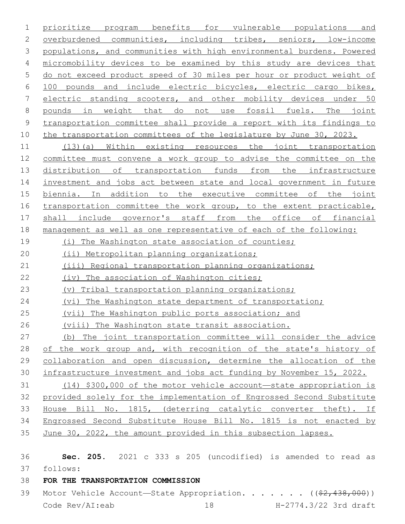prioritize program benefits for vulnerable populations and overburdened communities, including tribes, seniors, low-income populations, and communities with high environmental burdens. Powered micromobility devices to be examined by this study are devices that do not exceed product speed of 30 miles per hour or product weight of 100 pounds and include electric bicycles, electric cargo bikes, electric standing scooters, and other mobility devices under 50 pounds in weight that do not use fossil fuels. The joint transportation committee shall provide a report with its findings to 10 the transportation committees of the legislature by June 30, 2023.

 (13)(a) Within existing resources the joint transportation committee must convene a work group to advise the committee on the distribution of transportation funds from the infrastructure investment and jobs act between state and local government in future biennia. In addition to the executive committee of the joint 16 transportation committee the work group, to the extent practicable, shall include governor's staff from the office of financial management as well as one representative of each of the following:

- 19 (i) The Washington state association of counties;
- (ii) Metropolitan planning organizations;
- (iii) Regional transportation planning organizations;
- (iv) The association of Washington cities;
- (v) Tribal transportation planning organizations;
- 24 (vi) The Washington state department of transportation;
- (vii) The Washington public ports association; and
- (viii) The Washington state transit association.
- (b) The joint transportation committee will consider the advice 28 of the work group and, with recognition of the state's history of collaboration and open discussion, determine the allocation of the infrastructure investment and jobs act funding by November 15, 2022.
- (14) \$300,000 of the motor vehicle account—state appropriation is provided solely for the implementation of Engrossed Second Substitute House Bill No. 1815, (deterring catalytic converter theft). If Engrossed Second Substitute House Bill No. 1815 is not enacted by June 30, 2022, the amount provided in this subsection lapses.
- **Sec. 205.** 2021 c 333 s 205 (uncodified) is amended to read as follows: 37

# **FOR THE TRANSPORTATION COMMISSION**

39 Motor Vehicle Account—State Appropriation. . . . . . ((\$2,438,000)) Code Rev/AI:eab 18 H-2774.3/22 3rd draft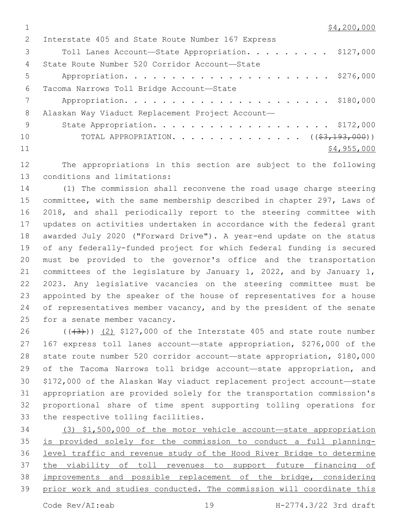| $\mathcal{L}$ | Interstate 405 and State Route Number 167 Express |
|---------------|---------------------------------------------------|
| 3             | Toll Lanes Account-State Appropriation. \$127,000 |
| 4             | State Route Number 520 Corridor Account-State     |
| 5             |                                                   |
| 6             | Tacoma Narrows Toll Bridge Account-State          |
|               |                                                   |
| 8             | Alaskan Way Viaduct Replacement Project Account-  |
| - 9           |                                                   |
| 10            | TOTAL APPROPRIATION. $($ $(*3,193,000))$          |
| 11            | \$4,955,000                                       |

 The appropriations in this section are subject to the following 13 conditions and limitations:

 (1) The commission shall reconvene the road usage charge steering committee, with the same membership described in chapter 297, Laws of 2018, and shall periodically report to the steering committee with updates on activities undertaken in accordance with the federal grant awarded July 2020 ("Forward Drive"). A year-end update on the status of any federally-funded project for which federal funding is secured must be provided to the governor's office and the transportation committees of the legislature by January 1, 2022, and by January 1, 2023. Any legislative vacancies on the steering committee must be appointed by the speaker of the house of representatives for a house 24 of representatives member vacancy, and by the president of the senate 25 for a senate member vacancy.

 $((+3+))$  (2) \$127,000 of the Interstate 405 and state route number 167 express toll lanes account—state appropriation, \$276,000 of the state route number 520 corridor account—state appropriation, \$180,000 of the Tacoma Narrows toll bridge account—state appropriation, and \$172,000 of the Alaskan Way viaduct replacement project account—state appropriation are provided solely for the transportation commission's proportional share of time spent supporting tolling operations for 33 the respective tolling facilities.

 (3) \$1,500,000 of the motor vehicle account—state appropriation is provided solely for the commission to conduct a full planning- level traffic and revenue study of the Hood River Bridge to determine the viability of toll revenues to support future financing of improvements and possible replacement of the bridge, considering prior work and studies conducted. The commission will coordinate this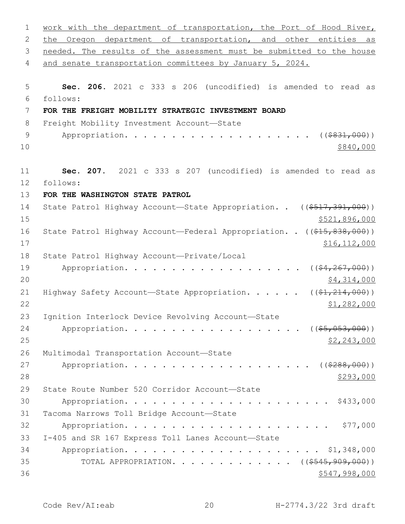| $\mathbf 1$   | work with the department of transportation, the Port of Hood River,                |
|---------------|------------------------------------------------------------------------------------|
| 2             | the Oregon department of transportation, and other entities as                     |
| 3             | needed. The results of the assessment must be submitted to the house               |
| 4             | and senate transportation committees by January 5, 2024.                           |
|               |                                                                                    |
| 5<br>6        | Sec. 206. 2021 c 333 s 206 (uncodified) is amended to read as<br>follows:          |
| 7             | FOR THE FREIGHT MOBILITY STRATEGIC INVESTMENT BOARD                                |
| 8             | Freight Mobility Investment Account-State                                          |
| $\mathcal{G}$ | ( ( \$831,000) )                                                                   |
| 10            | \$840,000                                                                          |
| 11            | Sec. 207. 2021 c 333 s 207 (uncodified) is amended to read as                      |
| 12            | follows:                                                                           |
| 13            | FOR THE WASHINGTON STATE PATROL                                                    |
| 14            | State Patrol Highway Account-State Appropriation. . ((\$517,391,000))              |
| 15            | \$521,896,000                                                                      |
| 16            | State Patrol Highway Account-Federal Appropriation. . ((\$15,838,000))             |
| 17            | \$16, 112, 000                                                                     |
| 18            | State Patrol Highway Account-Private/Local                                         |
| 19            | Appropriation.<br>$((\$4, 267, 000))$                                              |
| 20            | \$4,314,000                                                                        |
| 21            | Highway Safety Account—State Appropriation. ( $(\frac{21}{21}, \frac{214}{200})$ ) |
| 22            | \$1,282,000                                                                        |
| 23            | Ignition Interlock Device Revolving Account-State                                  |
| 24            | Appropriation.<br>$($ (\$5,053,000))                                               |
| 25            | \$2,243,000                                                                        |
| 26            | Multimodal Transportation Account-State                                            |
| 27            |                                                                                    |
| 28            | \$293,000                                                                          |
| 29            | State Route Number 520 Corridor Account-State                                      |
| 30            |                                                                                    |
| 31            | Tacoma Narrows Toll Bridge Account-State                                           |
| 32            |                                                                                    |
| 33            | I-405 and SR 167 Express Toll Lanes Account-State                                  |
| 34            |                                                                                    |
| 35            | TOTAL APPROPRIATION. ( $(\frac{\$545,909,000)}{}$ )                                |
| 36            | \$547,998,000                                                                      |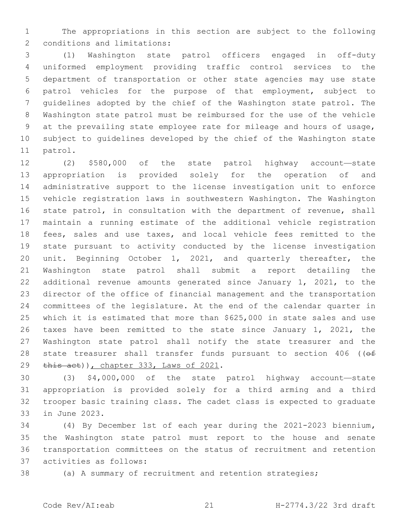The appropriations in this section are subject to the following 2 conditions and limitations:

 (1) Washington state patrol officers engaged in off-duty uniformed employment providing traffic control services to the department of transportation or other state agencies may use state patrol vehicles for the purpose of that employment, subject to guidelines adopted by the chief of the Washington state patrol. The Washington state patrol must be reimbursed for the use of the vehicle at the prevailing state employee rate for mileage and hours of usage, subject to guidelines developed by the chief of the Washington state 11 patrol.

 (2) \$580,000 of the state patrol highway account—state appropriation is provided solely for the operation of and administrative support to the license investigation unit to enforce vehicle registration laws in southwestern Washington. The Washington state patrol, in consultation with the department of revenue, shall maintain a running estimate of the additional vehicle registration fees, sales and use taxes, and local vehicle fees remitted to the state pursuant to activity conducted by the license investigation unit. Beginning October 1, 2021, and quarterly thereafter, the Washington state patrol shall submit a report detailing the additional revenue amounts generated since January 1, 2021, to the director of the office of financial management and the transportation committees of the legislature. At the end of the calendar quarter in which it is estimated that more than \$625,000 in state sales and use taxes have been remitted to the state since January 1, 2021, the Washington state patrol shall notify the state treasurer and the 28 state treasurer shall transfer funds pursuant to section (( $\theta$ f)  $\frac{1}{2}$  this act)), chapter 333, Laws of 2021.

 (3) \$4,000,000 of the state patrol highway account—state appropriation is provided solely for a third arming and a third trooper basic training class. The cadet class is expected to graduate 33 in June 2023.

 (4) By December 1st of each year during the 2021-2023 biennium**,**  the Washington state patrol must report to the house and senate transportation committees on the status of recruitment and retention activities as follows:37

(a) A summary of recruitment and retention strategies;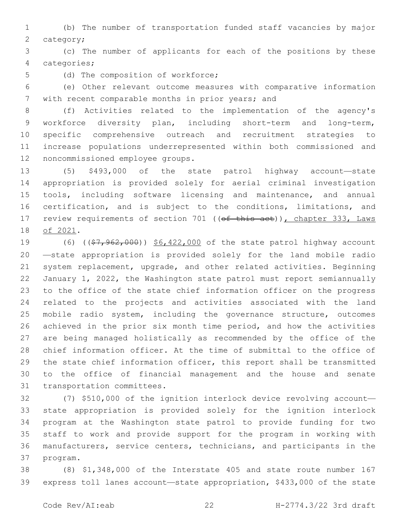(b) The number of transportation funded staff vacancies by major 2 category;

 (c) The number of applicants for each of the positions by these categories;4

5 (d) The composition of workforce;

 (e) Other relevant outcome measures with comparative information 7 with recent comparable months in prior years; and

 (f) Activities related to the implementation of the agency's workforce diversity plan, including short-term and long-term, specific comprehensive outreach and recruitment strategies to increase populations underrepresented within both commissioned and 12 noncommissioned employee groups.

 (5) \$493,000 of the state patrol highway account—state appropriation is provided solely for aerial criminal investigation tools, including software licensing and maintenance, and annual certification, and is subject to the conditions, limitations, and 17 review requirements of section 701 ((of this act)), chapter 333, Laws 18 of 2021.

19 (6) ((\$7,962,000)) \$6,422,000 of the state patrol highway account —state appropriation is provided solely for the land mobile radio system replacement, upgrade, and other related activities. Beginning January 1, 2022, the Washington state patrol must report semiannually to the office of the state chief information officer on the progress related to the projects and activities associated with the land mobile radio system, including the governance structure, outcomes achieved in the prior six month time period, and how the activities are being managed holistically as recommended by the office of the chief information officer. At the time of submittal to the office of the state chief information officer, this report shall be transmitted to the office of financial management and the house and senate 31 transportation committees.

 (7) \$510,000 of the ignition interlock device revolving account— state appropriation is provided solely for the ignition interlock program at the Washington state patrol to provide funding for two staff to work and provide support for the program in working with manufacturers, service centers, technicians, and participants in the 37 program.

 (8) \$1,348,000 of the Interstate 405 and state route number 167 express toll lanes account—state appropriation, \$433,000 of the state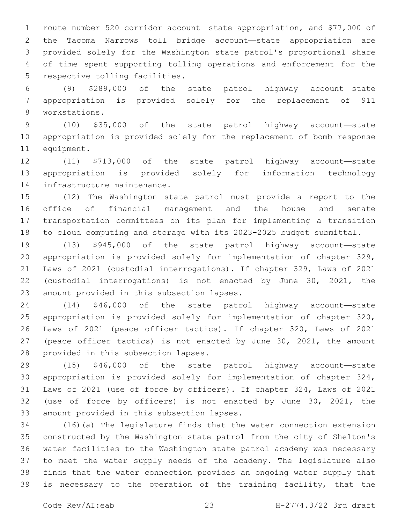route number 520 corridor account—state appropriation, and \$77,000 of the Tacoma Narrows toll bridge account—state appropriation are provided solely for the Washington state patrol's proportional share of time spent supporting tolling operations and enforcement for the 5 respective tolling facilities.

 (9) \$289,000 of the state patrol highway account—state appropriation is provided solely for the replacement of 911 8 workstations.

 (10) \$35,000 of the state patrol highway account—state appropriation is provided solely for the replacement of bomb response 11 equipment.

 (11) \$713,000 of the state patrol highway account—state appropriation is provided solely for information technology 14 infrastructure maintenance.

 (12) The Washington state patrol must provide a report to the office of financial management and the house and senate transportation committees on its plan for implementing a transition to cloud computing and storage with its 2023-2025 budget submittal.

 (13) \$945,000 of the state patrol highway account—state appropriation is provided solely for implementation of chapter 329, Laws of 2021 (custodial interrogations). If chapter 329, Laws of 2021 (custodial interrogations) is not enacted by June 30, 2021, the 23 amount provided in this subsection lapses.

 (14) \$46,000 of the state patrol highway account—state appropriation is provided solely for implementation of chapter 320, Laws of 2021 (peace officer tactics). If chapter 320, Laws of 2021 (peace officer tactics) is not enacted by June 30, 2021, the amount 28 provided in this subsection lapses.

 (15) \$46,000 of the state patrol highway account—state appropriation is provided solely for implementation of chapter 324, Laws of 2021 (use of force by officers). If chapter 324, Laws of 2021 (use of force by officers) is not enacted by June 30, 2021, the 33 amount provided in this subsection lapses.

 (16)(a) The legislature finds that the water connection extension constructed by the Washington state patrol from the city of Shelton's water facilities to the Washington state patrol academy was necessary to meet the water supply needs of the academy. The legislature also finds that the water connection provides an ongoing water supply that is necessary to the operation of the training facility, that the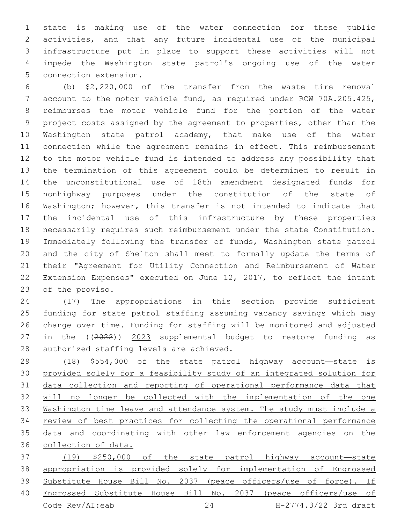state is making use of the water connection for these public activities, and that any future incidental use of the municipal infrastructure put in place to support these activities will not impede the Washington state patrol's ongoing use of the water 5 connection extension.

 (b) \$2,220,000 of the transfer from the waste tire removal account to the motor vehicle fund, as required under RCW 70A.205.425, reimburses the motor vehicle fund for the portion of the water project costs assigned by the agreement to properties, other than the Washington state patrol academy, that make use of the water connection while the agreement remains in effect. This reimbursement to the motor vehicle fund is intended to address any possibility that the termination of this agreement could be determined to result in the unconstitutional use of 18th amendment designated funds for nonhighway purposes under the constitution of the state of Washington; however, this transfer is not intended to indicate that the incidental use of this infrastructure by these properties necessarily requires such reimbursement under the state Constitution. Immediately following the transfer of funds, Washington state patrol and the city of Shelton shall meet to formally update the terms of their "Agreement for Utility Connection and Reimbursement of Water Extension Expenses" executed on June 12, 2017, to reflect the intent 23 of the proviso.

 (17) The appropriations in this section provide sufficient funding for state patrol staffing assuming vacancy savings which may change over time. Funding for staffing will be monitored and adjusted in the ((2022)) 2023 supplemental budget to restore funding as 28 authorized staffing levels are achieved.

 (18) \$554,000 of the state patrol highway account—state is provided solely for a feasibility study of an integrated solution for data collection and reporting of operational performance data that will no longer be collected with the implementation of the one Washington time leave and attendance system. The study must include a review of best practices for collecting the operational performance data and coordinating with other law enforcement agencies on the collection of data.

 (19) \$250,000 of the state patrol highway account—state appropriation is provided solely for implementation of Engrossed Substitute House Bill No. 2037 (peace officers/use of force). If Engrossed Substitute House Bill No. 2037 (peace officers/use of Code Rev/AI:eab 24 H-2774.3/22 3rd draft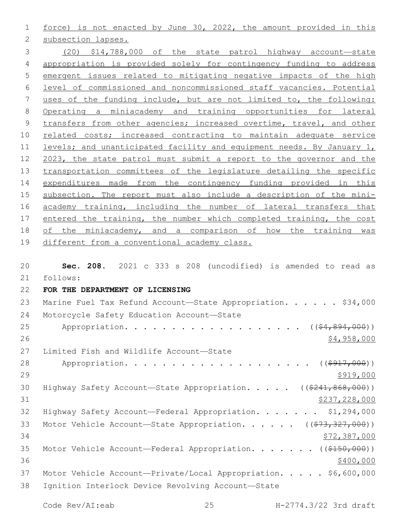force) is not enacted by June 30, 2022, the amount provided in this 2 subsection lapses.

 (20) \$14,788,000 of the state patrol highway account—state appropriation is provided solely for contingency funding to address emergent issues related to mitigating negative impacts of the high level of commissioned and noncommissioned staff vacancies. Potential uses of the funding include, but are not limited to, the following: Operating a miniacademy and training opportunities for lateral transfers from other agencies; increased overtime, travel, and other related costs; increased contracting to maintain adequate service levels; and unanticipated facility and equipment needs. By January 1, 2023, the state patrol must submit a report to the governor and the transportation committees of the legislature detailing the specific expenditures made from the contingency funding provided in this subsection. The report must also include a description of the mini- academy training, including the number of lateral transfers that 17 entered the training, the number which completed training, the cost of the miniacademy, and a comparison of how the training was different from a conventional academy class.

 **Sec. 208.** 2021 c 333 s 208 (uncodified) is amended to read as follows: 21 **FOR THE DEPARTMENT OF LICENSING** 23 Marine Fuel Tax Refund Account—State Appropriation. . . . . \$34,000 24 Motorcycle Safety Education Account-State 25 Appropriation. . . . . . . . . . . . . . . . .  $($   $($   $\frac{24}{1000})$   $)$  \$4,958,000 27 Limited Fish and Wildlife Account-State 28 Appropriation. . . . . . . . . . . . . . . . . . ((\$917,000))  $\frac{$919,000}{ }$ 30 Highway Safety Account—State Appropriation. . . . . ((\$241,868,000)) \$237,228,000 Highway Safety Account—Federal Appropriation. . . . . . . \$1,294,000 33 Motor Vehicle Account—State Appropriation. . . . . ((\$73,327,000)) \$72,387,000 35 Motor Vehicle Account—Federal Appropriation. . . . . . ((\$150,000))  $\frac{$400,000}{900}$ 37 Motor Vehicle Account-Private/Local Appropriation. . . . \$6,600,000 38 Ignition Interlock Device Revolving Account—State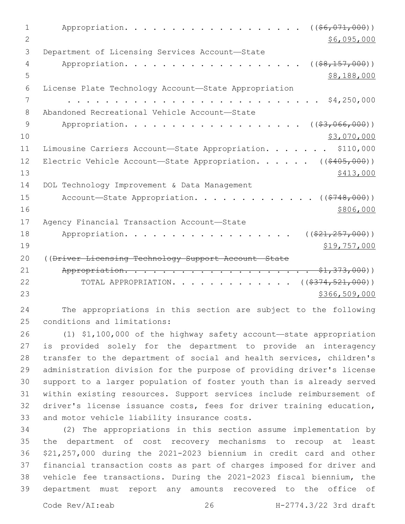1 Appropriation. . . . . . . . . . . . . . . . . (  $(\frac{66,071,000}{6}, \frac{1000}{6}, \frac{1000}{6}, \frac{1000}{6}, \frac{1000}{6}, \frac{1000}{6}, \frac{1000}{6}, \frac{1000}{6}, \frac{1000}{6}, \frac{1000}{6}, \frac{1000}{6}, \frac{1000}{6}, \frac{1000}{6}, \frac{1000}{6}, \frac{1000}{6}, \frac{1000}{6}, \frac{1$  $2 \div 56,095,000$ 3 Department of Licensing Services Account-State 4 Appropriation. . . . . . . . . . . . . . . . . (  $(\frac{1}{28,157,000})$  )  $5 - 5$  \$8,188,000 6 License Plate Technology Account—State Appropriation 7 . . . . . . . . . . . . . . . . . . . . . . . . . . . \$4,250,000 Abandoned Recreational Vehicle Account—State8 9 Appropriation. . . . . . . . . . . . . . . . .  $($  $($ \$3,066,000))  $10 \hspace{2.5cm}$  \$3,070,000 11 Limousine Carriers Account-State Appropriation. . . . . . \$110,000 12 Electric Vehicle Account—State Appropriation. . . . . ((\$405,000))  $\frac{$413,000}{ }$ 14 DOL Technology Improvement & Data Management 15 Account-State Appropriation. . . . . . . . . . . . ((\$748,000))  $16$  \$806,000 17 Agency Financial Transaction Account-State 18 Appropriation. . . . . . . . . . . . . . . . . ( $(\frac{21}{257,000})$ )  $19$  \$19,757,000 20 ((Driver Licensing Technology Support Account—State 21 Appropriation. . . . . . . . . . . . . . . . . . . . \$1,373,000)) 22 TOTAL APPROPRIATION. . . . . . . . . . . . ((\$374,521,000))  $23$   $5366,509,000$ 

24 The appropriations in this section are subject to the following 25 conditions and limitations:

 (1) \$1,100,000 of the highway safety account—state appropriation is provided solely for the department to provide an interagency transfer to the department of social and health services, children's administration division for the purpose of providing driver's license support to a larger population of foster youth than is already served within existing resources. Support services include reimbursement of driver's license issuance costs, fees for driver training education, 33 and motor vehicle liability insurance costs.

 (2) The appropriations in this section assume implementation by the department of cost recovery mechanisms to recoup at least \$21,257,000 during the 2021-2023 biennium in credit card and other financial transaction costs as part of charges imposed for driver and vehicle fee transactions. During the 2021-2023 fiscal biennium, the department must report any amounts recovered to the office of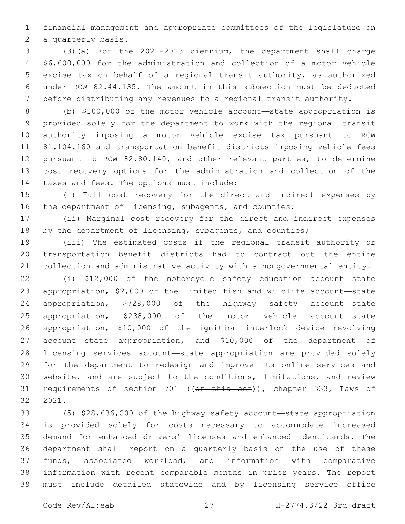financial management and appropriate committees of the legislature on 2 a quarterly basis.

 (3)(a) For the 2021-2023 biennium, the department shall charge \$6,600,000 for the administration and collection of a motor vehicle excise tax on behalf of a regional transit authority, as authorized under RCW 82.44.135. The amount in this subsection must be deducted before distributing any revenues to a regional transit authority.

 (b) \$100,000 of the motor vehicle account—state appropriation is provided solely for the department to work with the regional transit authority imposing a motor vehicle excise tax pursuant to RCW 81.104.160 and transportation benefit districts imposing vehicle fees pursuant to RCW 82.80.140, and other relevant parties, to determine cost recovery options for the administration and collection of the 14 taxes and fees. The options must include:

 (i) Full cost recovery for the direct and indirect expenses by 16 the department of licensing, subagents, and counties;

 (ii) Marginal cost recovery for the direct and indirect expenses 18 by the department of licensing, subagents, and counties;

 (iii) The estimated costs if the regional transit authority or transportation benefit districts had to contract out the entire collection and administrative activity with a nongovernmental entity.

 (4) \$12,000 of the motorcycle safety education account—state appropriation, \$2,000 of the limited fish and wildlife account—state appropriation, \$728,000 of the highway safety account—state appropriation, \$238,000 of the motor vehicle account—state appropriation, \$10,000 of the ignition interlock device revolving account—state appropriation, and \$10,000 of the department of licensing services account—state appropriation are provided solely for the department to redesign and improve its online services and website, and are subject to the conditions, limitations, and review 31 requirements of section 701 ((of this act)), chapter 333, Laws of 2021.32

 (5) \$28,636,000 of the highway safety account—state appropriation is provided solely for costs necessary to accommodate increased demand for enhanced drivers' licenses and enhanced identicards. The department shall report on a quarterly basis on the use of these funds, associated workload, and information with comparative information with recent comparable months in prior years. The report must include detailed statewide and by licensing service office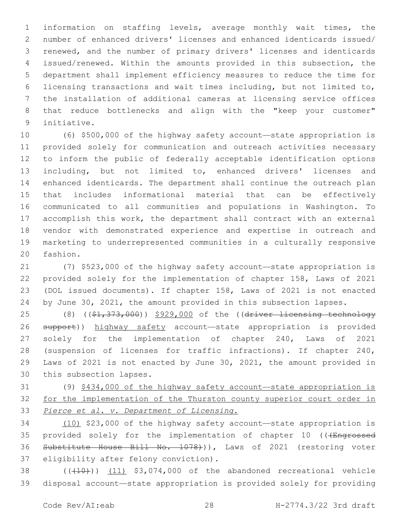information on staffing levels, average monthly wait times, the number of enhanced drivers' licenses and enhanced identicards issued/ renewed, and the number of primary drivers' licenses and identicards issued/renewed. Within the amounts provided in this subsection, the department shall implement efficiency measures to reduce the time for licensing transactions and wait times including, but not limited to, the installation of additional cameras at licensing service offices that reduce bottlenecks and align with the "keep your customer" 9 initiative.

 (6) \$500,000 of the highway safety account—state appropriation is provided solely for communication and outreach activities necessary to inform the public of federally acceptable identification options including, but not limited to, enhanced drivers' licenses and enhanced identicards. The department shall continue the outreach plan that includes informational material that can be effectively communicated to all communities and populations in Washington. To accomplish this work, the department shall contract with an external vendor with demonstrated experience and expertise in outreach and marketing to underrepresented communities in a culturally responsive 20 fashion.

 (7) \$523,000 of the highway safety account—state appropriation is provided solely for the implementation of chapter 158, Laws of 2021 (DOL issued documents). If chapter 158, Laws of 2021 is not enacted by June 30, 2021, the amount provided in this subsection lapses.

25 (8) ((\$1,373,000)) \$929,000 of the ((driver licensing technology 26 support)) highway safety account—state appropriation is provided solely for the implementation of chapter 240, Laws of 2021 (suspension of licenses for traffic infractions). If chapter 240, Laws of 2021 is not enacted by June 30, 2021, the amount provided in 30 this subsection lapses.

 (9) \$434,000 of the highway safety account—state appropriation is 32 for the implementation of the Thurston county superior court order in *Pierce et al. v. Department of Licensing*.

 (10) \$23,000 of the highway safety account—state appropriation is 35 provided solely for the implementation of chapter 10 (((Engrossed 36 Substitute House Bill No. 1078))), Laws of 2021 (restoring voter 37 eligibility after felony conviction).

 ( $(\overline{+10})$ )  $(11)$  \$3,074,000 of the abandoned recreational vehicle disposal account—state appropriation is provided solely for providing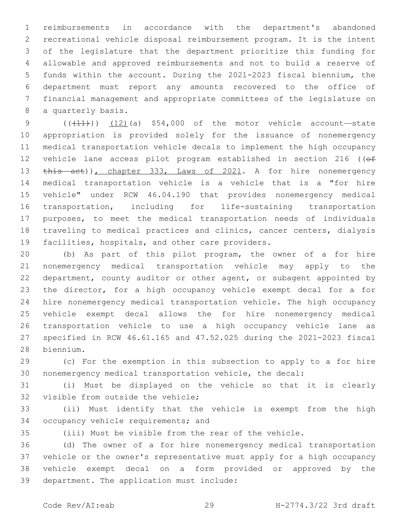reimbursements in accordance with the department's abandoned recreational vehicle disposal reimbursement program. It is the intent of the legislature that the department prioritize this funding for allowable and approved reimbursements and not to build a reserve of funds within the account. During the 2021-2023 fiscal biennium, the department must report any amounts recovered to the office of financial management and appropriate committees of the legislature on 8 a quarterly basis.

 $((+11))$   $(12)$   $(a)$  \$54,000 of the motor vehicle account—state appropriation is provided solely for the issuance of nonemergency medical transportation vehicle decals to implement the high occupancy 12 vehicle lane access pilot program established in section 216 ((of 13 this act)), chapter 333, Laws of 2021. A for hire nonemergency medical transportation vehicle is a vehicle that is a "for hire vehicle" under RCW 46.04.190 that provides nonemergency medical transportation, including for life-sustaining transportation purposes, to meet the medical transportation needs of individuals traveling to medical practices and clinics, cancer centers, dialysis 19 facilities, hospitals, and other care providers.

 (b) As part of this pilot program, the owner of a for hire nonemergency medical transportation vehicle may apply to the department, county auditor or other agent, or subagent appointed by the director, for a high occupancy vehicle exempt decal for a for hire nonemergency medical transportation vehicle. The high occupancy vehicle exempt decal allows the for hire nonemergency medical transportation vehicle to use a high occupancy vehicle lane as specified in RCW 46.61.165 and 47.52.025 during the 2021-2023 fiscal biennium.28

 (c) For the exemption in this subsection to apply to a for hire nonemergency medical transportation vehicle, the decal:

 (i) Must be displayed on the vehicle so that it is clearly 32 visible from outside the vehicle;

 (ii) Must identify that the vehicle is exempt from the high 34 occupancy vehicle requirements; and

(iii) Must be visible from the rear of the vehicle.

 (d) The owner of a for hire nonemergency medical transportation vehicle or the owner's representative must apply for a high occupancy vehicle exempt decal on a form provided or approved by the 39 department. The application must include:

Code Rev/AI:eab 29 H-2774.3/22 3rd draft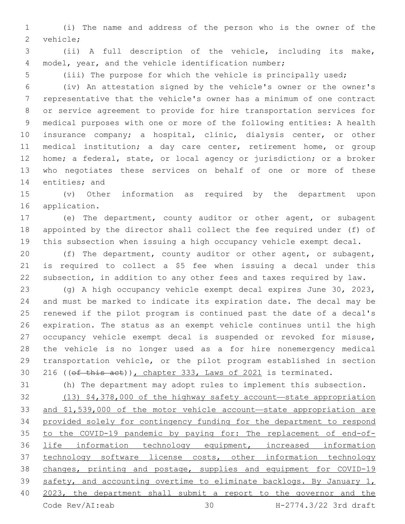(i) The name and address of the person who is the owner of the 2 vehicle;

 (ii) A full description of the vehicle, including its make, model, year, and the vehicle identification number;

(iii) The purpose for which the vehicle is principally used;

 (iv) An attestation signed by the vehicle's owner or the owner's representative that the vehicle's owner has a minimum of one contract or service agreement to provide for hire transportation services for medical purposes with one or more of the following entities: A health insurance company; a hospital, clinic, dialysis center, or other medical institution; a day care center, retirement home, or group home; a federal, state, or local agency or jurisdiction; or a broker who negotiates these services on behalf of one or more of these 14 entities; and

 (v) Other information as required by the department upon 16 application.

 (e) The department, county auditor or other agent, or subagent appointed by the director shall collect the fee required under (f) of this subsection when issuing a high occupancy vehicle exempt decal.

 (f) The department, county auditor or other agent, or subagent, is required to collect a \$5 fee when issuing a decal under this subsection, in addition to any other fees and taxes required by law.

 (g) A high occupancy vehicle exempt decal expires June 30, 2023, and must be marked to indicate its expiration date. The decal may be renewed if the pilot program is continued past the date of a decal's expiration. The status as an exempt vehicle continues until the high occupancy vehicle exempt decal is suspended or revoked for misuse, the vehicle is no longer used as a for hire nonemergency medical transportation vehicle, or the pilot program established in section 30 216 ((of this act)), chapter 333, Laws of 2021 is terminated.

(h) The department may adopt rules to implement this subsection.

 (13) \$4,378,000 of the highway safety account—state appropriation and \$1,539,000 of the motor vehicle account—state appropriation are provided solely for contingency funding for the department to respond to the COVID-19 pandemic by paying for: The replacement of end-of- life information technology equipment, increased information 37 technology software license costs, other information technology changes, printing and postage, supplies and equipment for COVID-19 safety, and accounting overtime to eliminate backlogs. By January 1, 2023, the department shall submit a report to the governor and the Code Rev/AI:eab 30 H-2774.3/22 3rd draft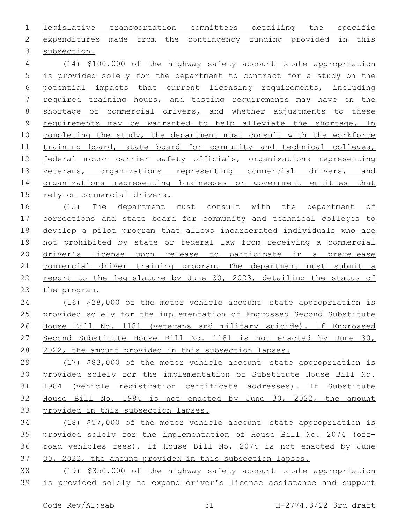legislative transportation committees detailing the specific expenditures made from the contingency funding provided in this 3 subsection. (14) \$100,000 of the highway safety account—state appropriation is provided solely for the department to contract for a study on the potential impacts that current licensing requirements, including required training hours, and testing requirements may have on the shortage of commercial drivers, and whether adjustments to these requirements may be warranted to help alleviate the shortage. In completing the study, the department must consult with the workforce 11 training board, state board for community and technical colleges, 12 federal motor carrier safety officials, organizations representing 13 veterans, organizations representing commercial drivers, and organizations representing businesses or government entities that rely on commercial drivers. (15) The department must consult with the department of corrections and state board for community and technical colleges to develop a pilot program that allows incarcerated individuals who are not prohibited by state or federal law from receiving a commercial 20 driver's license upon release to participate in a prerelease commercial driver training program. The department must submit a report to the legislature by June 30, 2023, detailing the status of the program. (16) \$28,000 of the motor vehicle account—state appropriation is provided solely for the implementation of Engrossed Second Substitute House Bill No. 1181 (veterans and military suicide). If Engrossed Second Substitute House Bill No. 1181 is not enacted by June 30, 2022, the amount provided in this subsection lapses. (17) \$83,000 of the motor vehicle account—state appropriation is provided solely for the implementation of Substitute House Bill No. 1984 (vehicle registration certificate addresses). If Substitute House Bill No. 1984 is not enacted by June 30, 2022, the amount provided in this subsection lapses. (18) \$57,000 of the motor vehicle account—state appropriation is provided solely for the implementation of House Bill No. 2074 (off- road vehicles fees). If House Bill No. 2074 is not enacted by June 37 30, 2022, the amount provided in this subsection lapses. (19) \$350,000 of the highway safety account—state appropriation is provided solely to expand driver's license assistance and support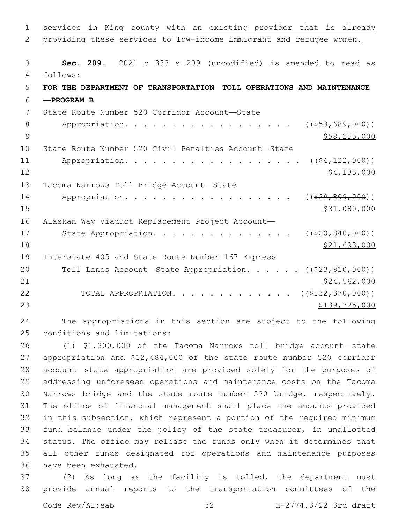| $\mathbf 1$ | services in King county with an existing provider that is already     |
|-------------|-----------------------------------------------------------------------|
| 2           | providing these services to low-income immigrant and refugee women.   |
|             |                                                                       |
| 3           | Sec. 209. 2021 c 333 s 209 (uncodified) is amended to read as         |
| 4           | follows:                                                              |
| 5           | FOR THE DEPARTMENT OF TRANSPORTATION-TOLL OPERATIONS AND MAINTENANCE  |
| 6           | $-$ PROGRAM B                                                         |
| 7           | State Route Number 520 Corridor Account-State                         |
| 8           | $($ $($ $$53, 689, 000)$ $)$<br>Appropriation.                        |
| 9           | \$58, 255, 000                                                        |
| 10          | State Route Number 520 Civil Penalties Account-State                  |
| 11          | $($ $(*4, 122, 000)$ )<br>Appropriation.                              |
| 12          | \$4,135,000                                                           |
| 13          | Tacoma Narrows Toll Bridge Account-State                              |
| 14          | $($ (\$29,809,000))<br>Appropriation.                                 |
| 15          | \$31,080,000                                                          |
| 16          | Alaskan Way Viaduct Replacement Project Account-                      |
| 17          | State Appropriation.<br>$((\$20, 840, 000))$                          |
| 18          | \$21,693,000                                                          |
| 19          | Interstate 405 and State Route Number 167 Express                     |
| 20          | Toll Lanes Account-State Appropriation. ( $(\frac{223,910,000}{2})$ ) |
| 21          | \$24,562,000                                                          |
| 22          | TOTAL APPROPRIATION.<br>( ( \$132, 370, 000) )                        |
| 23          | \$139,725,000                                                         |

 The appropriations in this section are subject to the following 25 conditions and limitations:

 (1) \$1,300,000 of the Tacoma Narrows toll bridge account—state appropriation and \$12,484,000 of the state route number 520 corridor account—state appropriation are provided solely for the purposes of addressing unforeseen operations and maintenance costs on the Tacoma Narrows bridge and the state route number 520 bridge, respectively. The office of financial management shall place the amounts provided in this subsection, which represent a portion of the required minimum fund balance under the policy of the state treasurer, in unallotted status. The office may release the funds only when it determines that all other funds designated for operations and maintenance purposes 36 have been exhausted.

 (2) As long as the facility is tolled, the department must provide annual reports to the transportation committees of the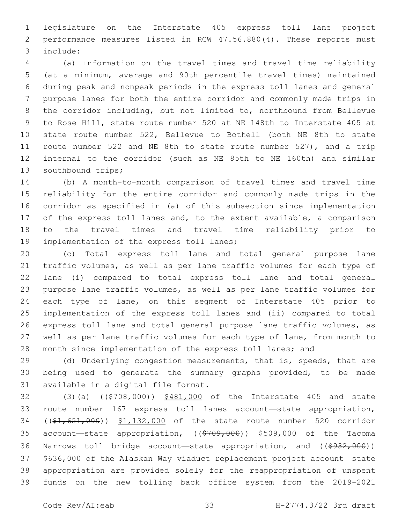legislature on the Interstate 405 express toll lane project performance measures listed in RCW 47.56.880(4). These reports must include:3

 (a) Information on the travel times and travel time reliability (at a minimum, average and 90th percentile travel times) maintained during peak and nonpeak periods in the express toll lanes and general purpose lanes for both the entire corridor and commonly made trips in the corridor including, but not limited to, northbound from Bellevue to Rose Hill, state route number 520 at NE 148th to Interstate 405 at state route number 522, Bellevue to Bothell (both NE 8th to state route number 522 and NE 8th to state route number 527), and a trip internal to the corridor (such as NE 85th to NE 160th) and similar 13 southbound trips;

 (b) A month-to-month comparison of travel times and travel time reliability for the entire corridor and commonly made trips in the corridor as specified in (a) of this subsection since implementation of the express toll lanes and, to the extent available, a comparison to the travel times and travel time reliability prior to 19 implementation of the express toll lanes;

 (c) Total express toll lane and total general purpose lane traffic volumes, as well as per lane traffic volumes for each type of lane (i) compared to total express toll lane and total general purpose lane traffic volumes, as well as per lane traffic volumes for each type of lane, on this segment of Interstate 405 prior to implementation of the express toll lanes and (ii) compared to total express toll lane and total general purpose lane traffic volumes, as well as per lane traffic volumes for each type of lane, from month to 28 month since implementation of the express toll lanes; and

29 (d) Underlying congestion measurements, that is, speeds, that are being used to generate the summary graphs provided, to be made 31 available in a digital file format.

32 (3)(a) ((\$708,000)) \$481,000 of the Interstate 405 and state route number 167 express toll lanes account—state appropriation, 34 ((\$1,651,000)) \$1,132,000 of the state route number 520 corridor 35 account—state appropriation, ((\$709,000)) \$509,000 of the Tacoma 36 Narrows toll bridge account—state appropriation, and ((\$932,000)) \$636,000 of the Alaskan Way viaduct replacement project account—state appropriation are provided solely for the reappropriation of unspent funds on the new tolling back office system from the 2019-2021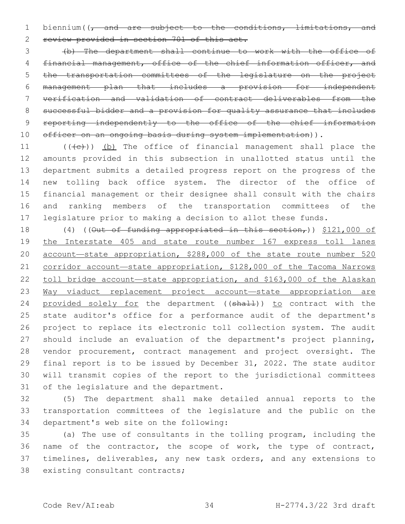1 biennium( $\sqrt{t}$  and are subject to the conditions, limitations, and review provided in section 701 of this act.

 (b) The department shall continue to work with the office of financial management, office of the chief information officer, and the transportation committees of the legislature on the project management plan that includes a provision for independent verification and validation of contract deliverables from the successful bidder and a provision for quality assurance that includes 9 reporting independently to the office of the chief information 10 officer on an ongoing basis during system implementation)).

 $((\{e\})$  (b) The office of financial management shall place the amounts provided in this subsection in unallotted status until the department submits a detailed progress report on the progress of the new tolling back office system. The director of the office of financial management or their designee shall consult with the chairs and ranking members of the transportation committees of the legislature prior to making a decision to allot these funds.

18 (4) ((Out of funding appropriated in this section,)) \$121,000 of the Interstate 405 and state route number 167 express toll lanes 20 account-state appropriation, \$288,000 of the state route number 520 corridor account—state appropriation, \$128,000 of the Tacoma Narrows 22 toll bridge account-state appropriation, and \$163,000 of the Alaskan Way viaduct replacement project account—state appropriation are 24 provided solely for the department ((shall)) to contract with the state auditor's office for a performance audit of the department's project to replace its electronic toll collection system. The audit should include an evaluation of the department's project planning, vendor procurement, contract management and project oversight. The final report is to be issued by December 31, 2022. The state auditor will transmit copies of the report to the jurisdictional committees 31 of the legislature and the department.

 (5) The department shall make detailed annual reports to the transportation committees of the legislature and the public on the 34 department's web site on the following:

 (a) The use of consultants in the tolling program, including the name of the contractor, the scope of work, the type of contract, timelines, deliverables, any new task orders, and any extensions to 38 existing consultant contracts;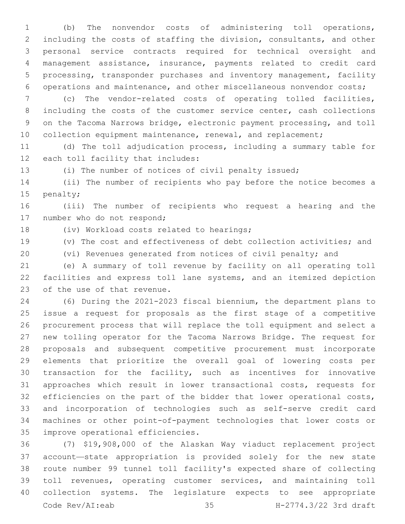(b) The nonvendor costs of administering toll operations, including the costs of staffing the division, consultants, and other personal service contracts required for technical oversight and management assistance, insurance, payments related to credit card processing, transponder purchases and inventory management, facility operations and maintenance, and other miscellaneous nonvendor costs;

 (c) The vendor-related costs of operating tolled facilities, 8 including the costs of the customer service center, cash collections on the Tacoma Narrows bridge, electronic payment processing, and toll 10 collection equipment maintenance, renewal, and replacement;

 (d) The toll adjudication process, including a summary table for 12 each toll facility that includes:

(i) The number of notices of civil penalty issued;

 (ii) The number of recipients who pay before the notice becomes a 15 penalty;

 (iii) The number of recipients who request a hearing and the 17 number who do not respond;

18 (iv) Workload costs related to hearings;

(v) The cost and effectiveness of debt collection activities; and

(vi) Revenues generated from notices of civil penalty; and

 (e) A summary of toll revenue by facility on all operating toll facilities and express toll lane systems, and an itemized depiction 23 of the use of that revenue.

 (6) During the 2021-2023 fiscal biennium, the department plans to issue a request for proposals as the first stage of a competitive procurement process that will replace the toll equipment and select a new tolling operator for the Tacoma Narrows Bridge. The request for proposals and subsequent competitive procurement must incorporate elements that prioritize the overall goal of lowering costs per transaction for the facility, such as incentives for innovative approaches which result in lower transactional costs, requests for efficiencies on the part of the bidder that lower operational costs, and incorporation of technologies such as self-serve credit card machines or other point-of-payment technologies that lower costs or 35 improve operational efficiencies.

 (7) \$19,908,000 of the Alaskan Way viaduct replacement project account—state appropriation is provided solely for the new state route number 99 tunnel toll facility's expected share of collecting toll revenues, operating customer services, and maintaining toll collection systems. The legislature expects to see appropriate Code Rev/AI:eab 35 H-2774.3/22 3rd draft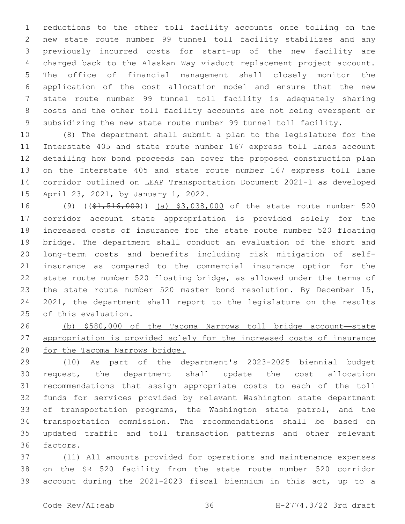reductions to the other toll facility accounts once tolling on the new state route number 99 tunnel toll facility stabilizes and any previously incurred costs for start-up of the new facility are charged back to the Alaskan Way viaduct replacement project account. The office of financial management shall closely monitor the application of the cost allocation model and ensure that the new state route number 99 tunnel toll facility is adequately sharing costs and the other toll facility accounts are not being overspent or subsidizing the new state route number 99 tunnel toll facility.

 (8) The department shall submit a plan to the legislature for the Interstate 405 and state route number 167 express toll lanes account detailing how bond proceeds can cover the proposed construction plan on the Interstate 405 and state route number 167 express toll lane corridor outlined on LEAP Transportation Document 2021-1 as developed 15 April 23, 2021, by January 1, 2022.

16 (9) ((\$1,516,000)) (a) \$3,038,000 of the state route number 520 corridor account—state appropriation is provided solely for the increased costs of insurance for the state route number 520 floating bridge. The department shall conduct an evaluation of the short and long-term costs and benefits including risk mitigation of self- insurance as compared to the commercial insurance option for the state route number 520 floating bridge, as allowed under the terms of 23 the state route number 520 master bond resolution. By December 15, 2021, the department shall report to the legislature on the results 25 of this evaluation.

 (b) \$580,000 of the Tacoma Narrows toll bridge account—state appropriation is provided solely for the increased costs of insurance for the Tacoma Narrows bridge.

 (10) As part of the department's 2023-2025 biennial budget request, the department shall update the cost allocation recommendations that assign appropriate costs to each of the toll funds for services provided by relevant Washington state department 33 of transportation programs, the Washington state patrol, and the transportation commission. The recommendations shall be based on updated traffic and toll transaction patterns and other relevant 36 factors.

 (11) All amounts provided for operations and maintenance expenses on the SR 520 facility from the state route number 520 corridor account during the 2021-2023 fiscal biennium in this act, up to a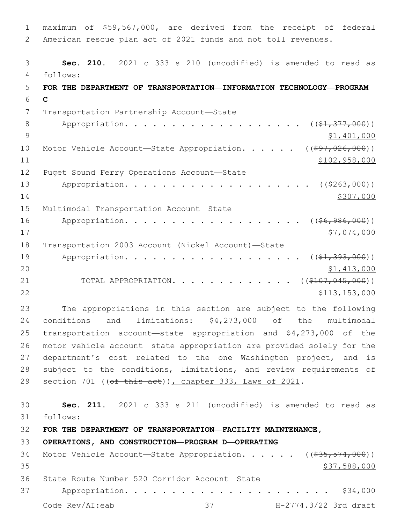1 maximum of \$59,567,000, are derived from the receipt of federal 2 American rescue plan act of 2021 funds and not toll revenues. 3 **Sec. 210.** 2021 c 333 s 210 (uncodified) is amended to read as follows: 4 5 **FOR THE DEPARTMENT OF TRANSPORTATION—INFORMATION TECHNOLOGY—PROGRAM**  6 **C** 7 Transportation Partnership Account-State 8 Appropriation. . . . . . . . . . . . . . . . . (  $(\frac{1}{2}, \frac{377}{100})$  ) 9 \$1,401,000 10 Motor Vehicle Account-State Appropriation. . . . . ((\$97,026,000)) 11 \$102,958,000 12 Puget Sound Ferry Operations Account-State 13 Appropriation. . . . . . . . . . . . . . . . . . (  $(*263,000)$  ) 14 \$307,000 15 Multimodal Transportation Account-State 16 Appropriation. . . . . . . . . . . . . . . . . (  $(\frac{66,986,000}{60,000})$ 17 \$7,074,000 18 Transportation 2003 Account (Nickel Account)—State 19 Appropriation. . . . . . . . . . . . . . . . . (  $(\frac{21}{21}, \frac{393}{100})$  ) 20 \$1,413,000 21 TOTAL APPROPRIATION. . . . . . . . . . . . ((\$107,045,000)) 22 \$113,153,000 23 The appropriations in this section are subject to the following 24 conditions and limitations: \$4,273,000 of the multimodal 25 transportation account—state appropriation and \$4,273,000 of the 26 motor vehicle account—state appropriation are provided solely for the 27 department's cost related to the one Washington project, and is 28 subject to the conditions, limitations, and review requirements of 29 section 701 ((of this act)), chapter 333, Laws of 2021. 30 **Sec. 211.** 2021 c 333 s 211 (uncodified) is amended to read as follows: 31 32 **FOR THE DEPARTMENT OF TRANSPORTATION—FACILITY MAINTENANCE,**  33 **OPERATIONS, AND CONSTRUCTION—PROGRAM D—OPERATING** 34 Motor Vehicle Account—State Appropriation. . . . . ((\$35,574,000))  $35$  \$37,588,000 36 State Route Number 520 Corridor Account-State 37 Appropriation. . . . . . . . . . . . . . . . . . . . . . \$34,000 Code Rev/AI:eab 37 H-2774.3/22 3rd draft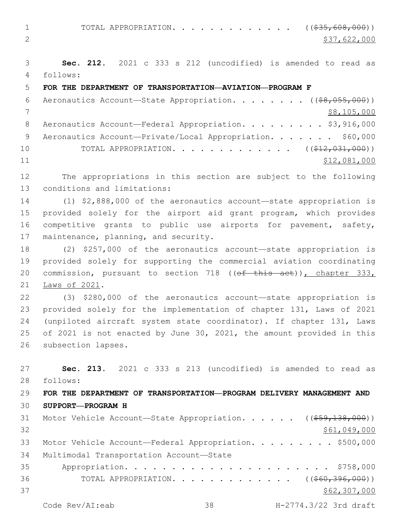1 TOTAL APPROPRIATION. . . . . . . . . . . . ((\$35,608,000)) 2  $\frac{1}{2}$   $\frac{537}{622}$ , 000

3 **Sec. 212.** 2021 c 333 s 212 (uncodified) is amended to read as follows: 4

## 5 **FOR THE DEPARTMENT OF TRANSPORTATION—AVIATION—PROGRAM F**

| 6  | Aeronautics Account-State Appropriation. ((\$8,055,000))  |
|----|-----------------------------------------------------------|
|    | \$8,105,000                                               |
| -8 | Aeronautics Account-Federal Appropriation. \$3,916,000    |
| 9  | Aeronautics Account-Private/Local Appropriation. \$60,000 |
| 10 | TOTAL APPROPRIATION. ( $(\frac{212}{122031000})$ )        |
| 11 | \$12,081,000                                              |

12 The appropriations in this section are subject to the following 13 conditions and limitations:

 (1) \$2,888,000 of the aeronautics account—state appropriation is provided solely for the airport aid grant program, which provides competitive grants to public use airports for pavement, safety, 17 maintenance, planning, and security.

18 (2) \$257,000 of the aeronautics account—state appropriation is 19 provided solely for supporting the commercial aviation coordinating 20 commission, pursuant to section 718 ((ef this act)), chapter 333, 21 Laws of 2021.

 (3) \$280,000 of the aeronautics account—state appropriation is provided solely for the implementation of chapter 131, Laws of 2021 (unpiloted aircraft system state coordinator). If chapter 131, Laws of 2021 is not enacted by June 30, 2021, the amount provided in this 26 subsection lapses.

27 **Sec. 213.** 2021 c 333 s 213 (uncodified) is amended to read as 28 follows:

## 29 **FOR THE DEPARTMENT OF TRANSPORTATION—PROGRAM DELIVERY MANAGEMENT AND**  30 **SUPPORT—PROGRAM H**

|    | 31 Motor Vehicle Account—State Appropriation. ((\$59,138,000)) |                                                        |                       |
|----|----------------------------------------------------------------|--------------------------------------------------------|-----------------------|
| 32 |                                                                |                                                        | \$61,049,000          |
| 33 | Motor Vehicle Account—Federal Appropriation. \$500,000         |                                                        |                       |
| 34 | Multimodal Transportation Account-State                        |                                                        |                       |
| 35 |                                                                |                                                        |                       |
| 36 |                                                                | TOTAL APPROPRIATION. ( $(\frac{660}{396}, 396, 000)$ ) |                       |
| 37 |                                                                |                                                        | \$62,307,000          |
|    | Code Rev/AI:eab                                                | $\sim$ 38                                              | H-2774.3/22 3rd draft |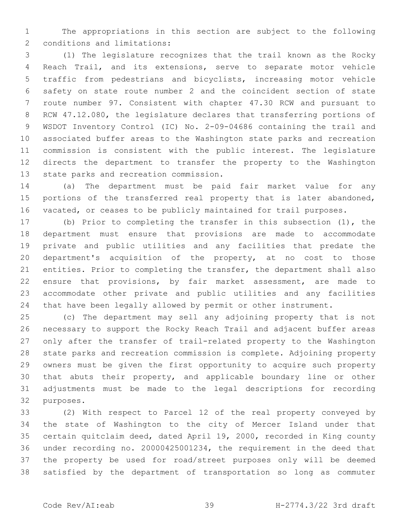The appropriations in this section are subject to the following 2 conditions and limitations:

 (1) The legislature recognizes that the trail known as the Rocky Reach Trail, and its extensions, serve to separate motor vehicle traffic from pedestrians and bicyclists, increasing motor vehicle safety on state route number 2 and the coincident section of state route number 97. Consistent with chapter 47.30 RCW and pursuant to RCW 47.12.080, the legislature declares that transferring portions of WSDOT Inventory Control (IC) No. 2-09-04686 containing the trail and associated buffer areas to the Washington state parks and recreation commission is consistent with the public interest. The legislature directs the department to transfer the property to the Washington 13 state parks and recreation commission.

 (a) The department must be paid fair market value for any portions of the transferred real property that is later abandoned, vacated, or ceases to be publicly maintained for trail purposes.

 (b) Prior to completing the transfer in this subsection (1), the department must ensure that provisions are made to accommodate private and public utilities and any facilities that predate the department's acquisition of the property, at no cost to those entities. Prior to completing the transfer, the department shall also ensure that provisions, by fair market assessment, are made to accommodate other private and public utilities and any facilities that have been legally allowed by permit or other instrument.

 (c) The department may sell any adjoining property that is not necessary to support the Rocky Reach Trail and adjacent buffer areas only after the transfer of trail-related property to the Washington state parks and recreation commission is complete. Adjoining property owners must be given the first opportunity to acquire such property that abuts their property, and applicable boundary line or other adjustments must be made to the legal descriptions for recording 32 purposes.

 (2) With respect to Parcel 12 of the real property conveyed by the state of Washington to the city of Mercer Island under that certain quitclaim deed, dated April 19, 2000, recorded in King county under recording no. 20000425001234, the requirement in the deed that the property be used for road/street purposes only will be deemed satisfied by the department of transportation so long as commuter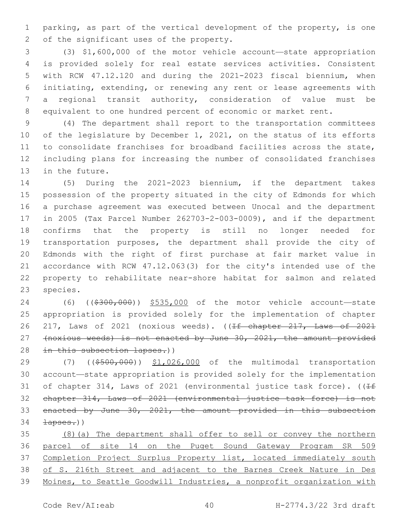parking, as part of the vertical development of the property, is one 2 of the significant uses of the property.

 (3) \$1,600,000 of the motor vehicle account—state appropriation is provided solely for real estate services activities. Consistent with RCW 47.12.120 and during the 2021-2023 fiscal biennium, when initiating, extending, or renewing any rent or lease agreements with a regional transit authority, consideration of value must be equivalent to one hundred percent of economic or market rent.

 (4) The department shall report to the transportation committees of the legislature by December 1, 2021, on the status of its efforts to consolidate franchises for broadband facilities across the state, including plans for increasing the number of consolidated franchises 13 in the future.

 (5) During the 2021-2023 biennium, if the department takes possession of the property situated in the city of Edmonds for which a purchase agreement was executed between Unocal and the department in 2005 (Tax Parcel Number 262703-2-003-0009), and if the department confirms that the property is still no longer needed for transportation purposes, the department shall provide the city of Edmonds with the right of first purchase at fair market value in accordance with RCW 47.12.063(3) for the city's intended use of the property to rehabilitate near-shore habitat for salmon and related 23 species.

24 (6) ((\$300,000)) \$535,000 of the motor vehicle account—state appropriation is provided solely for the implementation of chapter 26 217, Laws of 2021 (noxious weeds). ((If chapter 217, Laws of 2021 (noxious weeds) is not enacted by June 30, 2021, the amount provided 28 in this subsection lapses.))

29 (7) ((\$500,000)) \$1,026,000 of the multimodal transportation account—state appropriation is provided solely for the implementation 31 of chapter 314, Laws of 2021 (environmental justice task force). ( $\sqrt{1+f}$  chapter 314, Laws of 2021 (environmental justice task force) is not enacted by June 30, 2021, the amount provided in this subsection  $\frac{1}{2}$   $\frac{1}{2}$   $\frac{1}{2}$   $\frac{1}{2}$   $\frac{1}{2}$   $\frac{1}{2}$   $\frac{1}{2}$   $\frac{1}{2}$   $\frac{1}{2}$   $\frac{1}{2}$   $\frac{1}{2}$   $\frac{1}{2}$   $\frac{1}{2}$   $\frac{1}{2}$   $\frac{1}{2}$   $\frac{1}{2}$   $\frac{1}{2}$   $\frac{1}{2}$   $\frac{1}{2}$   $\frac{1}{2}$   $\frac{1}{2}$   $\frac{1}{$ 

 (8)(a) The department shall offer to sell or convey the northern parcel of site 14 on the Puget Sound Gateway Program SR 509 37 Completion Project Surplus Property list, located immediately south of S. 216th Street and adjacent to the Barnes Creek Nature in Des Moines, to Seattle Goodwill Industries, a nonprofit organization with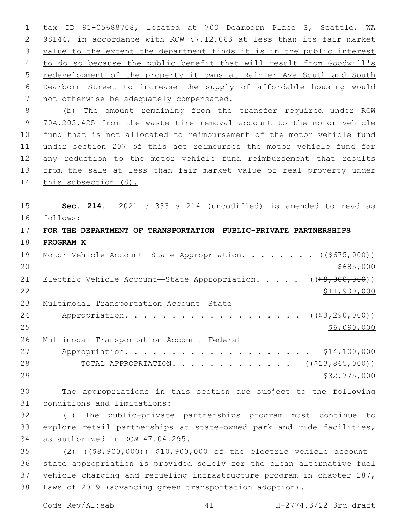tax ID 91-05688708, located at 700 Dearborn Place S, Seattle, WA 2 98144, in accordance with RCW 47.12.063 at less than its fair market value to the extent the department finds it is in the public interest to do so because the public benefit that will result from Goodwill's redevelopment of the property it owns at Rainier Ave South and South Dearborn Street to increase the supply of affordable housing would 7 not otherwise be adequately compensated. (b) The amount remaining from the transfer required under RCW 70A.205.425 from the waste tire removal account to the motor vehicle fund that is not allocated to reimbursement of the motor vehicle fund under section 207 of this act reimburses the motor vehicle fund for any reduction to the motor vehicle fund reimbursement that results 13 from the sale at less than fair market value of real property under 14 this subsection (8). **Sec. 214.** 2021 c 333 s 214 (uncodified) is amended to read as follows: 16 **FOR THE DEPARTMENT OF TRANSPORTATION—PUBLIC-PRIVATE PARTNERSHIPS— PROGRAM K** 19 Motor Vehicle Account—State Appropriation. . . . . . . ((\$675,000))  $20 \frac{\$685,000}{}$ 21 Electric Vehicle Account—State Appropriation. . . . . ((\$9,900,000)) \$11,900,000 23 Multimodal Transportation Account-State 24 Appropriation. . . . . . . . . . . . . . . . . (  $(\frac{23}{2}, \frac{290}{100})$  ) \$6,090,000 Multimodal Transportation Account—Federal Appropriation. . . . . . . . . . . . . . . . . . . . \$14,100,000 28 TOTAL APPROPRIATION. . . . . . . . . . . . . ((\$13,865,000)) \$32,775,000 The appropriations in this section are subject to the following 31 conditions and limitations: (1) The public-private partnerships program must continue to explore retail partnerships at state-owned park and ride facilities, 34 as authorized in RCW 47.04.295. 35 (2) ((\$8,900,000)) \$10,900,000 of the electric vehicle account- state appropriation is provided solely for the clean alternative fuel vehicle charging and refueling infrastructure program in chapter 287,

Laws of 2019 (advancing green transportation adoption).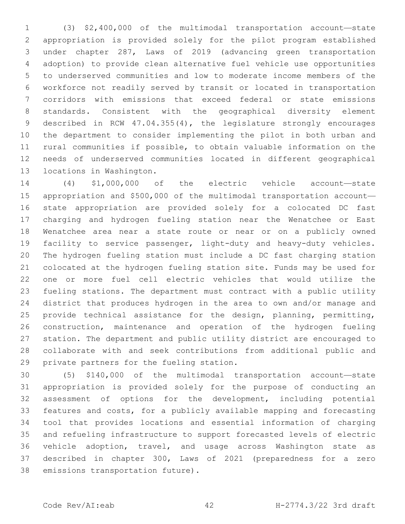(3) \$2,400,000 of the multimodal transportation account—state appropriation is provided solely for the pilot program established under chapter 287, Laws of 2019 (advancing green transportation adoption) to provide clean alternative fuel vehicle use opportunities to underserved communities and low to moderate income members of the workforce not readily served by transit or located in transportation corridors with emissions that exceed federal or state emissions standards. Consistent with the geographical diversity element described in RCW 47.04.355(4), the legislature strongly encourages the department to consider implementing the pilot in both urban and rural communities if possible, to obtain valuable information on the needs of underserved communities located in different geographical 13 locations in Washington.

 (4) \$1,000,000 of the electric vehicle account—state appropriation and \$500,000 of the multimodal transportation account— state appropriation are provided solely for a colocated DC fast charging and hydrogen fueling station near the Wenatchee or East Wenatchee area near a state route or near or on a publicly owned 19 facility to service passenger, light-duty and heavy-duty vehicles. The hydrogen fueling station must include a DC fast charging station colocated at the hydrogen fueling station site. Funds may be used for one or more fuel cell electric vehicles that would utilize the fueling stations. The department must contract with a public utility district that produces hydrogen in the area to own and/or manage and provide technical assistance for the design, planning, permitting, construction, maintenance and operation of the hydrogen fueling station. The department and public utility district are encouraged to collaborate with and seek contributions from additional public and 29 private partners for the fueling station.

 (5) \$140,000 of the multimodal transportation account—state appropriation is provided solely for the purpose of conducting an assessment of options for the development, including potential features and costs, for a publicly available mapping and forecasting tool that provides locations and essential information of charging and refueling infrastructure to support forecasted levels of electric vehicle adoption, travel, and usage across Washington state as described in chapter 300, Laws of 2021 (preparedness for a zero 38 emissions transportation future).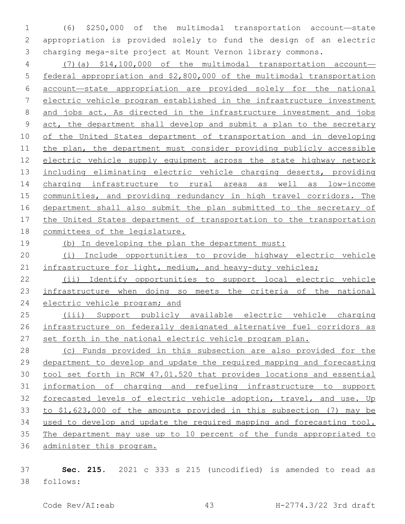(6) \$250,000 of the multimodal transportation account—state appropriation is provided solely to fund the design of an electric charging mega-site project at Mount Vernon library commons.

 (7)(a) \$14,100,000 of the multimodal transportation account— federal appropriation and \$2,800,000 of the multimodal transportation account—state appropriation are provided solely for the national electric vehicle program established in the infrastructure investment and jobs act. As directed in the infrastructure investment and jobs act, the department shall develop and submit a plan to the secretary of the United States department of transportation and in developing the plan, the department must consider providing publicly accessible electric vehicle supply equipment across the state highway network including eliminating electric vehicle charging deserts, providing charging infrastructure to rural areas as well as low-income communities, and providing redundancy in high travel corridors. The department shall also submit the plan submitted to the secretary of the United States department of transportation to the transportation committees of the legislature.

(b) In developing the plan the department must:

 (i) Include opportunities to provide highway electric vehicle 21 infrastructure for light, medium, and heavy-duty vehicles;

 (ii) Identify opportunities to support local electric vehicle infrastructure when doing so meets the criteria of the national 24 electric vehicle program; and

 (iii) Support publicly available electric vehicle charging infrastructure on federally designated alternative fuel corridors as set forth in the national electric vehicle program plan.

 (c) Funds provided in this subsection are also provided for the department to develop and update the required mapping and forecasting tool set forth in RCW 47.01.520 that provides locations and essential information of charging and refueling infrastructure to support forecasted levels of electric vehicle adoption, travel, and use. Up to \$1,623,000 of the amounts provided in this subsection (7) may be used to develop and update the required mapping and forecasting tool. The department may use up to 10 percent of the funds appropriated to administer this program.

 **Sec. 215.** 2021 c 333 s 215 (uncodified) is amended to read as follows: 38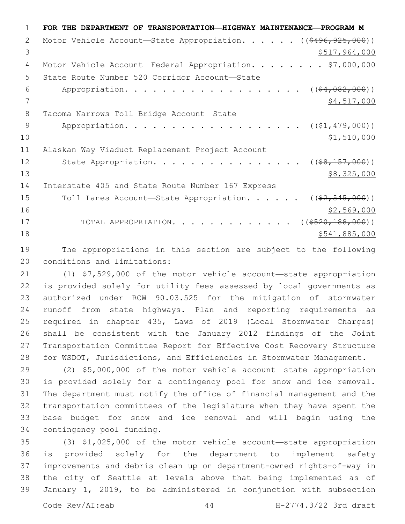**FOR THE DEPARTMENT OF TRANSPORTATION—HIGHWAY MAINTENANCE—PROGRAM M** 2 Motor Vehicle Account—State Appropriation. . . . . ((\$496,925,000))  $3 \times 517,964,000$ 4 Motor Vehicle Account—Federal Appropriation. . . . . . . \$7,000,000 5 State Route Number 520 Corridor Account-State 6 Appropriation. . . . . . . . . . . . . . . . . (  $(\frac{64,082,000}{5}, \frac{000}{5})$   $\frac{1}{2}$   $\frac{1}{2}$   $\frac{1}{2}$   $\frac{1}{2}$   $\frac{1}{2}$   $\frac{1}{2}$   $\frac{1}{2}$   $\frac{1}{2}$   $\frac{1}{2}$   $\frac{1}{2}$   $\frac{1}{2}$   $\frac{1}{2}$   $\frac{1}{2}$   $\frac{1}{2}$   $\frac{1}{2}$   $\frac{1}{2}$   $\frac{1}{2}$   $\frac{1}{2}$   $\frac{1}{2}$   $\frac{1}{2}$   $\frac{1}{2}$   $\frac{1}{2$ 8 Tacoma Narrows Toll Bridge Account-State 9 Appropriation. . . . . . . . . . . . . . . . . (  $(\frac{1}{21}, 479, 000)$  ) \$1,510,000 Alaskan Way Viaduct Replacement Project Account— 12 State Appropriation. . . . . . . . . . . . . . . (  $(\frac{28}{157,000})$  )  $\frac{13}{88,325,000}$ 14 Interstate 405 and State Route Number 167 Express 15 Toll Lanes Account—State Appropriation. . . . . ((\$2,545,000)) \$2,569,000 17 TOTAL APPROPRIATION. . . . . . . . . . . . . ((\$520,188,000)) \$541,885,000

 The appropriations in this section are subject to the following 20 conditions and limitations:

 (1) \$7,529,000 of the motor vehicle account—state appropriation is provided solely for utility fees assessed by local governments as authorized under RCW 90.03.525 for the mitigation of stormwater runoff from state highways. Plan and reporting requirements as required in chapter 435, Laws of 2019 (Local Stormwater Charges) shall be consistent with the January 2012 findings of the Joint Transportation Committee Report for Effective Cost Recovery Structure for WSDOT, Jurisdictions, and Efficiencies in Stormwater Management.

 (2) \$5,000,000 of the motor vehicle account—state appropriation is provided solely for a contingency pool for snow and ice removal. The department must notify the office of financial management and the transportation committees of the legislature when they have spent the base budget for snow and ice removal and will begin using the 34 contingency pool funding.

 (3) \$1,025,000 of the motor vehicle account—state appropriation is provided solely for the department to implement safety improvements and debris clean up on department-owned rights-of-way in the city of Seattle at levels above that being implemented as of January 1, 2019, to be administered in conjunction with subsection

Code Rev/AI:eab 44 H-2774.3/22 3rd draft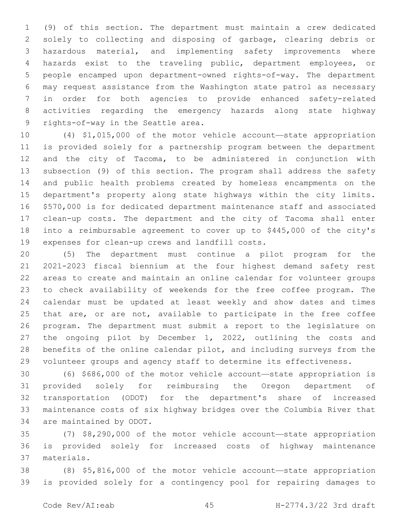(9) of this section. The department must maintain a crew dedicated solely to collecting and disposing of garbage, clearing debris or hazardous material, and implementing safety improvements where hazards exist to the traveling public, department employees, or people encamped upon department-owned rights-of-way. The department may request assistance from the Washington state patrol as necessary in order for both agencies to provide enhanced safety-related activities regarding the emergency hazards along state highway 9 rights-of-way in the Seattle area.

 (4) \$1,015,000 of the motor vehicle account—state appropriation is provided solely for a partnership program between the department and the city of Tacoma, to be administered in conjunction with subsection (9) of this section. The program shall address the safety and public health problems created by homeless encampments on the department's property along state highways within the city limits. \$570,000 is for dedicated department maintenance staff and associated clean-up costs. The department and the city of Tacoma shall enter into a reimbursable agreement to cover up to \$445,000 of the city's 19 expenses for clean-up crews and landfill costs.

 (5) The department must continue a pilot program for the 2021-2023 fiscal biennium at the four highest demand safety rest areas to create and maintain an online calendar for volunteer groups to check availability of weekends for the free coffee program. The calendar must be updated at least weekly and show dates and times 25 that are, or are not, available to participate in the free coffee program. The department must submit a report to the legislature on the ongoing pilot by December 1, 2022, outlining the costs and benefits of the online calendar pilot, and including surveys from the 29 volunteer groups and agency staff to determine its effectiveness.

 (6) \$686,000 of the motor vehicle account—state appropriation is provided solely for reimbursing the Oregon department of transportation (ODOT) for the department's share of increased maintenance costs of six highway bridges over the Columbia River that 34 are maintained by ODOT.

 (7) \$8,290,000 of the motor vehicle account—state appropriation is provided solely for increased costs of highway maintenance materials.37

 (8) \$5,816,000 of the motor vehicle account—state appropriation is provided solely for a contingency pool for repairing damages to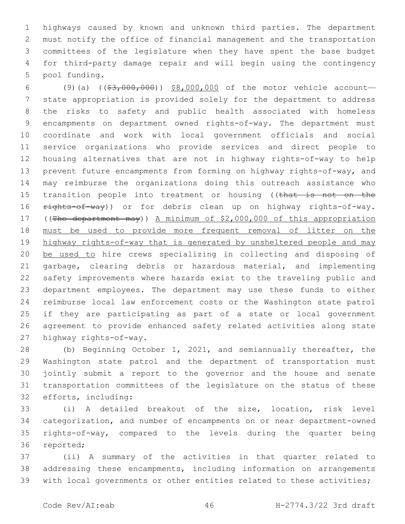highways caused by known and unknown third parties. The department must notify the office of financial management and the transportation committees of the legislature when they have spent the base budget for third-party damage repair and will begin using the contingency 5 pool funding.

 (9)(a) ((\$3,000,000)) \$8,000,000 of the motor vehicle account— state appropriation is provided solely for the department to address the risks to safety and public health associated with homeless encampments on department owned rights-of-way. The department must coordinate and work with local government officials and social service organizations who provide services and direct people to housing alternatives that are not in highway rights-of-way to help prevent future encampments from forming on highway rights-of-way, and may reimburse the organizations doing this outreach assistance who 15 transition people into treatment or housing ((that is not on the 16 rights-of-way)) or for debris clean up on highway rights-of-way. ((The department may)) A minimum of \$2,000,000 of this appropriation must be used to provide more frequent removal of litter on the highway rights-of-way that is generated by unsheltered people and may be used to hire crews specializing in collecting and disposing of garbage, clearing debris or hazardous material, and implementing safety improvements where hazards exist to the traveling public and department employees. The department may use these funds to either reimburse local law enforcement costs or the Washington state patrol if they are participating as part of a state or local government agreement to provide enhanced safety related activities along state 27 highway rights-of-way.

 (b) Beginning October 1, 2021, and semiannually thereafter, the Washington state patrol and the department of transportation must jointly submit a report to the governor and the house and senate transportation committees of the legislature on the status of these 32 efforts, including:

 (i) A detailed breakout of the size, location, risk level categorization, and number of encampments on or near department-owned rights-of-way, compared to the levels during the quarter being 36 reported;

 (ii) A summary of the activities in that quarter related to addressing these encampments, including information on arrangements with local governments or other entities related to these activities;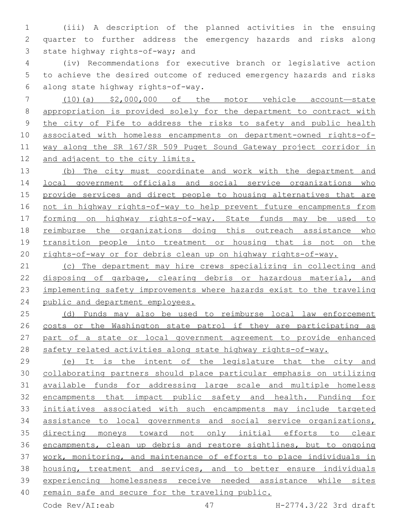(iii) A description of the planned activities in the ensuing quarter to further address the emergency hazards and risks along 3 state highway rights-of-way; and

 (iv) Recommendations for executive branch or legislative action to achieve the desired outcome of reduced emergency hazards and risks along state highway rights-of-way.6

 (10)(a) \$2,000,000 of the motor vehicle account—state appropriation is provided solely for the department to contract with the city of Fife to address the risks to safety and public health associated with homeless encampments on department-owned rights-of- way along the SR 167/SR 509 Puget Sound Gateway project corridor in and adjacent to the city limits.

 (b) The city must coordinate and work with the department and local government officials and social service organizations who provide services and direct people to housing alternatives that are not in highway rights-of-way to help prevent future encampments from forming on highway rights-of-way. State funds may be used to reimburse the organizations doing this outreach assistance who transition people into treatment or housing that is not on the rights-of-way or for debris clean up on highway rights-of-way.

 (c) The department may hire crews specializing in collecting and disposing of garbage, clearing debris or hazardous material, and implementing safety improvements where hazards exist to the traveling public and department employees.

 (d) Funds may also be used to reimburse local law enforcement costs or the Washington state patrol if they are participating as part of a state or local government agreement to provide enhanced safety related activities along state highway rights-of-way.

29 (e) It is the intent of the legislature that the city and collaborating partners should place particular emphasis on utilizing available funds for addressing large scale and multiple homeless encampments that impact public safety and health. Funding for initiatives associated with such encampments may include targeted assistance to local governments and social service organizations, directing moneys toward not only initial efforts to clear encampments, clean up debris and restore sightlines, but to ongoing work, monitoring, and maintenance of efforts to place individuals in housing, treatment and services, and to better ensure individuals experiencing homelessness receive needed assistance while sites 40 remain safe and secure for the traveling public.

Code Rev/AI:eab 47 H-2774.3/22 3rd draft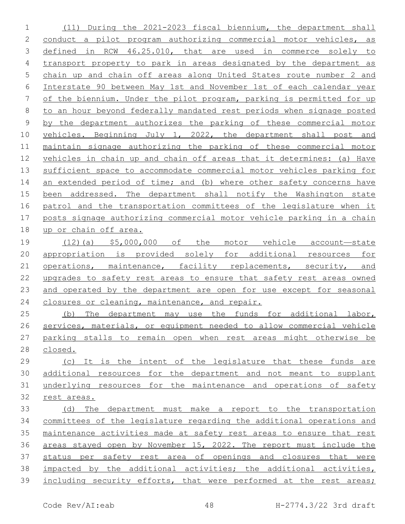(11) During the 2021-2023 fiscal biennium, the department shall conduct a pilot program authorizing commercial motor vehicles, as defined in RCW 46.25.010, that are used in commerce solely to transport property to park in areas designated by the department as chain up and chain off areas along United States route number 2 and Interstate 90 between May 1st and November 1st of each calendar year of the biennium. Under the pilot program, parking is permitted for up to an hour beyond federally mandated rest periods when signage posted by the department authorizes the parking of these commercial motor vehicles. Beginning July 1, 2022, the department shall post and maintain signage authorizing the parking of these commercial motor vehicles in chain up and chain off areas that it determines: (a) Have sufficient space to accommodate commercial motor vehicles parking for 14 an extended period of time; and (b) where other safety concerns have been addressed. The department shall notify the Washington state patrol and the transportation committees of the legislature when it posts signage authorizing commercial motor vehicle parking in a chain up or chain off area. (12)(a) \$5,000,000 of the motor vehicle account—state appropriation is provided solely for additional resources for 21 operations, maintenance, facility replacements, security, and upgrades to safety rest areas to ensure that safety rest areas owned and operated by the department are open for use except for seasonal 24 closures or cleaning, maintenance, and repair. (b) The department may use the funds for additional labor, services, materials, or equipment needed to allow commercial vehicle parking stalls to remain open when rest areas might otherwise be closed. (c) It is the intent of the legislature that these funds are additional resources for the department and not meant to supplant underlying resources for the maintenance and operations of safety rest areas. (d) The department must make a report to the transportation

 committees of the legislature regarding the additional operations and maintenance activities made at safety rest areas to ensure that rest areas stayed open by November 15, 2022. The report must include the status per safety rest area of openings and closures that were impacted by the additional activities; the additional activities, including security efforts, that were performed at the rest areas;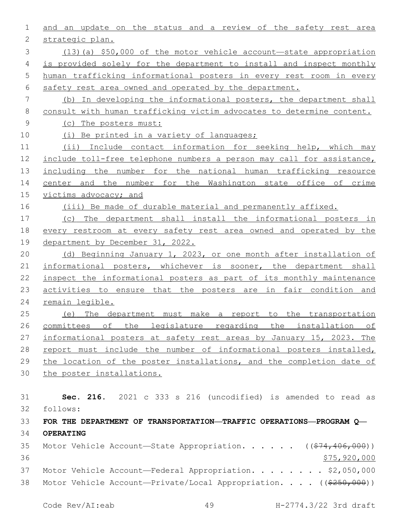| 1  | and an update on the status and a review of the safety rest area         |
|----|--------------------------------------------------------------------------|
| 2  | strategic plan.                                                          |
| 3  | (13) (a) \$50,000 of the motor vehicle account-state appropriation       |
| 4  | is provided solely for the department to install and inspect monthly     |
| 5  | human trafficking informational posters in every rest room in every      |
| 6  | safety rest area owned and operated by the department.                   |
| 7  | (b) In developing the informational posters, the department shall        |
| 8  | consult with human trafficking victim advocates to determine content.    |
| 9  | (C)<br>The posters must:                                                 |
| 10 | Be printed in a variety of languages;<br>(i)                             |
| 11 | (ii) Include contact information for seeking help, which may             |
| 12 | include toll-free telephone numbers a person may call for assistance,    |
| 13 | including the number for the national human trafficking resource         |
| 14 | center and the number for the Washington state office of crime           |
| 15 | victims advocacy; and                                                    |
| 16 | (iii) Be made of durable material and permanently affixed.               |
| 17 | The department shall install the informational posters in<br>(C)         |
| 18 | every restroom at every safety rest area owned and operated by the       |
| 19 | department by December 31, 2022.                                         |
| 20 | (d) Beginning January 1, 2023, or one month after installation of        |
| 21 | informational posters, whichever is sooner, the department shall         |
| 22 | inspect the informational posters as part of its monthly maintenance     |
| 23 | activities to ensure that the posters are in fair condition and          |
| 24 | remain legible.                                                          |
| 25 | The department must make a report to the transportation<br>(e)           |
| 26 | committees of the legislature regarding the installation of              |
| 27 | informational posters at safety rest areas by January 15, 2023. The      |
| 28 | report must include the number of informational posters installed,       |
| 29 | the location of the poster installations, and the completion date of     |
| 30 | the poster installations.                                                |
|    |                                                                          |
| 31 | Sec. 216. 2021 c 333 s 216 (uncodified) is amended to read as            |
| 32 | follows:                                                                 |
| 33 | FOR THE DEPARTMENT OF TRANSPORTATION—TRAFFIC OPERATIONS—PROGRAM Q—       |
| 34 | OPERATING                                                                |
| 35 | Motor Vehicle Account-State Appropriation. ( $(\frac{274,406,000}{s})$ ) |
| 36 | \$75,920,000                                                             |
| 37 | Motor Vehicle Account-Federal Appropriation. \$2,050,000                 |
| 38 | Motor Vehicle Account-Private/Local Appropriation. ((\$250,000))         |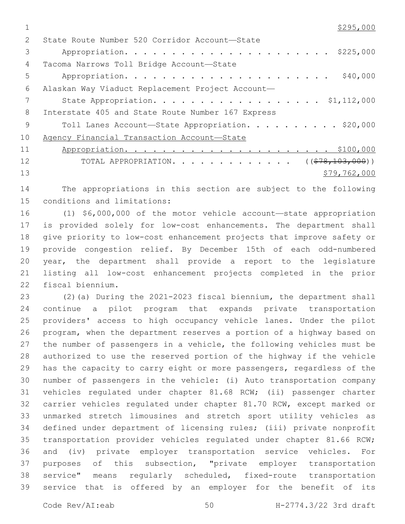$\frac{$295,000}{ }$ 

| $\mathcal{P}$ | State Route Number 520 Corridor Account-State     |
|---------------|---------------------------------------------------|
| 3             |                                                   |
| 4             | Tacoma Narrows Toll Bridge Account-State          |
| 5             | \$40,000                                          |
| 6             | Alaskan Way Viaduct Replacement Project Account-  |
|               | State Appropriation. \$1,112,000                  |
| 8             | Interstate 405 and State Route Number 167 Express |
| $\mathsf{Q}$  | Toll Lanes Account-State Appropriation. \$20,000  |
| 10            | Agency Financial Transaction Account-State        |
| 11            |                                                   |
| 12            | TOTAL APPROPRIATION. ( $(\frac{278}{103},000)$ )  |
| 13            | \$79,762,000                                      |
|               |                                                   |

 The appropriations in this section are subject to the following 15 conditions and limitations:

 (1) \$6,000,000 of the motor vehicle account—state appropriation is provided solely for low-cost enhancements. The department shall give priority to low-cost enhancement projects that improve safety or provide congestion relief. By December 15th of each odd-numbered year, the department shall provide a report to the legislature listing all low-cost enhancement projects completed in the prior 22 fiscal biennium.

 (2)(a) During the 2021-2023 fiscal biennium, the department shall continue a pilot program that expands private transportation providers' access to high occupancy vehicle lanes. Under the pilot program, when the department reserves a portion of a highway based on the number of passengers in a vehicle, the following vehicles must be authorized to use the reserved portion of the highway if the vehicle has the capacity to carry eight or more passengers, regardless of the number of passengers in the vehicle: (i) Auto transportation company vehicles regulated under chapter 81.68 RCW; (ii) passenger charter carrier vehicles regulated under chapter 81.70 RCW, except marked or unmarked stretch limousines and stretch sport utility vehicles as defined under department of licensing rules; (iii) private nonprofit transportation provider vehicles regulated under chapter 81.66 RCW; and (iv) private employer transportation service vehicles. For purposes of this subsection, "private employer transportation service" means regularly scheduled, fixed-route transportation service that is offered by an employer for the benefit of its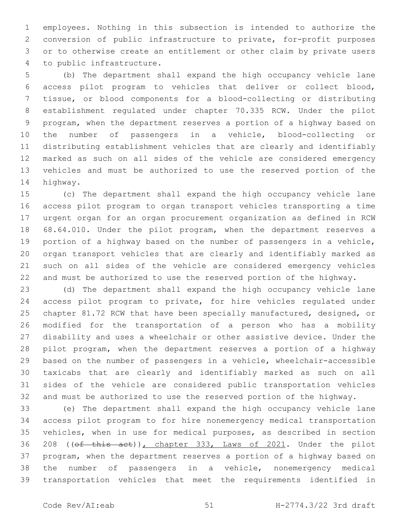employees. Nothing in this subsection is intended to authorize the conversion of public infrastructure to private, for-profit purposes or to otherwise create an entitlement or other claim by private users 4 to public infrastructure.

 (b) The department shall expand the high occupancy vehicle lane access pilot program to vehicles that deliver or collect blood, tissue, or blood components for a blood-collecting or distributing establishment regulated under chapter 70.335 RCW. Under the pilot program, when the department reserves a portion of a highway based on the number of passengers in a vehicle, blood-collecting or distributing establishment vehicles that are clearly and identifiably marked as such on all sides of the vehicle are considered emergency vehicles and must be authorized to use the reserved portion of the 14 highway.

 (c) The department shall expand the high occupancy vehicle lane access pilot program to organ transport vehicles transporting a time urgent organ for an organ procurement organization as defined in RCW 68.64.010. Under the pilot program, when the department reserves a portion of a highway based on the number of passengers in a vehicle, organ transport vehicles that are clearly and identifiably marked as such on all sides of the vehicle are considered emergency vehicles and must be authorized to use the reserved portion of the highway.

 (d) The department shall expand the high occupancy vehicle lane access pilot program to private, for hire vehicles regulated under chapter 81.72 RCW that have been specially manufactured, designed, or modified for the transportation of a person who has a mobility disability and uses a wheelchair or other assistive device. Under the pilot program, when the department reserves a portion of a highway based on the number of passengers in a vehicle, wheelchair-accessible taxicabs that are clearly and identifiably marked as such on all sides of the vehicle are considered public transportation vehicles and must be authorized to use the reserved portion of the highway.

 (e) The department shall expand the high occupancy vehicle lane access pilot program to for hire nonemergency medical transportation vehicles, when in use for medical purposes, as described in section 208 ((of this act)), chapter 333, Laws of 2021. Under the pilot program, when the department reserves a portion of a highway based on the number of passengers in a vehicle, nonemergency medical transportation vehicles that meet the requirements identified in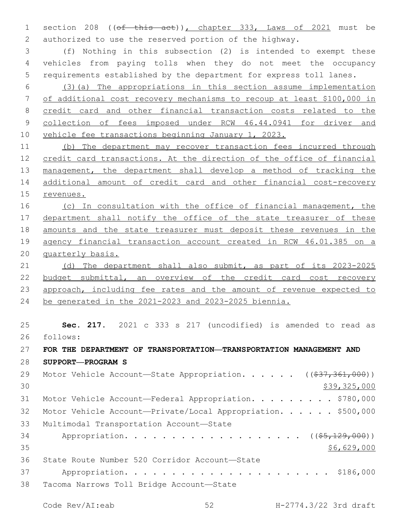1 section 208 ((of this act)), chapter 333, Laws of 2021 must be authorized to use the reserved portion of the highway.

 (f) Nothing in this subsection (2) is intended to exempt these vehicles from paying tolls when they do not meet the occupancy requirements established by the department for express toll lanes.

 (3)(a) The appropriations in this section assume implementation of additional cost recovery mechanisms to recoup at least \$100,000 in credit card and other financial transaction costs related to the collection of fees imposed under RCW 46.44.0941 for driver and 10 vehicle fee transactions beginning January 1, 2023.

 (b) The department may recover transaction fees incurred through credit card transactions. At the direction of the office of financial 13 management, the department shall develop a method of tracking the additional amount of credit card and other financial cost-recovery revenues.

 (c) In consultation with the office of financial management, the 17 department shall notify the office of the state treasurer of these amounts and the state treasurer must deposit these revenues in the agency financial transaction account created in RCW 46.01.385 on a quarterly basis.

21 (d) The department shall also submit, as part of its 2023-2025 budget submittal, an overview of the credit card cost recovery approach, including fee rates and the amount of revenue expected to be generated in the 2021-2023 and 2023-2025 biennia.

 **Sec. 217.** 2021 c 333 s 217 (uncodified) is amended to read as 26 follows:

## **FOR THE DEPARTMENT OF TRANSPORTATION—TRANSPORTATION MANAGEMENT AND**

**SUPPORT—PROGRAM S**

| 29 | Motor Vehicle Account—State Appropriation. ((\$37,361,000))  |
|----|--------------------------------------------------------------|
| 30 | \$39,325,000                                                 |
| 31 | Motor Vehicle Account-Federal Appropriation. \$780,000       |
| 32 | Motor Vehicle Account-Private/Local Appropriation. \$500,000 |
| 33 | Multimodal Transportation Account-State                      |
| 34 | Appropriation. ( $(\frac{25}{129}, 000)$ )                   |
| 35 | \$6,629,000                                                  |
| 36 | State Route Number 520 Corridor Account-State                |
| 37 |                                                              |
| 38 | Tacoma Narrows Toll Bridge Account-State                     |
|    |                                                              |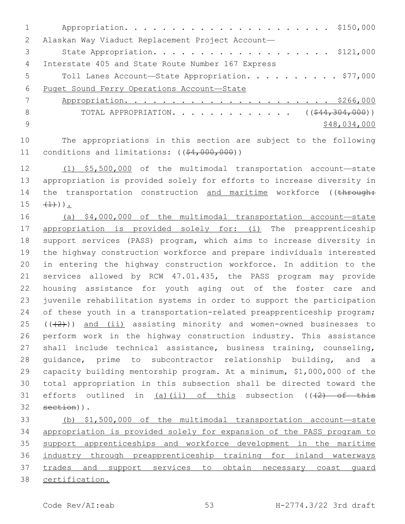| 2   | Alaskan Way Viaduct Replacement Project Account-                |
|-----|-----------------------------------------------------------------|
| 3   | State Appropriation. \$121,000                                  |
| 4   | Interstate 405 and State Route Number 167 Express               |
| 5   | Toll Lanes Account-State Appropriation. \$77,000                |
| 6   | Puget Sound Ferry Operations Account-State                      |
|     |                                                                 |
| 8   | TOTAL APPROPRIATION. ( $(\frac{244}{304}, \frac{304}{000})$ )   |
| - 9 | \$48,034,000                                                    |
| 10  | The appropriations in this section are subject to the following |

 (1) \$5,500,000 of the multimodal transportation account—state appropriation is provided solely for efforts to increase diversity in 14 the transportation construction and maritime workforce ((through:  $15 \quad (+1)$ ).

11 conditions and limitations: ((\$4,000,000))

 (a) \$4,000,000 of the multimodal transportation account—state 17 appropriation is provided solely for: (i) The preapprenticeship support services (PASS) program, which aims to increase diversity in the highway construction workforce and prepare individuals interested in entering the highway construction workforce. In addition to the services allowed by RCW 47.01.435, the PASS program may provide housing assistance for youth aging out of the foster care and juvenile rehabilitation systems in order to support the participation 24 of these youth in a transportation-related preapprenticeship program;  $((+2))$  and  $(i)$  assisting minority and women-owned businesses to perform work in the highway construction industry. This assistance shall include technical assistance, business training, counseling, guidance, prime to subcontractor relationship building, and a capacity building mentorship program. At a minimum, \$1,000,000 of the total appropriation in this subsection shall be directed toward the 31 efforts outlined in (a)(ii) of this subsection  $((+2)$  of this 32 section)).

 (b) \$1,500,000 of the multimodal transportation account—state appropriation is provided solely for expansion of the PASS program to 35 support apprenticeships and workforce development in the maritime industry through preapprenticeship training for inland waterways trades and support services to obtain necessary coast guard certification.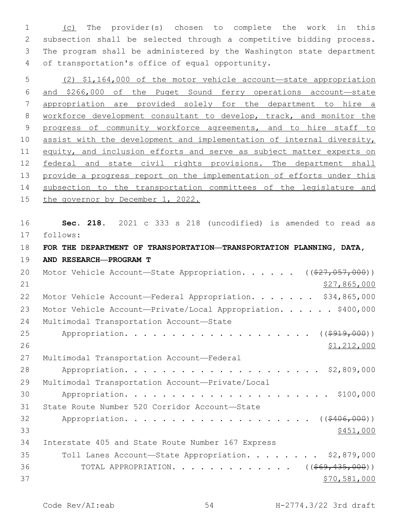(c) The provider(s) chosen to complete the work in this subsection shall be selected through a competitive bidding process. The program shall be administered by the Washington state department 4 of transportation's office of equal opportunity.

5 (2) \$1,164,000 of the motor vehicle account—state appropriation 6 and \$266,000 of the Puget Sound ferry operations account—state 7 appropriation are provided solely for the department to hire a 8 workforce development consultant to develop, track, and monitor the 9 progress of community workforce agreements, and to hire staff to 10 assist with the development and implementation of internal diversity, 11 equity, and inclusion efforts and serve as subject matter experts on 12 federal and state civil rights provisions. The department shall 13 provide a progress report on the implementation of efforts under this 14 subsection to the transportation committees of the legislature and 15 the governor by December 1, 2022.

 **Sec. 218.** 2021 c 333 s 218 (uncodified) is amended to read as follows: 17 **FOR THE DEPARTMENT OF TRANSPORTATION—TRANSPORTATION PLANNING, DATA, AND RESEARCH—PROGRAM T**

20 Motor Vehicle Account—State Appropriation. . . . . ((\$27,057,000)) 21 \$27,865,000 22 Motor Vehicle Account—Federal Appropriation. . . . . . \$34,865,000 23 Motor Vehicle Account-Private/Local Appropriation. . . . . \$400,000 24 Multimodal Transportation Account-State 25 Appropriation. . . . . . . . . . . . . . . . . . (  $(\frac{2919,000}{1})$ 26 \$1,212,000 27 Multimodal Transportation Account-Federal 28 Appropriation. . . . . . . . . . . . . . . . . . . . . \$2,809,000 29 Multimodal Transportation Account-Private/Local 30 Appropriation. . . . . . . . . . . . . . . . . . . . . . \$100,000 31 State Route Number 520 Corridor Account-State 32 Appropriation. . . . . . . . . . . . . . . . . . (  $(\frac{\$406,000)}{600})$  $33$   $\frac{$451,000}{9}$ 34 Interstate 405 and State Route Number 167 Express 35 Toll Lanes Account—State Appropriation. . . . . . . . \$2,879,000 36 TOTAL APPROPRIATION. . . . . . . . . . . . . ((<del>\$69,435,000</del>))  $37$  \$70,581,000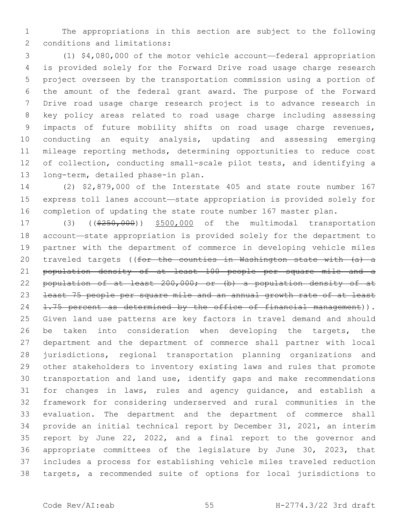The appropriations in this section are subject to the following 2 conditions and limitations:

 (1) \$4,080,000 of the motor vehicle account—federal appropriation is provided solely for the Forward Drive road usage charge research project overseen by the transportation commission using a portion of the amount of the federal grant award. The purpose of the Forward Drive road usage charge research project is to advance research in key policy areas related to road usage charge including assessing impacts of future mobility shifts on road usage charge revenues, conducting an equity analysis, updating and assessing emerging mileage reporting methods, determining opportunities to reduce cost of collection, conducting small-scale pilot tests, and identifying a 13 long-term, detailed phase-in plan.

 (2) \$2,879,000 of the Interstate 405 and state route number 167 express toll lanes account—state appropriation is provided solely for completion of updating the state route number 167 master plan.

17 (3) ((\$250,000)) \$500,000 of the multimodal transportation account—state appropriation is provided solely for the department to partner with the department of commerce in developing vehicle miles 20 traveled targets ((for the counties in Washington state with (a) a population density of at least 100 people per square mile and a 22 population of at least 200,000; or (b) a population density of at least 75 people per square mile and an annual growth rate of at least 24 1.75 percent as determined by the office of financial management)). Given land use patterns are key factors in travel demand and should 26 be taken into consideration when developing the targets, the department and the department of commerce shall partner with local jurisdictions, regional transportation planning organizations and other stakeholders to inventory existing laws and rules that promote transportation and land use, identify gaps and make recommendations for changes in laws, rules and agency guidance, and establish a framework for considering underserved and rural communities in the evaluation. The department and the department of commerce shall provide an initial technical report by December 31, 2021, an interim report by June 22, 2022, and a final report to the governor and appropriate committees of the legislature by June 30, 2023, that includes a process for establishing vehicle miles traveled reduction targets, a recommended suite of options for local jurisdictions to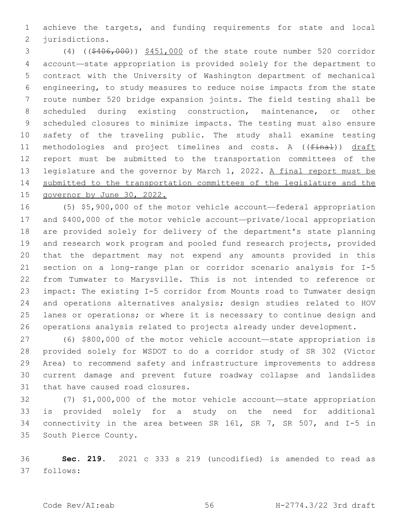achieve the targets, and funding requirements for state and local 2 jurisdictions.

 (4) ((\$406,000)) \$451,000 of the state route number 520 corridor account—state appropriation is provided solely for the department to contract with the University of Washington department of mechanical engineering, to study measures to reduce noise impacts from the state route number 520 bridge expansion joints. The field testing shall be scheduled during existing construction, maintenance, or other scheduled closures to minimize impacts. The testing must also ensure safety of the traveling public. The study shall examine testing 11 methodologies and project timelines and costs. A ((final)) draft report must be submitted to the transportation committees of the legislature and the governor by March 1, 2022. A final report must be submitted to the transportation committees of the legislature and the governor by June 30, 2022.

 (5) \$5,900,000 of the motor vehicle account—federal appropriation and \$400,000 of the motor vehicle account—private/local appropriation are provided solely for delivery of the department's state planning 19 and research work program and pooled fund research projects, provided that the department may not expend any amounts provided in this section on a long-range plan or corridor scenario analysis for I-5 from Tumwater to Marysville. This is not intended to reference or impact: The existing I-5 corridor from Mounts road to Tumwater design and operations alternatives analysis; design studies related to HOV lanes or operations; or where it is necessary to continue design and operations analysis related to projects already under development.

 (6) \$800,000 of the motor vehicle account—state appropriation is provided solely for WSDOT to do a corridor study of SR 302 (Victor Area) to recommend safety and infrastructure improvements to address current damage and prevent future roadway collapse and landslides 31 that have caused road closures.

 (7) \$1,000,000 of the motor vehicle account—state appropriation is provided solely for a study on the need for additional connectivity in the area between SR 161, SR 7, SR 507, and I-5 in 35 South Pierce County.

 **Sec. 219.** 2021 c 333 s 219 (uncodified) is amended to read as follows: 37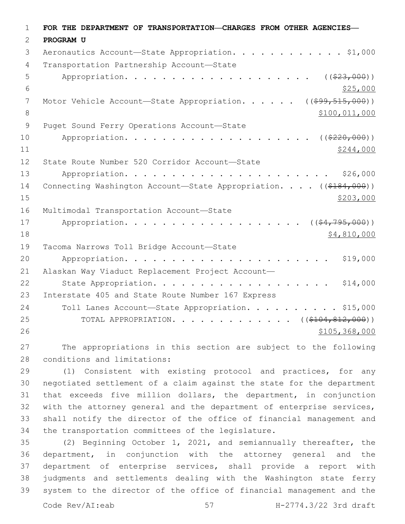| $\mathbf 1$    | FOR THE DEPARTMENT OF TRANSPORTATION-CHARGES FROM OTHER AGENCIES- |
|----------------|-------------------------------------------------------------------|
| 2              | PROGRAM U                                                         |
| 3              | Aeronautics Account-State Appropriation. \$1,000                  |
| 4              | Transportation Partnership Account-State                          |
| 5              | ( ( \$23,000) )                                                   |
| 6              | \$25,000                                                          |
| 7              | Motor Vehicle Account-State Appropriation. $($ $($ \$99,515,000)) |
| 8              | \$100,011,000                                                     |
| $\overline{9}$ | Puget Sound Ferry Operations Account-State                        |
| 10             | Appropriation.<br>( ( \$220,000) )                                |
| 11             | \$244,000                                                         |
| 12             | State Route Number 520 Corridor Account-State                     |
| 13             | \$26,000                                                          |
| 14             | Connecting Washington Account-State Appropriation. ((\$184,000))  |
| 15             | \$203,000                                                         |
| 16             | Multimodal Transportation Account-State                           |
| 17             | ( ( \$4, 795, 000) )<br>Appropriation.                            |
| 18             | \$4,810,000                                                       |
| 19             | Tacoma Narrows Toll Bridge Account-State                          |
| 20             | \$19,000                                                          |
| 21             | Alaskan Way Viaduct Replacement Project Account-                  |
| 22             | State Appropriation.<br>\$14,000                                  |
| 23             | Interstate 405 and State Route Number 167 Express                 |
| 24             | Toll Lanes Account-State Appropriation. \$15,000                  |
| 25             | TOTAL APPROPRIATION. ( $(\frac{\$104, 812, 000}{})$ )             |
| 26             | \$105, 368, 000                                                   |
| 27             | The appropriations in this section are subject to the following   |

28 conditions and limitations:

 (1) Consistent with existing protocol and practices, for any negotiated settlement of a claim against the state for the department that exceeds five million dollars, the department, in conjunction with the attorney general and the department of enterprise services, shall notify the director of the office of financial management and 34 the transportation committees of the legislature.

 (2) Beginning October 1, 2021, and semiannually thereafter, the department, in conjunction with the attorney general and the department of enterprise services, shall provide a report with judgments and settlements dealing with the Washington state ferry system to the director of the office of financial management and the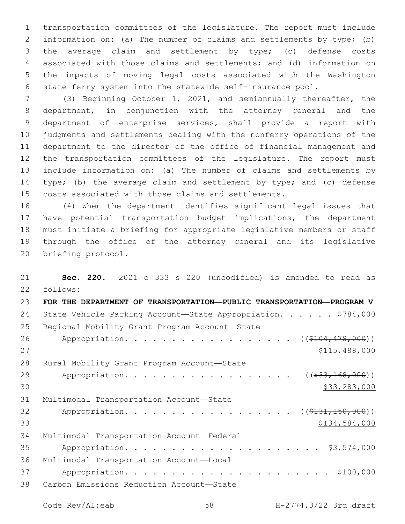transportation committees of the legislature. The report must include information on: (a) The number of claims and settlements by type; (b) the average claim and settlement by type; (c) defense costs associated with those claims and settlements; and (d) information on the impacts of moving legal costs associated with the Washington state ferry system into the statewide self-insurance pool.

 (3) Beginning October 1, 2021, and semiannually thereafter, the department, in conjunction with the attorney general and the department of enterprise services, shall provide a report with judgments and settlements dealing with the nonferry operations of the department to the director of the office of financial management and the transportation committees of the legislature. The report must include information on: (a) The number of claims and settlements by type; (b) the average claim and settlement by type; and (c) defense costs associated with those claims and settlements.

 (4) When the department identifies significant legal issues that have potential transportation budget implications, the department must initiate a briefing for appropriate legislative members or staff through the office of the attorney general and its legislative 20 briefing protocol.

 **Sec. 220.** 2021 c 333 s 220 (uncodified) is amended to read as follows: 22 **FOR THE DEPARTMENT OF TRANSPORTATION—PUBLIC TRANSPORTATION—PROGRAM V** 24 State Vehicle Parking Account-State Appropriation. . . . . \$784,000 25 Regional Mobility Grant Program Account-State 26 Appropriation. . . . . . . . . . . . . . . . ((\$104,478,000)) \$115,488,000 28 Rural Mobility Grant Program Account-State 29 Appropriation. . . . . . . . . . . . . . . . (  $(\frac{233,168,000}{1})$  $30 \hspace{2.5cm}$  \$33,283,000 31 Multimodal Transportation Account-State 32 Appropriation. . . . . . . . . . . . . . . . ((\$131,150,000)) \$134,584,000 34 Multimodal Transportation Account-Federal Appropriation. . . . . . . . . . . . . . . . . . . . . \$3,574,000 36 Multimodal Transportation Account-Local Appropriation. . . . . . . . . . . . . . . . . . . . . . \$100,000 Carbon Emissions Reduction Account—State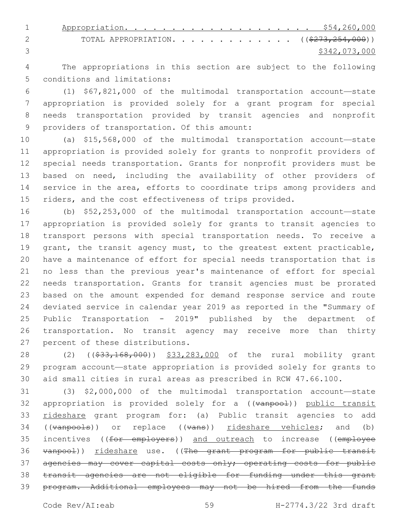1 Appropriation. . . . . . . . . . . . . . . . . . \$54,260,000 2 TOTAL APPROPRIATION. . . . . . . . . . . . ((\$273,254,000)) \$342,073,000

 The appropriations in this section are subject to the following 5 conditions and limitations:

 (1) \$67,821,000 of the multimodal transportation account—state appropriation is provided solely for a grant program for special needs transportation provided by transit agencies and nonprofit 9 providers of transportation. Of this amount:

 (a) \$15,568,000 of the multimodal transportation account—state appropriation is provided solely for grants to nonprofit providers of special needs transportation. Grants for nonprofit providers must be based on need, including the availability of other providers of service in the area, efforts to coordinate trips among providers and 15 riders, and the cost effectiveness of trips provided.

 (b) \$52,253,000 of the multimodal transportation account—state appropriation is provided solely for grants to transit agencies to transport persons with special transportation needs. To receive a 19 grant, the transit agency must, to the greatest extent practicable, have a maintenance of effort for special needs transportation that is no less than the previous year's maintenance of effort for special needs transportation. Grants for transit agencies must be prorated based on the amount expended for demand response service and route deviated service in calendar year 2019 as reported in the "Summary of Public Transportation - 2019" published by the department of transportation. No transit agency may receive more than thirty 27 percent of these distributions.

28 (2) ((\$33,168,000)) \$33,283,000 of the rural mobility grant program account—state appropriation is provided solely for grants to aid small cities in rural areas as prescribed in RCW 47.66.100.

 (3) \$2,000,000 of the multimodal transportation account—state 32 appropriation is provided solely for a ((vanpool)) public transit 33 rideshare grant program for: (a) Public transit agencies to add 34 ((vanpools)) or replace ((vans)) rideshare vehicles; and (b) 35 incentives ((for employers)) and outreach to increase ((employee 36 vanpool)) rideshare use. ((The grant program for public transit 37 agencies may cover capital costs only; operating costs for public transit agencies are not eligible for funding under this grant program. Additional employees may not be hired from the funds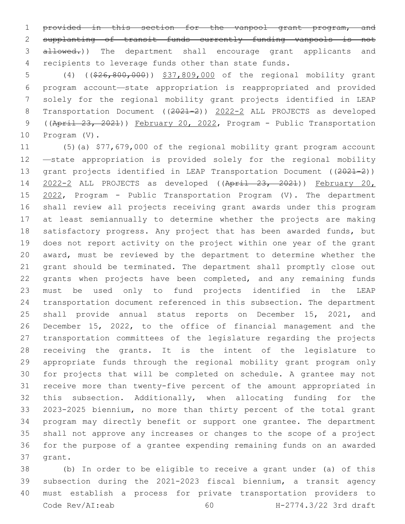1 provided in this section for the vanpool grant program, and supplanting of transit funds currently funding vanpools is not 3 allowed.)) The department shall encourage grant applicants and recipients to leverage funds other than state funds.

 (4) ((\$26,800,000)) \$37,809,000 of the regional mobility grant program account—state appropriation is reappropriated and provided solely for the regional mobility grant projects identified in LEAP Transportation Document ((2021-2)) 2022-2 ALL PROJECTS as developed ((April 23, 2021)) February 20, 2022, Program - Public Transportation  $Program (V)$ .

 (5)(a) \$77,679,000 of the regional mobility grant program account —state appropriation is provided solely for the regional mobility 13 grant projects identified in LEAP Transportation Document ((2021-2)) 2022-2 ALL PROJECTS as developed ((April 23, 2021)) February 20, 2022, Program - Public Transportation Program (V). The department shall review all projects receiving grant awards under this program at least semiannually to determine whether the projects are making 18 satisfactory progress. Any project that has been awarded funds, but does not report activity on the project within one year of the grant award, must be reviewed by the department to determine whether the grant should be terminated. The department shall promptly close out 22 grants when projects have been completed, and any remaining funds must be used only to fund projects identified in the LEAP transportation document referenced in this subsection. The department shall provide annual status reports on December 15, 2021, and December 15, 2022, to the office of financial management and the transportation committees of the legislature regarding the projects receiving the grants. It is the intent of the legislature to appropriate funds through the regional mobility grant program only for projects that will be completed on schedule. A grantee may not receive more than twenty-five percent of the amount appropriated in this subsection. Additionally, when allocating funding for the 2023-2025 biennium, no more than thirty percent of the total grant program may directly benefit or support one grantee. The department shall not approve any increases or changes to the scope of a project for the purpose of a grantee expending remaining funds on an awarded 37 grant.

 (b) In order to be eligible to receive a grant under (a) of this subsection during the 2021-2023 fiscal biennium, a transit agency must establish a process for private transportation providers to Code Rev/AI:eab 60 H-2774.3/22 3rd draft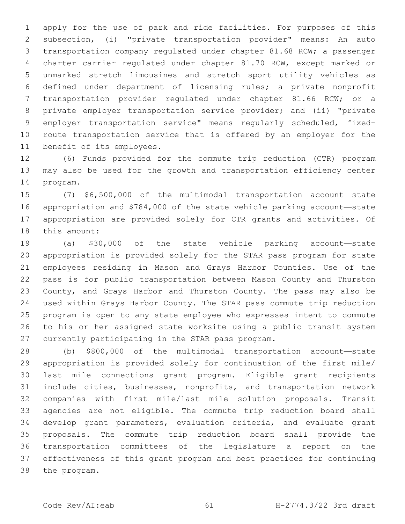apply for the use of park and ride facilities. For purposes of this subsection, (i) "private transportation provider" means: An auto transportation company regulated under chapter 81.68 RCW; a passenger charter carrier regulated under chapter 81.70 RCW, except marked or unmarked stretch limousines and stretch sport utility vehicles as defined under department of licensing rules; a private nonprofit transportation provider regulated under chapter 81.66 RCW; or a private employer transportation service provider; and (ii) "private employer transportation service" means regularly scheduled, fixed- route transportation service that is offered by an employer for the 11 benefit of its employees.

 (6) Funds provided for the commute trip reduction (CTR) program may also be used for the growth and transportation efficiency center 14 program.

 (7) \$6,500,000 of the multimodal transportation account—state appropriation and \$784,000 of the state vehicle parking account—state appropriation are provided solely for CTR grants and activities. Of 18 this amount:

 (a) \$30,000 of the state vehicle parking account—state appropriation is provided solely for the STAR pass program for state employees residing in Mason and Grays Harbor Counties. Use of the pass is for public transportation between Mason County and Thurston County, and Grays Harbor and Thurston County. The pass may also be used within Grays Harbor County. The STAR pass commute trip reduction program is open to any state employee who expresses intent to commute to his or her assigned state worksite using a public transit system 27 currently participating in the STAR pass program.

 (b) \$800,000 of the multimodal transportation account—state appropriation is provided solely for continuation of the first mile/ last mile connections grant program. Eligible grant recipients include cities, businesses, nonprofits, and transportation network companies with first mile/last mile solution proposals. Transit agencies are not eligible. The commute trip reduction board shall develop grant parameters, evaluation criteria, and evaluate grant proposals. The commute trip reduction board shall provide the transportation committees of the legislature a report on the effectiveness of this grant program and best practices for continuing 38 the program.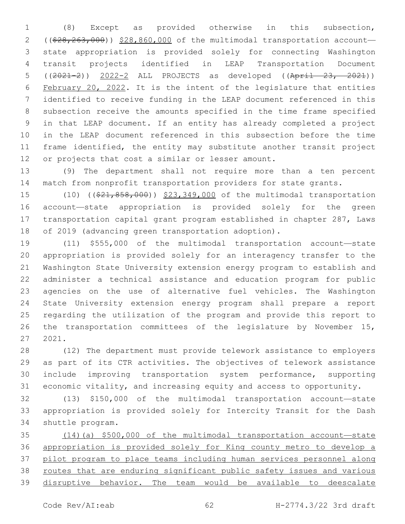(8) Except as provided otherwise in this subsection, 2 ((\$28,263,000)) \$28,860,000 of the multimodal transportation account- state appropriation is provided solely for connecting Washington transit projects identified in LEAP Transportation Document ((2021-2)) 2022-2 ALL PROJECTS as developed ((April 23, 2021)) February 20, 2022. It is the intent of the legislature that entities identified to receive funding in the LEAP document referenced in this subsection receive the amounts specified in the time frame specified in that LEAP document. If an entity has already completed a project in the LEAP document referenced in this subsection before the time frame identified, the entity may substitute another transit project 12 or projects that cost a similar or lesser amount.

 (9) The department shall not require more than a ten percent match from nonprofit transportation providers for state grants.

15 (10) ((\$21,858,000)) \$23,349,000 of the multimodal transportation account—state appropriation is provided solely for the green transportation capital grant program established in chapter 287, Laws of 2019 (advancing green transportation adoption).

 (11) \$555,000 of the multimodal transportation account—state appropriation is provided solely for an interagency transfer to the Washington State University extension energy program to establish and administer a technical assistance and education program for public agencies on the use of alternative fuel vehicles. The Washington State University extension energy program shall prepare a report regarding the utilization of the program and provide this report to the transportation committees of the legislature by November 15, 2021.

 (12) The department must provide telework assistance to employers as part of its CTR activities. The objectives of telework assistance include improving transportation system performance, supporting economic vitality, and increasing equity and access to opportunity.

 (13) \$150,000 of the multimodal transportation account—state appropriation is provided solely for Intercity Transit for the Dash 34 shuttle program.

 (14)(a) \$500,000 of the multimodal transportation account—state appropriation is provided solely for King county metro to develop a pilot program to place teams including human services personnel along 38 routes that are enduring significant public safety issues and various disruptive behavior. The team would be available to deescalate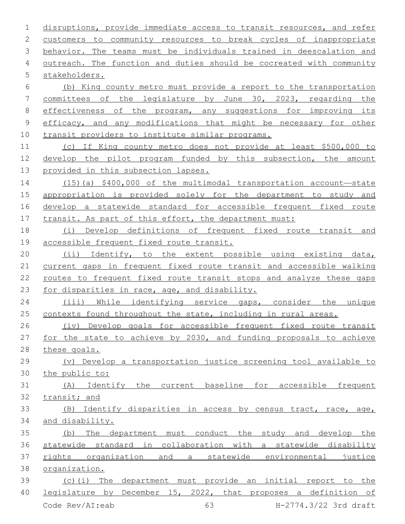disruptions, provide immediate access to transit resources, and refer customers to community resources to break cycles of inappropriate behavior. The teams must be individuals trained in deescalation and outreach. The function and duties should be cocreated with community 5 stakeholders. (b) King county metro must provide a report to the transportation committees of the legislature by June 30, 2023, regarding the 8 effectiveness of the program, any suggestions for improving its 9 efficacy, and any modifications that might be necessary for other transit providers to institute similar programs. (c) If King county metro does not provide at least \$500,000 to develop the pilot program funded by this subsection, the amount provided in this subsection lapses. (15)(a) \$400,000 of the multimodal transportation account—state appropriation is provided solely for the department to study and develop a statewide standard for accessible frequent fixed route 17 transit. As part of this effort, the department must: (i) Develop definitions of frequent fixed route transit and accessible frequent fixed route transit. (ii) Identify, to the extent possible using existing data, current gaps in frequent fixed route transit and accessible walking routes to frequent fixed route transit stops and analyze these gaps for disparities in race, age, and disability. (iii) While identifying service gaps, consider the unique 25 contexts found throughout the state, including in rural areas. (iv) Develop goals for accessible frequent fixed route transit for the state to achieve by 2030, and funding proposals to achieve these goals. (v) Develop a transportation justice screening tool available to the public to: (A) Identify the current baseline for accessible frequent transit; and (B) Identify disparities in access by census tract, race, age, and disability. (b) The department must conduct the study and develop the statewide standard in collaboration with a statewide disability rights organization and a statewide environmental justice organization. (c)(i) The department must provide an initial report to the 40 legislature by December 15, 2022, that proposes a definition of

Code Rev/AI:eab 63 H-2774.3/22 3rd draft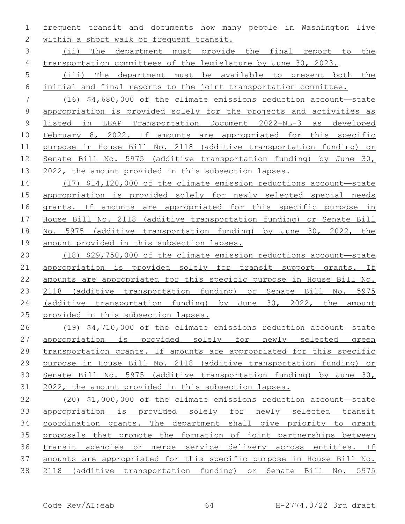frequent transit and documents how many people in Washington live 2 within a short walk of frequent transit.

 (ii) The department must provide the final report to the 4 transportation committees of the legislature by June 30, 2023.

 (iii) The department must be available to present both the initial and final reports to the joint transportation committee.

 (16) \$4,680,000 of the climate emissions reduction account—state appropriation is provided solely for the projects and activities as listed in LEAP Transportation Document 2022-NL-3 as developed February 8, 2022. If amounts are appropriated for this specific purpose in House Bill No. 2118 (additive transportation funding) or Senate Bill No. 5975 (additive transportation funding) by June 30, 2022, the amount provided in this subsection lapses.

 (17) \$14,120,000 of the climate emission reductions account—state appropriation is provided solely for newly selected special needs 16 grants. If amounts are appropriated for this specific purpose in House Bill No. 2118 (additive transportation funding) or Senate Bill 18 No. 5975 (additive transportation funding) by June 30, 2022, the amount provided in this subsection lapses.

 (18) \$29,750,000 of the climate emission reductions account—state appropriation is provided solely for transit support grants. If amounts are appropriated for this specific purpose in House Bill No. 2118 (additive transportation funding) or Senate Bill No. 5975 (additive transportation funding) by June 30, 2022, the amount provided in this subsection lapses.

 (19) \$4,710,000 of the climate emissions reduction account—state appropriation is provided solely for newly selected green 28 transportation grants. If amounts are appropriated for this specific purpose in House Bill No. 2118 (additive transportation funding) or Senate Bill No. 5975 (additive transportation funding) by June 30, 2022, the amount provided in this subsection lapses.

 (20) \$1,000,000 of the climate emissions reduction account—state appropriation is provided solely for newly selected transit coordination grants. The department shall give priority to grant proposals that promote the formation of joint partnerships between transit agencies or merge service delivery across entities. If amounts are appropriated for this specific purpose in House Bill No. 2118 (additive transportation funding) or Senate Bill No. 5975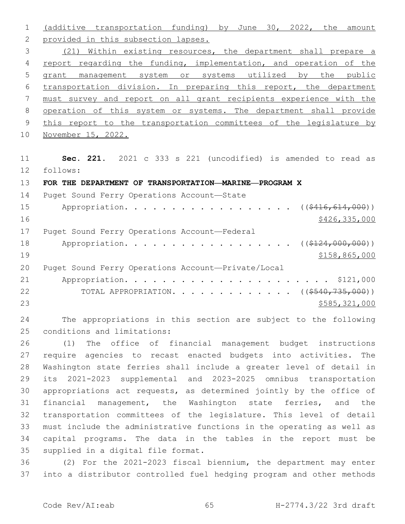(additive transportation funding) by June 30, 2022, the amount 2 provided in this subsection lapses. (21) Within existing resources, the department shall prepare a 4 report regarding the funding, implementation, and operation of the grant management system or systems utilized by the public transportation division. In preparing this report, the department must survey and report on all grant recipients experience with the 8 operation of this system or systems. The department shall provide 9 this report to the transportation committees of the legislature by November 15, 2022. **Sec. 221.** 2021 c 333 s 221 (uncodified) is amended to read as follows: 12 **FOR THE DEPARTMENT OF TRANSPORTATION—MARINE—PROGRAM X** 14 Puget Sound Ferry Operations Account-State 15 Appropriation. . . . . . . . . . . . . . . . ( $(\frac{2416,614,000}{10})$ ) 16 \$426,335,000 17 Puget Sound Ferry Operations Account-Federal 18 Appropriation. . . . . . . . . . . . . . . . ( $(\frac{2124,000,000}{1})$  \$158,865,000 Puget Sound Ferry Operations Account—Private/Local Appropriation. . . . . . . . . . . . . . . . . . . . . . \$121,000 22 TOTAL APPROPRIATION. . . . . . . . . . . . ((\$540,735,000)) \$585,321,000

 The appropriations in this section are subject to the following 25 conditions and limitations:

 (1) The office of financial management budget instructions require agencies to recast enacted budgets into activities. The Washington state ferries shall include a greater level of detail in its 2021-2023 supplemental and 2023-2025 omnibus transportation appropriations act requests, as determined jointly by the office of financial management, the Washington state ferries, and the transportation committees of the legislature. This level of detail must include the administrative functions in the operating as well as capital programs. The data in the tables in the report must be 35 supplied in a digital file format.

 (2) For the 2021-2023 fiscal biennium, the department may enter into a distributor controlled fuel hedging program and other methods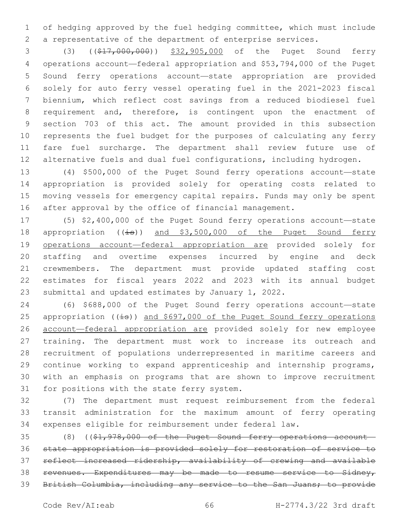of hedging approved by the fuel hedging committee, which must include a representative of the department of enterprise services.

 (3) ((\$17,000,000)) \$32,905,000 of the Puget Sound ferry operations account—federal appropriation and \$53,794,000 of the Puget Sound ferry operations account—state appropriation are provided solely for auto ferry vessel operating fuel in the 2021-2023 fiscal biennium, which reflect cost savings from a reduced biodiesel fuel requirement and, therefore, is contingent upon the enactment of section 703 of this act. The amount provided in this subsection represents the fuel budget for the purposes of calculating any ferry fare fuel surcharge. The department shall review future use of 12 alternative fuels and dual fuel configurations, including hydrogen.

 (4) \$500,000 of the Puget Sound ferry operations account—state appropriation is provided solely for operating costs related to moving vessels for emergency capital repairs. Funds may only be spent after approval by the office of financial management.

 (5) \$2,400,000 of the Puget Sound ferry operations account—state 18 appropriation ((is)) and \$3,500,000 of the Puget Sound ferry operations account—federal appropriation are provided solely for staffing and overtime expenses incurred by engine and deck crewmembers. The department must provide updated staffing cost estimates for fiscal years 2022 and 2023 with its annual budget submittal and updated estimates by January 1, 2022.

 (6) \$688,000 of the Puget Sound ferry operations account—state 25 appropriation  $((\pm s))$  and \$697,000 of the Puget Sound ferry operations account—federal appropriation are provided solely for new employee training. The department must work to increase its outreach and recruitment of populations underrepresented in maritime careers and continue working to expand apprenticeship and internship programs, with an emphasis on programs that are shown to improve recruitment 31 for positions with the state ferry system.

 (7) The department must request reimbursement from the federal transit administration for the maximum amount of ferry operating expenses eligible for reimbursement under federal law.

 (8) ((\$1,978,000 of the Puget Sound ferry operations account— state appropriation is provided solely for restoration of service to reflect increased ridership, availability of crewing and available revenues. Expenditures may be made to resume service to Sidney, British Columbia, including any service to the San Juans; to provide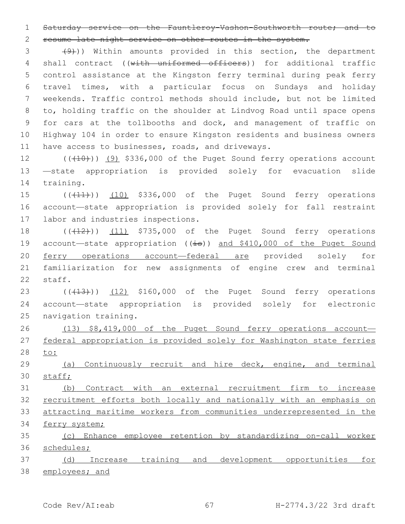Saturday service on the Fauntleroy-Vashon-Southworth route; and to

resume late night service on other routes in the system.

 $(9)$ ) Within amounts provided in this section, the department 4 shall contract ((with uniformed officers)) for additional traffic control assistance at the Kingston ferry terminal during peak ferry travel times, with a particular focus on Sundays and holiday weekends. Traffic control methods should include, but not be limited to, holding traffic on the shoulder at Lindvog Road until space opens for cars at the tollbooths and dock, and management of traffic on Highway 104 in order to ensure Kingston residents and business owners 11 have access to businesses, roads, and driveways.

12 (((10)) (9) \$336,000 of the Puget Sound ferry operations account —state appropriation is provided solely for evacuation slide 14 training.

15 (( $(11)$ )) (10) \$336,000 of the Puget Sound ferry operations account—state appropriation is provided solely for fall restraint 17 labor and industries inspections.

 $((+12))$   $(11)$  \$735,000 of the Puget Sound ferry operations 19 account—state appropriation ((is)) and \$410,000 of the Puget Sound ferry operations account—federal are provided solely for familiarization for new assignments of engine crew and terminal 22 staff.

23 (((413))) (12) \$160,000 of the Puget Sound ferry operations account—state appropriation is provided solely for electronic 25 navigation training.

26 (13) \$8,419,000 of the Puget Sound ferry operations account- federal appropriation is provided solely for Washington state ferries to:

 (a) Continuously recruit and hire deck, engine, and terminal staff;

 (b) Contract with an external recruitment firm to increase recruitment efforts both locally and nationally with an emphasis on attracting maritime workers from communities underrepresented in the ferry system;

 (c) Enhance employee retention by standardizing on-call worker schedules;

 (d) Increase training and development opportunities for 38 employees; and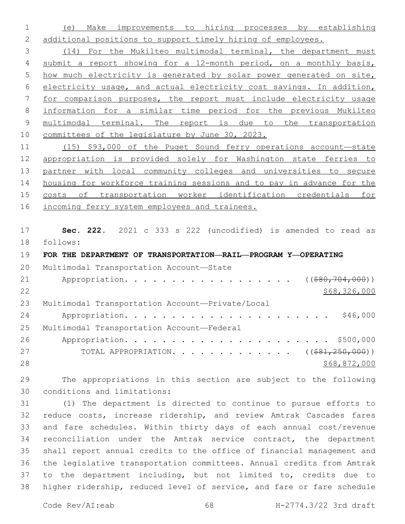(e) Make improvements to hiring processes by establishing 2 additional positions to support timely hiring of employees.

 (14) For the Mukilteo multimodal terminal, the department must 4 submit a report showing for a 12-month period, on a monthly basis, how much electricity is generated by solar power generated on site, electricity usage, and actual electricity cost savings. In addition, for comparison purposes, the report must include electricity usage information for a similar time period for the previous Mukilteo multimodal terminal. The report is due to the transportation committees of the legislature by June 30, 2023.

 (15) \$93,000 of the Puget Sound ferry operations account—state appropriation is provided solely for Washington state ferries to 13 partner with local community colleges and universities to secure housing for workforce training sessions and to pay in advance for the costs of transportation worker identification credentials for incoming ferry system employees and trainees.

 **Sec. 222.** 2021 c 333 s 222 (uncodified) is amended to read as follows: 18

**FOR THE DEPARTMENT OF TRANSPORTATION—RAIL—PROGRAM Y—OPERATING**

| 20 | Multimodal Transportation Account-State          |
|----|--------------------------------------------------|
| 21 | Appropriation. ((\$80,704,000))                  |
| 22 | \$68,326,000                                     |
| 23 | Multimodal Transportation Account-Private/Local  |
| 24 | \$46,000                                         |
| 25 | Multimodal Transportation Account-Federal        |
| 26 |                                                  |
| 27 | TOTAL APPROPRIATION. ( $(\frac{281}{250},000)$ ) |
| 28 | \$68,872,000                                     |

 The appropriations in this section are subject to the following conditions and limitations:30

 (1) The department is directed to continue to pursue efforts to reduce costs, increase ridership, and review Amtrak Cascades fares and fare schedules. Within thirty days of each annual cost/revenue reconciliation under the Amtrak service contract, the department shall report annual credits to the office of financial management and the legislative transportation committees. Annual credits from Amtrak to the department including, but not limited to, credits due to higher ridership, reduced level of service, and fare or fare schedule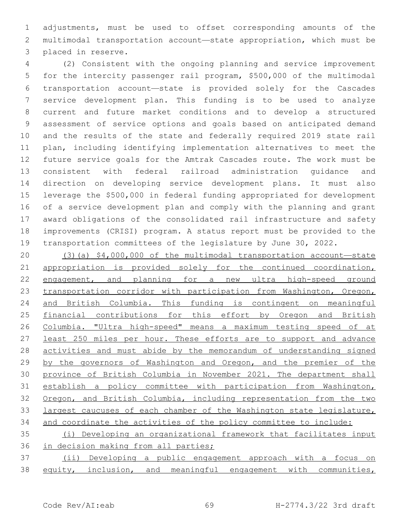adjustments, must be used to offset corresponding amounts of the multimodal transportation account—state appropriation, which must be 3 placed in reserve.

 (2) Consistent with the ongoing planning and service improvement for the intercity passenger rail program, \$500,000 of the multimodal transportation account—state is provided solely for the Cascades service development plan. This funding is to be used to analyze current and future market conditions and to develop a structured assessment of service options and goals based on anticipated demand and the results of the state and federally required 2019 state rail plan, including identifying implementation alternatives to meet the future service goals for the Amtrak Cascades route. The work must be consistent with federal railroad administration guidance and direction on developing service development plans. It must also leverage the \$500,000 in federal funding appropriated for development of a service development plan and comply with the planning and grant award obligations of the consolidated rail infrastructure and safety improvements (CRISI) program. A status report must be provided to the transportation committees of the legislature by June 30, 2022.

 (3)(a) \$4,000,000 of the multimodal transportation account—state 21 appropriation is provided solely for the continued coordination, 22 engagement, and planning for a new ultra high-speed ground transportation corridor with participation from Washington, Oregon, and British Columbia. This funding is contingent on meaningful financial contributions for this effort by Oregon and British Columbia. "Ultra high-speed" means a maximum testing speed of at least 250 miles per hour. These efforts are to support and advance activities and must abide by the memorandum of understanding signed by the governors of Washington and Oregon, and the premier of the province of British Columbia in November 2021. The department shall establish a policy committee with participation from Washington, Oregon, and British Columbia, including representation from the two largest caucuses of each chamber of the Washington state legislature, and coordinate the activities of the policy committee to include:

 (i) Developing an organizational framework that facilitates input 36 in decision making from all parties;

 (ii) Developing a public engagement approach with a focus on equity, inclusion, and meaningful engagement with communities,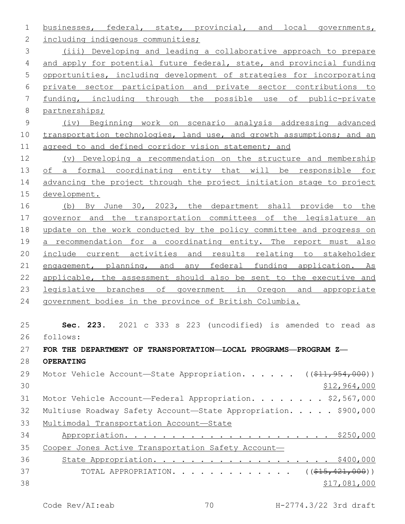businesses, federal, state, provincial, and local governments, 2 including indigenous communities; (iii) Developing and leading a collaborative approach to prepare 4 and apply for potential future federal, state, and provincial funding opportunities, including development of strategies for incorporating private sector participation and private sector contributions to funding, including through the possible use of public-private partnerships; (iv) Beginning work on scenario analysis addressing advanced 10 transportation technologies, land use, and growth assumptions; and an 11 agreed to and defined corridor vision statement; and (v) Developing a recommendation on the structure and membership of a formal coordinating entity that will be responsible for 14 advancing the project through the project initiation stage to project development. (b) By June 30, 2023, the department shall provide to the governor and the transportation committees of the legislature an update on the work conducted by the policy committee and progress on 19 a recommendation for a coordinating entity. The report must also include current activities and results relating to stakeholder 21 engagement, planning, and any federal funding application. As applicable, the assessment should also be sent to the executive and legislative branches of government in Oregon and appropriate government bodies in the province of British Columbia. **Sec. 223.** 2021 c 333 s 223 (uncodified) is amended to read as follows: 26 **FOR THE DEPARTMENT OF TRANSPORTATION—LOCAL PROGRAMS—PROGRAM Z— OPERATING** 29 Motor Vehicle Account—State Appropriation. . . . . ((\$11,954,000)) \$12,964,000 Motor Vehicle Account—Federal Appropriation. . . . . . . . \$2,567,000 32 Multiuse Roadway Safety Account-State Appropriation. . . . . \$900,000 Multimodal Transportation Account—State Appropriation. . . . . . . . . . . . . . . . . . . . . . \$250,000 Cooper Jones Active Transportation Safety Account— State Appropriation. . . . . . . . . . . . . . . . . . . \$400,000 37 TOTAL APPROPRIATION. . . . . . . . . . . . . ((\$15,421,000))  $$17,081,000$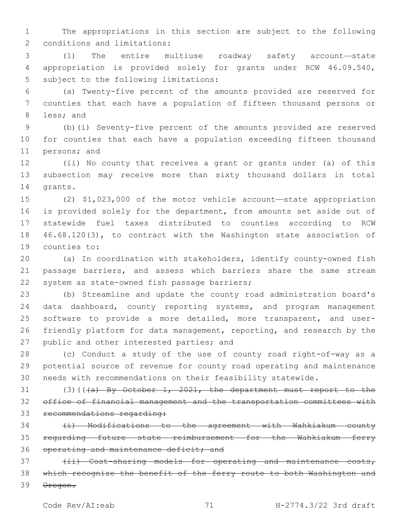1 The appropriations in this section are subject to the following 2 conditions and limitations:

3 (1) The entire multiuse roadway safety account—state 4 appropriation is provided solely for grants under RCW 46.09.540, 5 subject to the following limitations:

6 (a) Twenty-five percent of the amounts provided are reserved for 7 counties that each have a population of fifteen thousand persons or 8 less; and

9 (b)(i) Seventy-five percent of the amounts provided are reserved 10 for counties that each have a population exceeding fifteen thousand 11 persons; and

12 (ii) No county that receives a grant or grants under (a) of this 13 subsection may receive more than sixty thousand dollars in total 14 grants.

 (2) \$1,023,000 of the motor vehicle account—state appropriation is provided solely for the department, from amounts set aside out of statewide fuel taxes distributed to counties according to RCW 46.68.120(3), to contract with the Washington state association of 19 counties to:

20 (a) In coordination with stakeholders, identify county-owned fish 21 passage barriers, and assess which barriers share the same stream 22 system as state-owned fish passage barriers;

23 (b) Streamline and update the county road administration board's 24 data dashboard, county reporting systems, and program management 25 software to provide a more detailed, more transparent, and user-26 friendly platform for data management, reporting, and research by the 27 public and other interested parties; and

28 (c) Conduct a study of the use of county road right-of-way as a 29 potential source of revenue for county road operating and maintenance 30 needs with recommendations on their feasibility statewide.

31 (3)(((a) By October 1, 2021, the department must report to the 32 office of financial management and the transportation committees with 33 recommendations regarding:

34 (i) Modifications to the agreement with Wahkiakum county 35 regarding future state reimbursement for the Wahkiakum ferry 36 operating and maintenance deficit; and

37 (ii) Cost-sharing models for operating and maintenance costs, 38 which recognize the benefit of the ferry route to both Washington and 39 Oregon.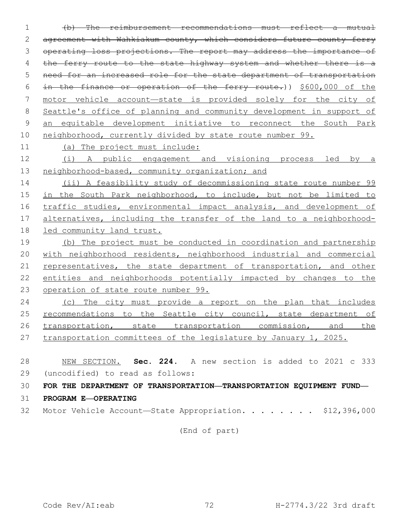(b) The reimbursement recommendations must reflect a mutual agreement with Wahkiakum county, which considers future county ferry operating loss projections. The report may address the importance of 4 the ferry route to the state highway system and whether there is a need for an increased role for the state department of transportation in the finance or operation of the ferry route.)) \$600,000 of the motor vehicle account—state is provided solely for the city of Seattle's office of planning and community development in support of an equitable development initiative to reconnect the South Park neighborhood, currently divided by state route number 99. (a) The project must include:

 (i) A public engagement and visioning process led by a 13 neighborhood-based, community organization; and

 (ii) A feasibility study of decommissioning state route number 99 in the South Park neighborhood, to include, but not be limited to traffic studies, environmental impact analysis, and development of alternatives, including the transfer of the land to a neighborhood-led community land trust.

 (b) The project must be conducted in coordination and partnership 20 with neighborhood residents, neighborhood industrial and commercial representatives, the state department of transportation, and other entities and neighborhoods potentially impacted by changes to the operation of state route number 99.

 (c) The city must provide a report on the plan that includes 25 recommendations to the Seattle city council, state department of 26 transportation, state transportation commission, and the transportation committees of the legislature by January 1, 2025.

 NEW SECTION. **Sec. 224.** A new section is added to 2021 c 333 (uncodified) to read as follows: 29

**FOR THE DEPARTMENT OF TRANSPORTATION—TRANSPORTATION EQUIPMENT FUND—**

- **PROGRAM E—OPERATING**
- 32 Motor Vehicle Account-State Appropriation. . . . . . . \$12,396,000

(End of part)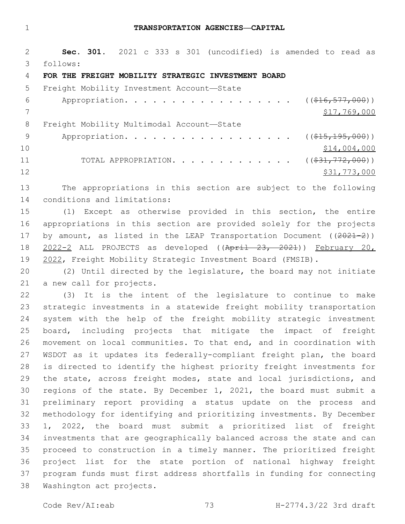#### **TRANSPORTATION AGENCIES—CAPITAL**

 **Sec. 301.** 2021 c 333 s 301 (uncodified) is amended to read as follows: 3

#### **FOR THE FREIGHT MOBILITY STRATEGIC INVESTMENT BOARD**

| 5.  | Freight Mobility Investment Account-State                   |              |
|-----|-------------------------------------------------------------|--------------|
| 6   | Appropriation. ((\$16,577,000))                             |              |
|     |                                                             | \$17,769,000 |
| 8   | Freight Mobility Multimodal Account-State                   |              |
| - 9 | Appropriation. ( $(\frac{15}{715}, \frac{195}{195}, 000)$ ) |              |
| 10  |                                                             | \$14,004,000 |
| 11  | TOTAL APPROPRIATION. ( $(\frac{231}{772},000)$ )            |              |
| 12  |                                                             | \$31,773,000 |

 The appropriations in this section are subject to the following 14 conditions and limitations:

 (1) Except as otherwise provided in this section, the entire appropriations in this section are provided solely for the projects 17 by amount, as listed in the LEAP Transportation Document ((2021-2)) 2022-2 ALL PROJECTS as developed ((April 23, 2021)) February 20, 2022, Freight Mobility Strategic Investment Board (FMSIB).

 (2) Until directed by the legislature, the board may not initiate 21 a new call for projects.

 (3) It is the intent of the legislature to continue to make strategic investments in a statewide freight mobility transportation system with the help of the freight mobility strategic investment board, including projects that mitigate the impact of freight movement on local communities. To that end, and in coordination with WSDOT as it updates its federally-compliant freight plan, the board is directed to identify the highest priority freight investments for 29 the state, across freight modes, state and local jurisdictions, and regions of the state. By December 1, 2021, the board must submit a preliminary report providing a status update on the process and methodology for identifying and prioritizing investments. By December 1, 2022, the board must submit a prioritized list of freight investments that are geographically balanced across the state and can proceed to construction in a timely manner. The prioritized freight project list for the state portion of national highway freight program funds must first address shortfalls in funding for connecting 38 Washington act projects.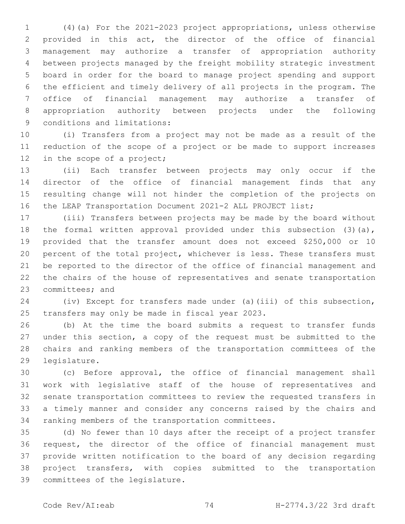(4)(a) For the 2021-2023 project appropriations, unless otherwise provided in this act, the director of the office of financial management may authorize a transfer of appropriation authority between projects managed by the freight mobility strategic investment board in order for the board to manage project spending and support the efficient and timely delivery of all projects in the program. The office of financial management may authorize a transfer of appropriation authority between projects under the following 9 conditions and limitations:

 (i) Transfers from a project may not be made as a result of the reduction of the scope of a project or be made to support increases 12 in the scope of a project;

 (ii) Each transfer between projects may only occur if the director of the office of financial management finds that any resulting change will not hinder the completion of the projects on the LEAP Transportation Document 2021-2 ALL PROJECT list;

 (iii) Transfers between projects may be made by the board without 18 the formal written approval provided under this subsection (3)(a), provided that the transfer amount does not exceed \$250,000 or 10 percent of the total project, whichever is less. These transfers must be reported to the director of the office of financial management and the chairs of the house of representatives and senate transportation 23 committees; and

 (iv) Except for transfers made under (a)(iii) of this subsection, 25 transfers may only be made in fiscal year 2023.

 (b) At the time the board submits a request to transfer funds under this section, a copy of the request must be submitted to the chairs and ranking members of the transportation committees of the 29 legislature.

 (c) Before approval, the office of financial management shall work with legislative staff of the house of representatives and senate transportation committees to review the requested transfers in a timely manner and consider any concerns raised by the chairs and 34 ranking members of the transportation committees.

 (d) No fewer than 10 days after the receipt of a project transfer request, the director of the office of financial management must provide written notification to the board of any decision regarding project transfers, with copies submitted to the transportation 39 committees of the legislature.

Code Rev/AI:eab 74 H-2774.3/22 3rd draft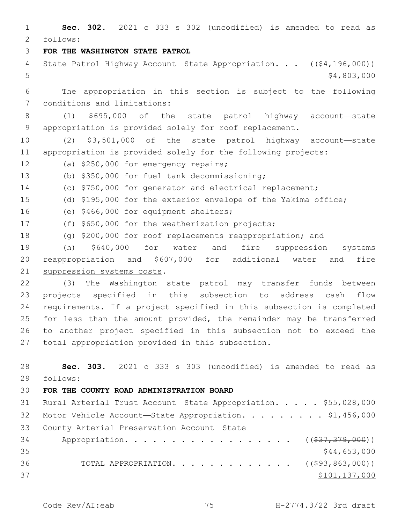1 **Sec. 302.** 2021 c 333 s 302 (uncodified) is amended to read as follows: 2 3 **FOR THE WASHINGTON STATE PATROL** 4 State Patrol Highway Account—State Appropriation. . . ((\$4,196,000))  $5 - 5$  \$4,803,000 6 The appropriation in this section is subject to the following 7 conditions and limitations: 8 (1) \$695,000 of the state patrol highway account—state 9 appropriation is provided solely for roof replacement. 10 (2) \$3,501,000 of the state patrol highway account—state 11 appropriation is provided solely for the following projects: 12 (a) \$250,000 for emergency repairs; (b) \$350,000 for fuel tank decommissioning;13 14 (c) \$750,000 for generator and electrical replacement; 15 (d) \$195,000 for the exterior envelope of the Yakima office; 16 (e) \$466,000 for equipment shelters; 17 (f) \$650,000 for the weatherization projects; 18 (g) \$200,000 for roof replacements reappropriation; and 19 (h) \$640,000 for water and fire suppression systems 20 reappropriation and \$607,000 for additional water and fire 21 suppression systems costs. 22 (3) The Washington state patrol may transfer funds between 23 projects specified in this subsection to address cash flow 24 requirements. If a project specified in this subsection is completed 25 for less than the amount provided, the remainder may be transferred 26 to another project specified in this subsection not to exceed the 27 total appropriation provided in this subsection. 28 **Sec. 303.** 2021 c 333 s 303 (uncodified) is amended to read as follows: 29 30 **FOR THE COUNTY ROAD ADMINISTRATION BOARD** 31 Rural Arterial Trust Account—State Appropriation. . . . . \$55,028,000 32 Motor Vehicle Account-State Appropriation. . . . . . . . \$1,456,000 33 County Arterial Preservation Account-State 34 Appropriation. . . . . . . . . . . . . . . . . (  $(\frac{237}{37}, \frac{379}{900})$  )  $35$  \$44,653,000 36 TOTAL APPROPRIATION. . . . . . . . . . . . . ((\$93,863,000))  $37$   $$101,137,000$ 

Code Rev/AI:eab 75 H-2774.3/22 3rd draft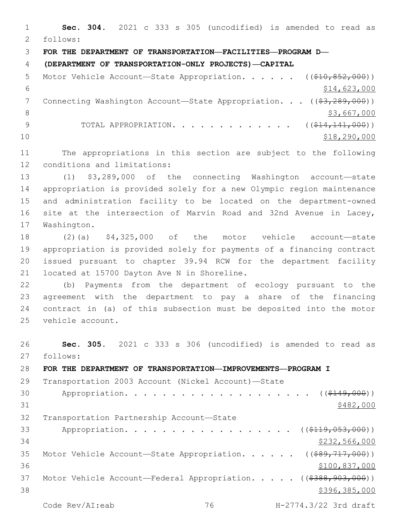**Sec. 304.** 2021 c 333 s 305 (uncodified) is amended to read as follows: 2 **FOR THE DEPARTMENT OF TRANSPORTATION—FACILITIES—PROGRAM D— (DEPARTMENT OF TRANSPORTATION-ONLY PROJECTS)—CAPITAL** 5 Motor Vehicle Account—State Appropriation. . . . . ((\$10,852,000))  $$14,623,000$ 7 Connecting Washington Account—State Appropriation. . . ((\$3,289,000))  $\frac{1}{3}$ ,667,000 9 TOTAL APPROPRIATION. . . . . . . . . . . . ((\$14,141,000))  $10 \hspace{1.5cm}$  \$18,290,000 The appropriations in this section are subject to the following 12 conditions and limitations: (1) \$3,289,000 of the connecting Washington account—state appropriation is provided solely for a new Olympic region maintenance and administration facility to be located on the department-owned site at the intersection of Marvin Road and 32nd Avenue in Lacey, 17 Washington. (2)(a) \$4,325,000 of the motor vehicle account—state appropriation is provided solely for payments of a financing contract issued pursuant to chapter 39.94 RCW for the department facility 21 located at 15700 Dayton Ave N in Shoreline. (b) Payments from the department of ecology pursuant to the agreement with the department to pay a share of the financing contract in (a) of this subsection must be deposited into the motor 25 vehicle account. **Sec. 305.** 2021 c 333 s 306 (uncodified) is amended to read as 27 follows: **FOR THE DEPARTMENT OF TRANSPORTATION—IMPROVEMENTS—PROGRAM I** Transportation 2003 Account (Nickel Account)—State 30 Appropriation. . . . . . . . . . . . . . . . . . (  $( $149,000)$  )  $31$   $$482,000$ 

32 Transportation Partnership Account-State 33 Appropriation. . . . . . . . . . . . . . . . . ((\$119,053,000)) 34 \$232,566,000 35 Motor Vehicle Account-State Appropriation. . . . . ((\$89,717,000)) 36 \$100,837,000 37 Motor Vehicle Account—Federal Appropriation. . . . . ((\$388,903,000))  $38$   $$396,385,000$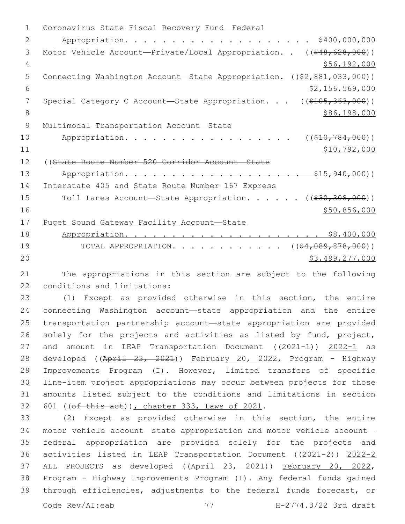1 Coronavirus State Fiscal Recovery Fund-Federal 2 Appropriation. . . . . . . . . . . . . . . . . . . . \$400,000,000 3 Motor Vehicle Account—Private/Local Appropriation. . ((\$48,628,000)) 4 \$56,192,000 5 Connecting Washington Account—State Appropriation. ((\$2,881,033,000))  $\frac{1}{2}$   $\frac{1}{56}$ ,  $\frac{569}{000}$ 7 Special Category C Account—State Appropriation. . . ((\$105,363,000)) 8 \$86,198,000 9 Multimodal Transportation Account-State 10 Appropriation. . . . . . . . . . . . . . . . ((\$10,784,000)) 11 \$10,792,000 12 ((State Route Number 520 Corridor Account—State 13 Appropriation. . . . . . . . . . . . . . . . . . \$15,940,000)) 14 Interstate 405 and State Route Number 167 Express 15 Toll Lanes Account—State Appropriation. . . . . ((\$30,308,000))  $16$  \$50,856,000 17 Puget Sound Gateway Facility Account—State 18 Appropriation. . . . . . . . . . . . . . . . . . . . . \$8,400,000 19 TOTAL APPROPRIATION. . . . . . . . . . . ((\$4,089,878,000)) 20 \$3,499,277,000

21 The appropriations in this section are subject to the following 22 conditions and limitations:

23 (1) Except as provided otherwise in this section, the entire 24 connecting Washington account—state appropriation and the entire 25 transportation partnership account—state appropriation are provided 26 solely for the projects and activities as listed by fund, project, 27 and amount in LEAP Transportation Document ((2021-1)) 2022-1 as 28 developed ((April 23, 2021)) February 20, 2022, Program - Highway 29 Improvements Program (I). However, limited transfers of specific 30 line-item project appropriations may occur between projects for those 31 amounts listed subject to the conditions and limitations in section 32 601 ((ef this act)), chapter 333, Laws of 2021.

 (2) Except as provided otherwise in this section, the entire motor vehicle account—state appropriation and motor vehicle account— federal appropriation are provided solely for the projects and activities listed in LEAP Transportation Document ((2021-2)) 2022-2 37 ALL PROJECTS as developed ((April 23, 2021)) February 20, 2022, Program - Highway Improvements Program (I). Any federal funds gained through efficiencies, adjustments to the federal funds forecast, or

Code Rev/AI:eab 77 H-2774.3/22 3rd draft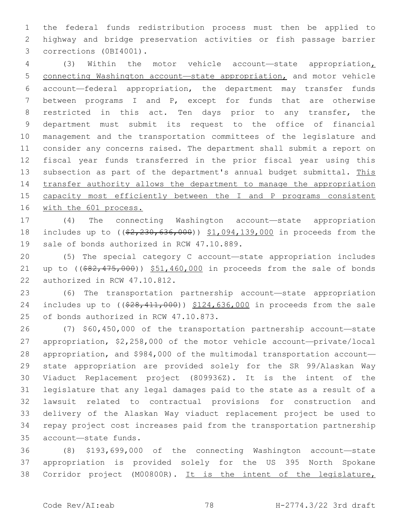the federal funds redistribution process must then be applied to highway and bridge preservation activities or fish passage barrier 3 corrections (0BI4001).

 (3) Within the motor vehicle account—state appropriation, connecting Washington account—state appropriation, and motor vehicle account—federal appropriation, the department may transfer funds between programs I and P, except for funds that are otherwise restricted in this act. Ten days prior to any transfer, the department must submit its request to the office of financial management and the transportation committees of the legislature and consider any concerns raised. The department shall submit a report on fiscal year funds transferred in the prior fiscal year using this subsection as part of the department's annual budget submittal. This transfer authority allows the department to manage the appropriation capacity most efficiently between the I and P programs consistent 16 with the 601 process.

 (4) The connecting Washington account—state appropriation 18 includes up to ((\$2,230,636,000)) \$1,094,139,000 in proceeds from the 19 sale of bonds authorized in RCW 47.10.889.

 (5) The special category C account—state appropriation includes 21 up to  $($   $(*82, 475, 000)$   $*51, 460, 000$  in proceeds from the sale of bonds 22 authorized in RCW 47.10.812.

 (6) The transportation partnership account—state appropriation 24 includes up to ((\$28,411,000)) \$124,636,000 in proceeds from the sale 25 of bonds authorized in RCW 47.10.873.

 (7) \$60,450,000 of the transportation partnership account—state appropriation, \$2,258,000 of the motor vehicle account—private/local appropriation, and \$984,000 of the multimodal transportation account— state appropriation are provided solely for the SR 99/Alaskan Way Viaduct Replacement project (809936Z). It is the intent of the legislature that any legal damages paid to the state as a result of a lawsuit related to contractual provisions for construction and delivery of the Alaskan Way viaduct replacement project be used to repay project cost increases paid from the transportation partnership account—state funds.35

 (8) \$193,699,000 of the connecting Washington account—state appropriation is provided solely for the US 395 North Spokane 38 Corridor project (M00800R). It is the intent of the legislature,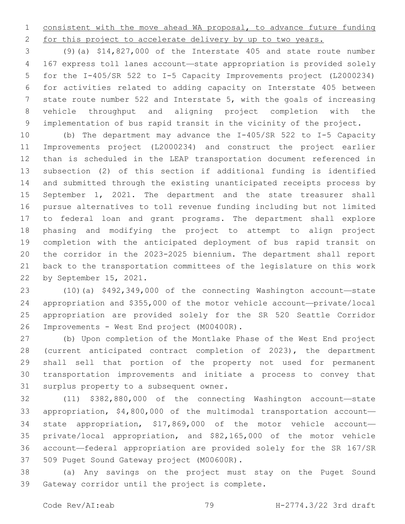consistent with the move ahead WA proposal, to advance future funding 2 for this project to accelerate delivery by up to two years.

 (9)(a) \$14,827,000 of the Interstate 405 and state route number 167 express toll lanes account—state appropriation is provided solely for the I-405/SR 522 to I-5 Capacity Improvements project (L2000234) for activities related to adding capacity on Interstate 405 between state route number 522 and Interstate 5, with the goals of increasing vehicle throughput and aligning project completion with the implementation of bus rapid transit in the vicinity of the project.

 (b) The department may advance the I-405/SR 522 to I-5 Capacity Improvements project (L2000234) and construct the project earlier than is scheduled in the LEAP transportation document referenced in subsection (2) of this section if additional funding is identified and submitted through the existing unanticipated receipts process by September 1, 2021. The department and the state treasurer shall pursue alternatives to toll revenue funding including but not limited to federal loan and grant programs. The department shall explore phasing and modifying the project to attempt to align project completion with the anticipated deployment of bus rapid transit on the corridor in the 2023-2025 biennium. The department shall report back to the transportation committees of the legislature on this work 22 by September 15, 2021.

 (10)(a) \$492,349,000 of the connecting Washington account—state appropriation and \$355,000 of the motor vehicle account—private/local appropriation are provided solely for the SR 520 Seattle Corridor 26 Improvements - West End project (M00400R).

 (b) Upon completion of the Montlake Phase of the West End project (current anticipated contract completion of 2023), the department shall sell that portion of the property not used for permanent transportation improvements and initiate a process to convey that 31 surplus property to a subsequent owner.

 (11) \$382,880,000 of the connecting Washington account—state appropriation, \$4,800,000 of the multimodal transportation account— state appropriation, \$17,869,000 of the motor vehicle account— private/local appropriation, and \$82,165,000 of the motor vehicle account—federal appropriation are provided solely for the SR 167/SR 37 509 Puget Sound Gateway project (M00600R).

 (a) Any savings on the project must stay on the Puget Sound 39 Gateway corridor until the project is complete.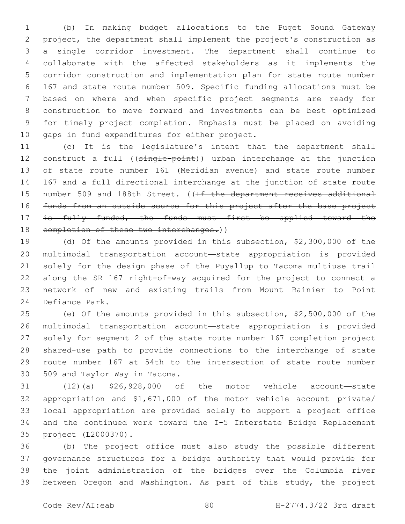(b) In making budget allocations to the Puget Sound Gateway project, the department shall implement the project's construction as a single corridor investment. The department shall continue to collaborate with the affected stakeholders as it implements the corridor construction and implementation plan for state route number 167 and state route number 509. Specific funding allocations must be based on where and when specific project segments are ready for construction to move forward and investments can be best optimized for timely project completion. Emphasis must be placed on avoiding 10 gaps in fund expenditures for either project.

 (c) It is the legislature's intent that the department shall 12 construct a full ((single-point)) urban interchange at the junction of state route number 161 (Meridian avenue) and state route number 167 and a full directional interchange at the junction of state route 15 number 509 and 188th Street. ((If the department receives additional funds from an outside source for this project after the base project 17 is fully funded, the funds must first be applied toward the 18 completion of these two interchanges.))

 (d) Of the amounts provided in this subsection, \$2,300,000 of the multimodal transportation account—state appropriation is provided solely for the design phase of the Puyallup to Tacoma multiuse trail along the SR 167 right-of-way acquired for the project to connect a network of new and existing trails from Mount Rainier to Point 24 Defiance Park.

 (e) Of the amounts provided in this subsection, \$2,500,000 of the multimodal transportation account—state appropriation is provided solely for segment 2 of the state route number 167 completion project shared-use path to provide connections to the interchange of state route number 167 at 54th to the intersection of state route number 30 509 and Taylor Way in Tacoma.

 (12)(a) \$26,928,000 of the motor vehicle account—state appropriation and \$1,671,000 of the motor vehicle account—private/ local appropriation are provided solely to support a project office and the continued work toward the I-5 Interstate Bridge Replacement project (L2000370).35

 (b) The project office must also study the possible different governance structures for a bridge authority that would provide for the joint administration of the bridges over the Columbia river between Oregon and Washington. As part of this study, the project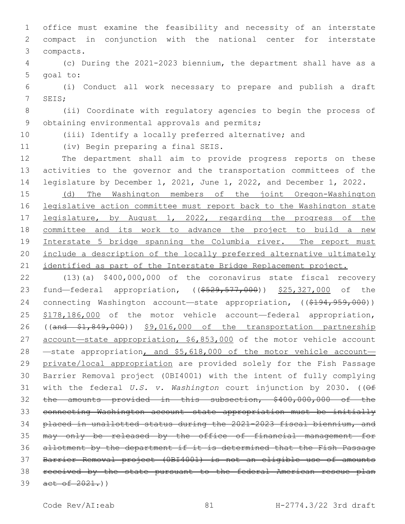office must examine the feasibility and necessity of an interstate compact in conjunction with the national center for interstate compacts.3

 (c) During the 2021-2023 biennium, the department shall have as a 5 goal to:

 (i) Conduct all work necessary to prepare and publish a draft 7 SEIS;

 (ii) Coordinate with regulatory agencies to begin the process of 9 obtaining environmental approvals and permits;

(iii) Identify a locally preferred alternative; and

11 (iv) Begin preparing a final SEIS.

 The department shall aim to provide progress reports on these activities to the governor and the transportation committees of the legislature by December 1, 2021, June 1, 2022, and December 1, 2022.

 (d) The Washington members of the joint Oregon-Washington legislative action committee must report back to the Washington state 17 legislature, by August 1, 2022, regarding the progress of the committee and its work to advance the project to build a new Interstate 5 bridge spanning the Columbia river. The report must include a description of the locally preferred alternative ultimately 21 identified as part of the Interstate Bridge Replacement project.

 (13)(a) \$400,000,000 of the coronavirus state fiscal recovery 23 fund—federal appropriation, ((\$529,577,000)) \$25,327,000 of the 24 connecting Washington account—state appropriation, ((\$194,959,000)) \$178,186,000 of the motor vehicle account—federal appropriation, ((and \$1,849,000)) \$9,016,000 of the transportation partnership 27 account-state appropriation, \$6,853,000 of the motor vehicle account 28 —state appropriation, and \$5,618,000 of the motor vehicle account-29 private/local appropriation are provided solely for the Fish Passage Barrier Removal project (0BI4001) with the intent of fully complying with the federal *U.S. v. Washington* court injunction by 2030. ((Of the amounts provided in this subsection, \$400,000,000 of the connecting Washington account—state appropriation must be initially placed in unallotted status during the 2021-2023 fiscal biennium, and may only be released by the office of financial management for allotment by the department if it is determined that the Fish Passage Barrier Removal project (0BI4001) is not an eligible use of amounts received by the state pursuant to the federal American rescue plan 39 act of .)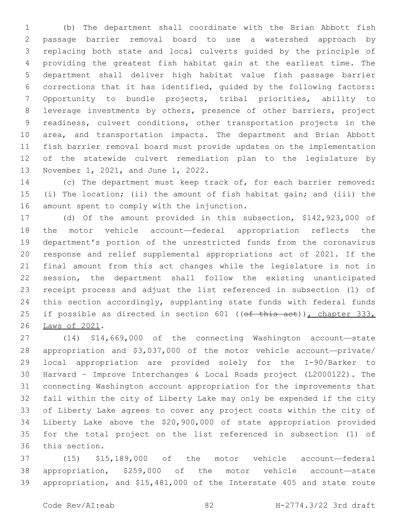(b) The department shall coordinate with the Brian Abbott fish passage barrier removal board to use a watershed approach by replacing both state and local culverts guided by the principle of providing the greatest fish habitat gain at the earliest time. The department shall deliver high habitat value fish passage barrier corrections that it has identified, guided by the following factors: Opportunity to bundle projects, tribal priorities, ability to leverage investments by others, presence of other barriers, project readiness, culvert conditions, other transportation projects in the area, and transportation impacts. The department and Brian Abbott fish barrier removal board must provide updates on the implementation of the statewide culvert remediation plan to the legislature by 13 November 1, 2021, and June 1, 2022.

 (c) The department must keep track of, for each barrier removed: (i) The location; (ii) the amount of fish habitat gain; and (iii) the 16 amount spent to comply with the injunction.

 (d) Of the amount provided in this subsection, \$142,923,000 of the motor vehicle account—federal appropriation reflects the department's portion of the unrestricted funds from the coronavirus response and relief supplemental appropriations act of 2021. If the final amount from this act changes while the legislature is not in session, the department shall follow the existing unanticipated receipt process and adjust the list referenced in subsection (1) of this section accordingly, supplanting state funds with federal funds 25 if possible as directed in section 601 ((of this act)), chapter 333, 26 Laws of 2021.

 (14) \$14,669,000 of the connecting Washington account—state appropriation and \$3,037,000 of the motor vehicle account—private/ local appropriation are provided solely for the I-90/Barker to Harvard – Improve Interchanges & Local Roads project (L2000122). The connecting Washington account appropriation for the improvements that fall within the city of Liberty Lake may only be expended if the city of Liberty Lake agrees to cover any project costs within the city of Liberty Lake above the \$20,900,000 of state appropriation provided for the total project on the list referenced in subsection (1) of 36 this section.

 (15) \$15,189,000 of the motor vehicle account—federal appropriation, \$259,000 of the motor vehicle account—state appropriation, and \$15,481,000 of the Interstate 405 and state route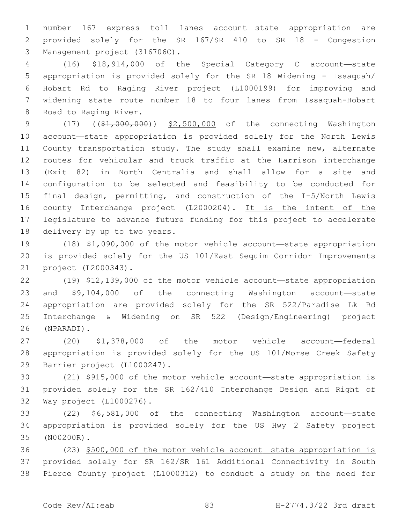number 167 express toll lanes account—state appropriation are provided solely for the SR 167/SR 410 to SR 18 - Congestion 3 Management project (316706C).

 (16) \$18,914,000 of the Special Category C account—state appropriation is provided solely for the SR 18 Widening - Issaquah/ Hobart Rd to Raging River project (L1000199) for improving and widening state route number 18 to four lanes from Issaquah-Hobart 8 Road to Raging River.

9 (17) ((\$1,000,000)) \$2,500,000 of the connecting Washington account—state appropriation is provided solely for the North Lewis County transportation study. The study shall examine new, alternate routes for vehicular and truck traffic at the Harrison interchange (Exit 82) in North Centralia and shall allow for a site and configuration to be selected and feasibility to be conducted for final design, permitting, and construction of the I-5/North Lewis county Interchange project (L2000204). It is the intent of the legislature to advance future funding for this project to accelerate delivery by up to two years.

 (18) \$1,090,000 of the motor vehicle account—state appropriation is provided solely for the US 101/East Sequim Corridor Improvements 21 project (L2000343).

 (19) \$12,139,000 of the motor vehicle account—state appropriation and \$9,104,000 of the connecting Washington account—state appropriation are provided solely for the SR 522/Paradise Lk Rd Interchange & Widening on SR 522 (Design/Engineering) project (NPARADI).26

 (20) \$1,378,000 of the motor vehicle account—federal appropriation is provided solely for the US 101/Morse Creek Safety 29 Barrier project (L1000247).

 (21) \$915,000 of the motor vehicle account—state appropriation is provided solely for the SR 162/410 Interchange Design and Right of 32 Way project (L1000276).

 (22) \$6,581,000 of the connecting Washington account—state appropriation is provided solely for the US Hwy 2 Safety project (N00200R).35

 (23) \$500,000 of the motor vehicle account—state appropriation is provided solely for SR 162/SR 161 Additional Connectivity in South Pierce County project (L1000312) to conduct a study on the need for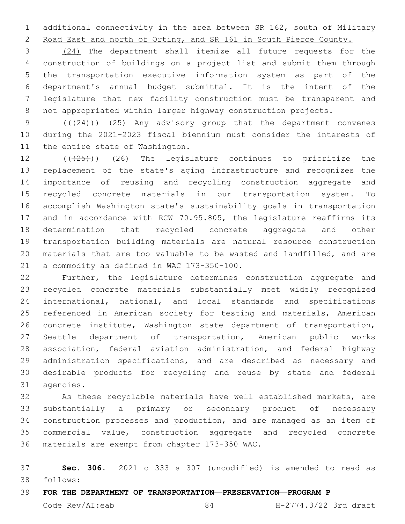additional connectivity in the area between SR 162, south of Military

Road East and north of Orting, and SR 161 in South Pierce County.

 (24) The department shall itemize all future requests for the construction of buildings on a project list and submit them through the transportation executive information system as part of the department's annual budget submittal. It is the intent of the legislature that new facility construction must be transparent and not appropriated within larger highway construction projects.

9 (( $(24)$ )) (25) Any advisory group that the department convenes during the 2021-2023 fiscal biennium must consider the interests of 11 the entire state of Washington.

 $((+25))$  (26) The legislature continues to prioritize the replacement of the state's aging infrastructure and recognizes the importance of reusing and recycling construction aggregate and recycled concrete materials in our transportation system. To accomplish Washington state's sustainability goals in transportation and in accordance with RCW 70.95.805, the legislature reaffirms its determination that recycled concrete aggregate and other transportation building materials are natural resource construction materials that are too valuable to be wasted and landfilled, and are 21 a commodity as defined in WAC 173-350-100.

 Further, the legislature determines construction aggregate and recycled concrete materials substantially meet widely recognized international, national, and local standards and specifications referenced in American society for testing and materials, American concrete institute, Washington state department of transportation, Seattle department of transportation, American public works association, federal aviation administration, and federal highway administration specifications, and are described as necessary and desirable products for recycling and reuse by state and federal 31 agencies.

 As these recyclable materials have well established markets, are substantially a primary or secondary product of necessary construction processes and production, and are managed as an item of commercial value, construction aggregate and recycled concrete 36 materials are exempt from chapter 173-350 WAC.

 **Sec. 306.** 2021 c 333 s 307 (uncodified) is amended to read as follows: 38

**FOR THE DEPARTMENT OF TRANSPORTATION—PRESERVATION—PROGRAM P**

Code Rev/AI:eab 84 H-2774.3/22 3rd draft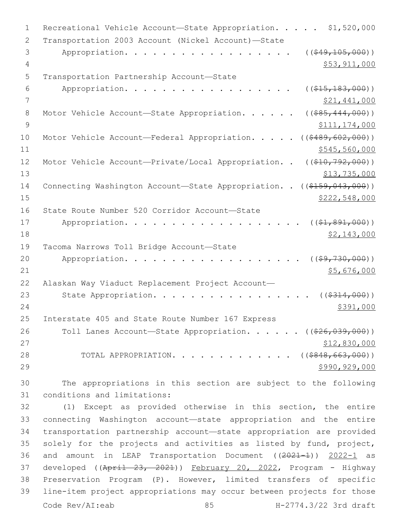| $\mathbf 1$    | Recreational Vehicle Account-State Appropriation.<br>\$1,520,000                 |
|----------------|----------------------------------------------------------------------------------|
| 2              | Transportation 2003 Account (Nickel Account)-State                               |
| 3              | ( ( \$49, 105, 000) )<br>Appropriation.                                          |
| 4              | \$53,911,000                                                                     |
| 5              | Transportation Partnership Account-State                                         |
| 6              | ( ( \$15, 183, 000) )<br>Appropriation.                                          |
| 7              | <u>\$21,441,000</u>                                                              |
| 8              | $($ $($ $$85, 444, 000)$ $)$<br>Motor Vehicle Account-State Appropriation.       |
| $\overline{9}$ | \$111,174,000                                                                    |
| 10             | Motor Vehicle Account-Federal Appropriation.<br>( ( \$489, 602, 000) )           |
| 11             | \$545,560,000                                                                    |
| 12             | Motor Vehicle Account-Private/Local Appropriation. .<br>$((\$10,792,000))$       |
| 13             | \$13,735,000                                                                     |
| 14             | Connecting Washington Account-State Appropriation. .<br>$((\$159,043,000))$      |
| 15             | \$222,548,000                                                                    |
| 16             | State Route Number 520 Corridor Account-State                                    |
| 17             | $((\$1,891,000))$<br>Appropriation.                                              |
| 18             | \$2,143,000                                                                      |
| 19             | Tacoma Narrows Toll Bridge Account-State                                         |
| 20             | ( ( \$9, 730, 000) )<br>Appropriation.                                           |
| 21             | \$5,676,000                                                                      |
| 22             | Alaskan Way Viaduct Replacement Project Account-                                 |
| 23             | State Appropriation.<br>( ( \$314, 000) )                                        |
| 24             | \$391,000                                                                        |
| 25             | Interstate 405 and State Route Number 167 Express                                |
| 26             | Toll Lanes Account-State Appropriation. ( $(\frac{226}{626}, \frac{039}{000})$ ) |
| 27             | \$12,830,000                                                                     |
| 28             | TOTAL APPROPRIATION. ( $( $848, 663, 000)$ )                                     |
| 29             | \$990,929,000                                                                    |
| 30             | The appropriations in this section are subject to the following                  |
| 31             | conditions and limitations:                                                      |
| 32             | (1) Except as provided otherwise in this section, the entire                     |

 connecting Washington account—state appropriation and the entire transportation partnership account—state appropriation are provided solely for the projects and activities as listed by fund, project, 36 and amount in LEAP Transportation Document ((2021-1)) 2022-1 as 37 developed ((April 23, 2021)) February 20, 2022, Program - Highway Preservation Program (P). However, limited transfers of specific line-item project appropriations may occur between projects for those Code Rev/AI:eab 85 H-2774.3/22 3rd draft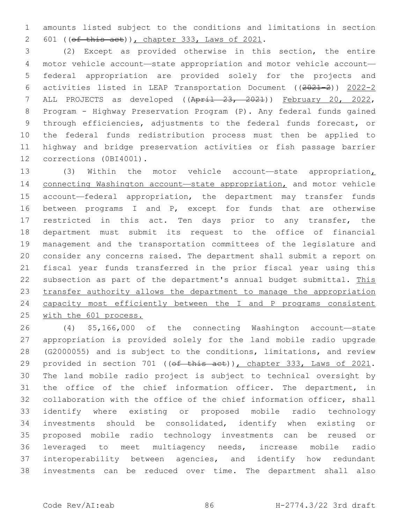amounts listed subject to the conditions and limitations in section 601 ( $(\overline{ef} \overline{this} \overline{act})$ ), chapter 333, Laws of 2021.

 (2) Except as provided otherwise in this section, the entire motor vehicle account—state appropriation and motor vehicle account— federal appropriation are provided solely for the projects and activities listed in LEAP Transportation Document ((2021-2)) 2022-2 ALL PROJECTS as developed ((April 23, 2021)) February 20, 2022, Program - Highway Preservation Program (P). Any federal funds gained through efficiencies, adjustments to the federal funds forecast, or the federal funds redistribution process must then be applied to highway and bridge preservation activities or fish passage barrier 12 corrections (0BI4001).

13 (3) Within the motor vehicle account—state appropriation<sub>L</sub> 14 connecting Washington account-state appropriation, and motor vehicle account—federal appropriation, the department may transfer funds between programs I and P, except for funds that are otherwise 17 restricted in this act. Ten days prior to any transfer, the department must submit its request to the office of financial management and the transportation committees of the legislature and consider any concerns raised. The department shall submit a report on fiscal year funds transferred in the prior fiscal year using this 22 subsection as part of the department's annual budget submittal. This transfer authority allows the department to manage the appropriation 24 capacity most efficiently between the I and P programs consistent with the 601 process.

 (4) \$5,166,000 of the connecting Washington account—state appropriation is provided solely for the land mobile radio upgrade (G2000055) and is subject to the conditions, limitations, and review 29 provided in section 701 ((of this act)), chapter 333, Laws of 2021. The land mobile radio project is subject to technical oversight by the office of the chief information officer. The department, in collaboration with the office of the chief information officer, shall identify where existing or proposed mobile radio technology investments should be consolidated, identify when existing or proposed mobile radio technology investments can be reused or leveraged to meet multiagency needs, increase mobile radio interoperability between agencies, and identify how redundant investments can be reduced over time. The department shall also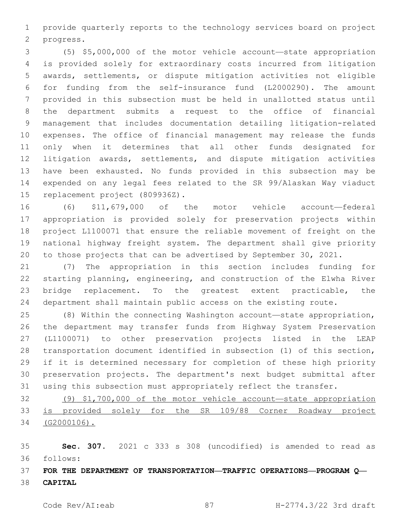provide quarterly reports to the technology services board on project 2 progress.

 (5) \$5,000,000 of the motor vehicle account—state appropriation is provided solely for extraordinary costs incurred from litigation awards, settlements, or dispute mitigation activities not eligible for funding from the self-insurance fund (L2000290). The amount provided in this subsection must be held in unallotted status until the department submits a request to the office of financial management that includes documentation detailing litigation-related expenses. The office of financial management may release the funds only when it determines that all other funds designated for litigation awards, settlements, and dispute mitigation activities have been exhausted. No funds provided in this subsection may be expended on any legal fees related to the SR 99/Alaskan Way viaduct 15 replacement project (809936Z).

 (6) \$11,679,000 of the motor vehicle account—federal appropriation is provided solely for preservation projects within project L1100071 that ensure the reliable movement of freight on the national highway freight system. The department shall give priority to those projects that can be advertised by September 30, 2021.

 (7) The appropriation in this section includes funding for starting planning, engineering, and construction of the Elwha River bridge replacement. To the greatest extent practicable, the department shall maintain public access on the existing route.

 (8) Within the connecting Washington account—state appropriation, the department may transfer funds from Highway System Preservation (L1100071) to other preservation projects listed in the LEAP transportation document identified in subsection (1) of this section, if it is determined necessary for completion of these high priority preservation projects. The department's next budget submittal after using this subsection must appropriately reflect the transfer.

 (9) \$1,700,000 of the motor vehicle account—state appropriation is provided solely for the SR 109/88 Corner Roadway project (G2000106).

 **Sec. 307.** 2021 c 333 s 308 (uncodified) is amended to read as follows: 36

 **FOR THE DEPARTMENT OF TRANSPORTATION—TRAFFIC OPERATIONS—PROGRAM Q— CAPITAL**

Code Rev/AI:eab 87 H-2774.3/22 3rd draft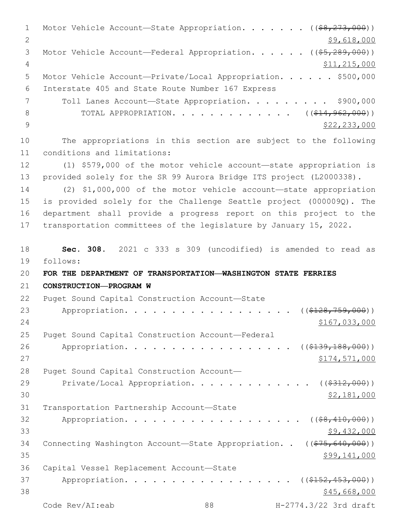1 Motor Vehicle Account—State Appropriation. . . . . . ((\$8,273,000)) 2 \$9,618,000 3 Motor Vehicle Account—Federal Appropriation. . . . . ((\$5,289,000)) 4 \$11,215,000 5 Motor Vehicle Account—Private/Local Appropriation. . . . . \$500,000 Interstate 405 and State Route Number 167 Express6 7 Toll Lanes Account-State Appropriation. . . . . . . . \$900,000 8 TOTAL APPROPRIATION. . . . . . . . . . . . ((\$14,962,000)) 9  $\frac{1}{2}$   $\frac{1}{2}$   $\frac{233}{233}$ ,000 10 The appropriations in this section are subject to the following 11 conditions and limitations: 12 (1) \$579,000 of the motor vehicle account—state appropriation is 13 provided solely for the SR 99 Aurora Bridge ITS project (L2000338). 14 (2) \$1,000,000 of the motor vehicle account—state appropriation 15 is provided solely for the Challenge Seattle project (000009Q). The 16 department shall provide a progress report on this project to the 17 transportation committees of the legislature by January 15, 2022. 18 **Sec. 308.** 2021 c 333 s 309 (uncodified) is amended to read as follows: 19 20 **FOR THE DEPARTMENT OF TRANSPORTATION—WASHINGTON STATE FERRIES**  21 **CONSTRUCTION—PROGRAM W** 22 Puget Sound Capital Construction Account-State 23 Appropriation. . . . . . . . . . . . . . . . . ((\$128,759,000)) 24 \$167,033,000 25 Puget Sound Capital Construction Account-Federal 26 Appropriation. . . . . . . . . . . . . . . . (  $(\frac{2139,188,000}{1})$  $27$   $\$174,571,000$ 28 Puget Sound Capital Construction Account— 29 Private/Local Appropriation. . . . . . . . . . . . ((\$312,000))  $30 \,$  \$2,181,000 31 Transportation Partnership Account-State 32 Appropriation. . . . . . . . . . . . . . . . .  $($   $(*8,410,000))$  $33$  \$9,432,000 34 Connecting Washington Account-State Appropriation. . ((\$75,640,000))  $35$  \$99,141,000 36 Capital Vessel Replacement Account-State 37 Appropriation. . . . . . . . . . . . . . . . (  $(\frac{152}{152}, \frac{453}{100})$  )  $38$  \$45,668,000 Code Rev/AI:eab 88 H-2774.3/22 3rd draft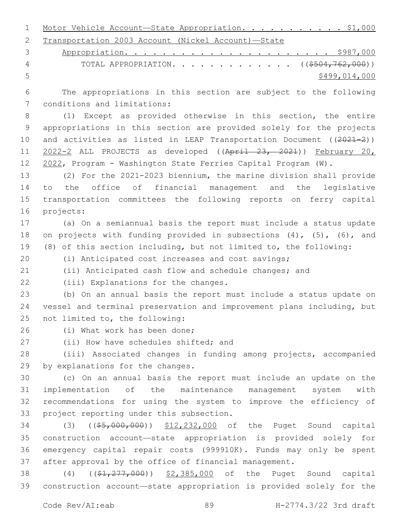| 1 Motor Vehicle Account—State Appropriation. \$1,000 |  |  |  |  |  |
|------------------------------------------------------|--|--|--|--|--|
| 2 Transportation 2003 Account (Nickel Account)-State |  |  |  |  |  |

|   | 4 TOTAL APPROPRIATION. ((\$504,762,000)) |
|---|------------------------------------------|
| 5 | \$499,014,000                            |

 The appropriations in this section are subject to the following 7 conditions and limitations:

 (1) Except as provided otherwise in this section, the entire appropriations in this section are provided solely for the projects 10 and activities as listed in LEAP Transportation Document ((2021-2)) 11 2022-2 ALL PROJECTS as developed ((April 23, 2021)) February 20, 2022, Program - Washington State Ferries Capital Program (W).

 (2) For the 2021-2023 biennium, the marine division shall provide to the office of financial management and the legislative transportation committees the following reports on ferry capital 16 projects:

 (a) On a semiannual basis the report must include a status update 18 on projects with funding provided in subsections (4), (5), (6), and (8) of this section including, but not limited to, the following:

(i) Anticipated cost increases and cost savings;

(ii) Anticipated cash flow and schedule changes; and

22 (iii) Explanations for the changes.

 (b) On an annual basis the report must include a status update on vessel and terminal preservation and improvement plans including, but 25 not limited to, the following:

26 (i) What work has been done;

27 (ii) How have schedules shifted; and

 (iii) Associated changes in funding among projects, accompanied 29 by explanations for the changes.

 (c) On an annual basis the report must include an update on the implementation of the maintenance management system with recommendations for using the system to improve the efficiency of 33 project reporting under this subsection.

 (3) ((\$5,000,000)) \$12,232,000 of the Puget Sound capital construction account—state appropriation is provided solely for emergency capital repair costs (999910K). Funds may only be spent after approval by the office of financial management.

38 (4) ((\$1,277,000)) \$2,385,000 of the Puget Sound capital construction account—state appropriation is provided solely for the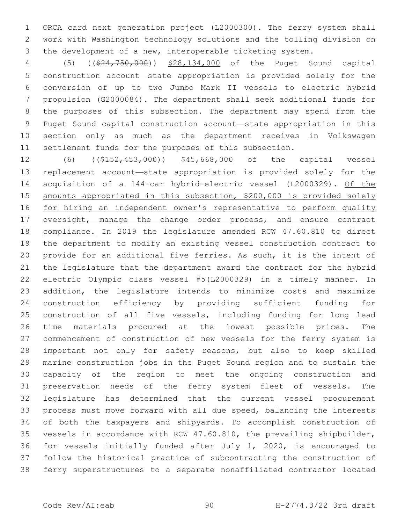ORCA card next generation project (L2000300). The ferry system shall work with Washington technology solutions and the tolling division on the development of a new, interoperable ticketing system.

 (5) ((\$24,750,000)) \$28,134,000 of the Puget Sound capital construction account—state appropriation is provided solely for the conversion of up to two Jumbo Mark II vessels to electric hybrid propulsion (G2000084). The department shall seek additional funds for the purposes of this subsection. The department may spend from the Puget Sound capital construction account—state appropriation in this section only as much as the department receives in Volkswagen settlement funds for the purposes of this subsection.

12 (6) ((\$152,453,000)) \$45,668,000 of the capital vessel replacement account—state appropriation is provided solely for the acquisition of a 144-car hybrid-electric vessel (L2000329). Of the amounts appropriated in this subsection, \$200,000 is provided solely for hiring an independent owner's representative to perform quality 17 oversight, manage the change order process, and ensure contract compliance. In 2019 the legislature amended RCW 47.60.810 to direct the department to modify an existing vessel construction contract to provide for an additional five ferries. As such, it is the intent of the legislature that the department award the contract for the hybrid electric Olympic class vessel #5(L2000329) in a timely manner. In addition, the legislature intends to minimize costs and maximize construction efficiency by providing sufficient funding for construction of all five vessels, including funding for long lead time materials procured at the lowest possible prices. The commencement of construction of new vessels for the ferry system is important not only for safety reasons, but also to keep skilled marine construction jobs in the Puget Sound region and to sustain the capacity of the region to meet the ongoing construction and preservation needs of the ferry system fleet of vessels. The legislature has determined that the current vessel procurement process must move forward with all due speed, balancing the interests of both the taxpayers and shipyards. To accomplish construction of vessels in accordance with RCW 47.60.810, the prevailing shipbuilder, for vessels initially funded after July 1, 2020, is encouraged to follow the historical practice of subcontracting the construction of ferry superstructures to a separate nonaffiliated contractor located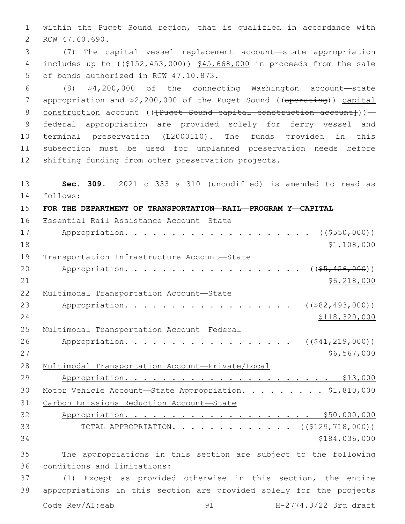1 within the Puget Sound region, that is qualified in accordance with 2 RCW 47.60.690.

3 (7) The capital vessel replacement account—state appropriation 4 includes up to ((\$152,453,000)) \$45,668,000 in proceeds from the sale 5 of bonds authorized in RCW 47.10.873.

 (8) \$4,200,000 of the connecting Washington account—state 7 appropriation and \$2,200,000 of the Puget Sound ((operating)) capital 8 construction account (( ${Puqet}$  Sound capital construction account})) - federal appropriation are provided solely for ferry vessel and terminal preservation (L2000110). The funds provided in this subsection must be used for unplanned preservation needs before shifting funding from other preservation projects.

13 **Sec. 309.** 2021 c 333 s 310 (uncodified) is amended to read as follows: 14 15 **FOR THE DEPARTMENT OF TRANSPORTATION—RAIL—PROGRAM Y—CAPITAL** 16 Essential Rail Assistance Account-State 17 Appropriation. . . . . . . . . . . . . . . . . . (  $(\frac{2550,000}{1})$  $18$  \$1,108,000 19 Transportation Infrastructure Account-State 20 Appropriation. . . . . . . . . . . . . . . . . (  $(\frac{25}{1000})$  )  $21$  \$6,218,000 22 Multimodal Transportation Account-State 23 Appropriation. . . . . . . . . . . . . . . . . (  $(*82,493,000)$  ) 24 \$118,320,000 25 Multimodal Transportation Account-Federal 26 Appropriation. . . . . . . . . . . . . . . . ((<del>\$41,219,000</del>))  $27$  \$6,567,000 28 Multimodal Transportation Account—Private/Local 29 Appropriation. . . . . . . . . . . . . . . . . . . . . . \$13,000 30 Motor Vehicle Account—State Appropriation. . . . . . . . . \$1,810,000 31 Carbon Emissions Reduction Account—State 32 Appropriation. . . . . . . . . . . . . . . . . . . . \$50,000,000 33 TOTAL APPROPRIATION. . . . . . . . . . . . . ((\$129,718,000))  $34$   $$184,036,000$ 35 The appropriations in this section are subject to the following 36 conditions and limitations: 37 (1) Except as provided otherwise in this section, the entire 38 appropriations in this section are provided solely for the projects

Code Rev/AI:eab 91 91 H-2774.3/22 3rd draft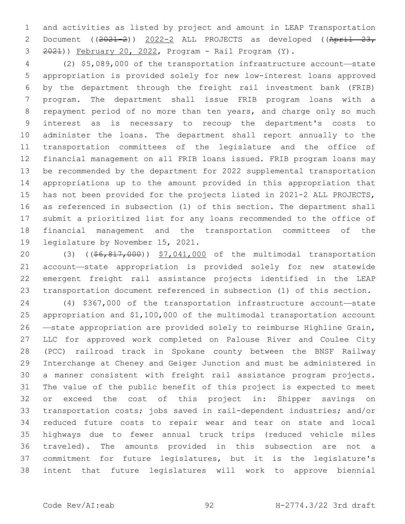and activities as listed by project and amount in LEAP Transportation 2 Document ((2021-2)) 2022-2 ALL PROJECTS as developed ((April 23, 2021)) February 20, 2022, Program - Rail Program (Y).

 (2) \$5,089,000 of the transportation infrastructure account—state appropriation is provided solely for new low-interest loans approved by the department through the freight rail investment bank (FRIB) program. The department shall issue FRIB program loans with a repayment period of no more than ten years, and charge only so much interest as is necessary to recoup the department's costs to administer the loans. The department shall report annually to the transportation committees of the legislature and the office of financial management on all FRIB loans issued. FRIB program loans may be recommended by the department for 2022 supplemental transportation appropriations up to the amount provided in this appropriation that has not been provided for the projects listed in 2021-2 ALL PROJECTS, as referenced in subsection (1) of this section. The department shall submit a prioritized list for any loans recommended to the office of financial management and the transportation committees of the 19 legislature by November 15, 2021.

20 (3) ((\$6,817,000)) \$7,041,000 of the multimodal transportation account—state appropriation is provided solely for new statewide emergent freight rail assistance projects identified in the LEAP transportation document referenced in subsection (1) of this section.

 (4) \$367,000 of the transportation infrastructure account—state appropriation and \$1,100,000 of the multimodal transportation account —state appropriation are provided solely to reimburse Highline Grain, LLC for approved work completed on Palouse River and Coulee City (PCC) railroad track in Spokane county between the BNSF Railway Interchange at Cheney and Geiger Junction and must be administered in a manner consistent with freight rail assistance program projects. The value of the public benefit of this project is expected to meet or exceed the cost of this project in: Shipper savings on transportation costs; jobs saved in rail-dependent industries; and/or reduced future costs to repair wear and tear on state and local highways due to fewer annual truck trips (reduced vehicle miles traveled). The amounts provided in this subsection are not a commitment for future legislatures, but it is the legislature's intent that future legislatures will work to approve biennial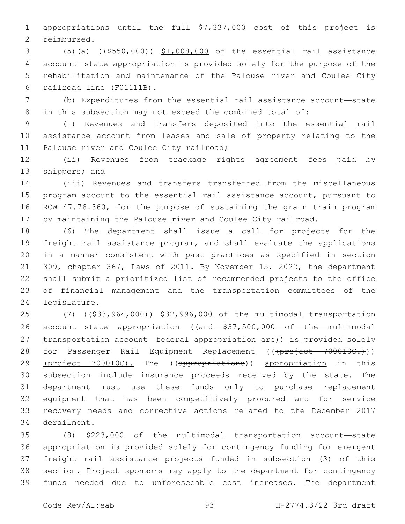appropriations until the full \$7,337,000 cost of this project is 2 reimbursed.

 (5)(a) ((\$550,000)) \$1,008,000 of the essential rail assistance account—state appropriation is provided solely for the purpose of the rehabilitation and maintenance of the Palouse river and Coulee City 6 railroad line (F01111B).

 (b) Expenditures from the essential rail assistance account—state in this subsection may not exceed the combined total of:

 (i) Revenues and transfers deposited into the essential rail assistance account from leases and sale of property relating to the 11 Palouse river and Coulee City railroad;

 (ii) Revenues from trackage rights agreement fees paid by 13 shippers; and

 (iii) Revenues and transfers transferred from the miscellaneous program account to the essential rail assistance account, pursuant to RCW 47.76.360, for the purpose of sustaining the grain train program by maintaining the Palouse river and Coulee City railroad.

 (6) The department shall issue a call for projects for the freight rail assistance program, and shall evaluate the applications in a manner consistent with past practices as specified in section 309, chapter 367, Laws of 2011. By November 15, 2022, the department shall submit a prioritized list of recommended projects to the office of financial management and the transportation committees of the 24 legislature.

25 (7) ((\$33,964,000)) \$32,996,000 of the multimodal transportation 26 account—state appropriation ((and \$37,500,000 of the multimodal 27 transportation account—federal appropriation are)) is provided solely 28 for Passenger Rail Equipment Replacement (((project 700010C.))) 29 (project 700010C). The ((appropriations)) appropriation in this subsection include insurance proceeds received by the state. The department must use these funds only to purchase replacement equipment that has been competitively procured and for service recovery needs and corrective actions related to the December 2017 34 derailment.

 (8) \$223,000 of the multimodal transportation account—state appropriation is provided solely for contingency funding for emergent freight rail assistance projects funded in subsection (3) of this section. Project sponsors may apply to the department for contingency funds needed due to unforeseeable cost increases. The department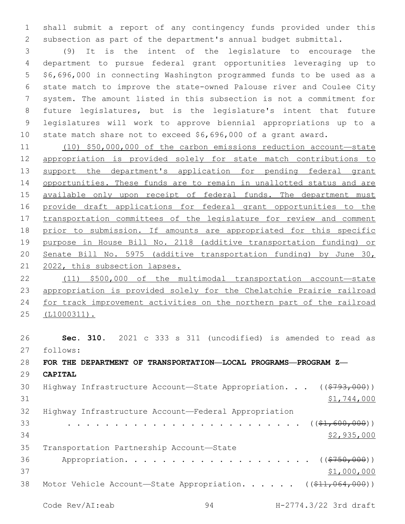shall submit a report of any contingency funds provided under this subsection as part of the department's annual budget submittal.

 (9) It is the intent of the legislature to encourage the department to pursue federal grant opportunities leveraging up to \$6,696,000 in connecting Washington programmed funds to be used as a state match to improve the state-owned Palouse river and Coulee City system. The amount listed in this subsection is not a commitment for future legislatures, but is the legislature's intent that future legislatures will work to approve biennial appropriations up to a state match share not to exceed \$6,696,000 of a grant award.

 (10) \$50,000,000 of the carbon emissions reduction account—state appropriation is provided solely for state match contributions to 13 support the department's application for pending federal grant opportunities. These funds are to remain in unallotted status and are 15 available only upon receipt of federal funds. The department must provide draft applications for federal grant opportunities to the transportation committees of the legislature for review and comment prior to submission. If amounts are appropriated for this specific purpose in House Bill No. 2118 (additive transportation funding) or Senate Bill No. 5975 (additive transportation funding) by June 30, 2022, this subsection lapses.

 (11) \$500,000 of the multimodal transportation account—state appropriation is provided solely for the Chelatchie Prairie railroad for track improvement activities on the northern part of the railroad (L1000311).

 **Sec. 310.** 2021 c 333 s 311 (uncodified) is amended to read as follows: 27 **FOR THE DEPARTMENT OF TRANSPORTATION—LOCAL PROGRAMS—PROGRAM Z— CAPITAL** 30 Highway Infrastructure Account—State Appropriation. . . ((\$793,000))  $$1,744,000$  Highway Infrastructure Account—Federal Appropriation . . . . . . . . . . . . . . . . . . . . . . . . . ((\$1,600,000)) \$2,935,000 35 Transportation Partnership Account-State 36 Appropriation. . . . . . . . . . . . . . . . . . (  $(\frac{2750,000}{1})$ 37 \$1,000,000 38 Motor Vehicle Account—State Appropriation. . . . . ((\$11,064,000))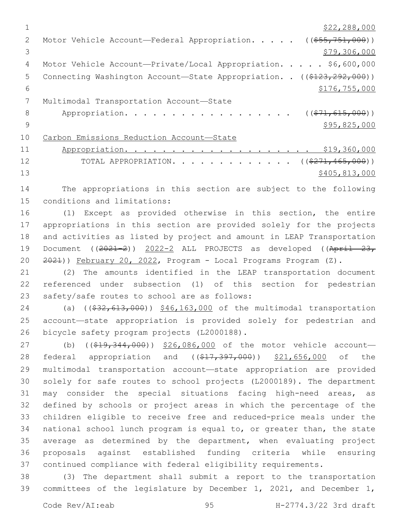|               | \$22,288,000                                                           |
|---------------|------------------------------------------------------------------------|
| $\mathcal{L}$ | Motor Vehicle Account—Federal Appropriation. $($ $($ \$55,751,000))    |
| 3             | \$79,306,000                                                           |
| 4             | Motor Vehicle Account-Private/Local Appropriation. \$6,600,000         |
| 5             | Connecting Washington Account-State Appropriation. . ((\$123,292,000)) |
| 6             | \$176, 755, 000                                                        |
|               | Multimodal Transportation Account-State                                |
| 8             | Appropriation.<br>$((\$71,615,000))$                                   |
| 9             | \$95,825,000                                                           |
| 10            | Carbon Emissions Reduction Account-State                               |
| 11            | \$19,360,000                                                           |
| 12            | TOTAL APPROPRIATION. ( $(\frac{271,465,000}{271,000})$ )               |
| 13            | \$405,813,000                                                          |
|               |                                                                        |

14 The appropriations in this section are subject to the following 15 conditions and limitations:

 (1) Except as provided otherwise in this section, the entire appropriations in this section are provided solely for the projects and activities as listed by project and amount in LEAP Transportation 19 Document ((2021-2)) 2022-2 ALL PROJECTS as developed ((April 23, 2021)) February 20, 2022, Program - Local Programs Program (Z).

21 (2) The amounts identified in the LEAP transportation document 22 referenced under subsection (1) of this section for pedestrian 23 safety/safe routes to school are as follows:

24 (a) ((\$32,613,000)) \$46,163,000 of the multimodal transportation 25 account—state appropriation is provided solely for pedestrian and 26 bicycle safety program projects (L2000188).

27 (b) ((\$19,344,000)) \$26,086,000 of the motor vehicle account-28 federal appropriation and ((\$17,397,000)) \$21,656,000 of the multimodal transportation account—state appropriation are provided solely for safe routes to school projects (L2000189). The department may consider the special situations facing high-need areas, as defined by schools or project areas in which the percentage of the children eligible to receive free and reduced-price meals under the national school lunch program is equal to, or greater than, the state average as determined by the department, when evaluating project proposals against established funding criteria while ensuring continued compliance with federal eligibility requirements.

38 (3) The department shall submit a report to the transportation 39 committees of the legislature by December 1, 2021, and December 1,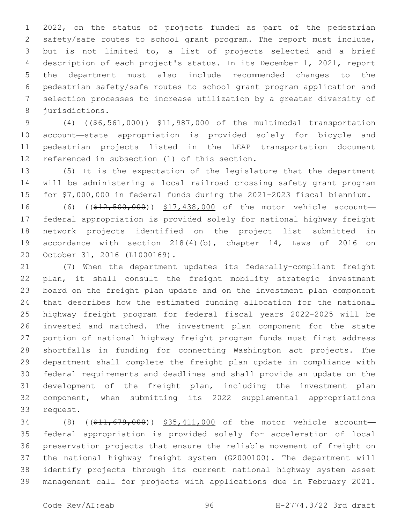2022, on the status of projects funded as part of the pedestrian safety/safe routes to school grant program. The report must include, but is not limited to, a list of projects selected and a brief description of each project's status. In its December 1, 2021, report the department must also include recommended changes to the pedestrian safety/safe routes to school grant program application and selection processes to increase utilization by a greater diversity of 8 jurisdictions.

9 (4) ((\$6,561,000)) \$11,987,000 of the multimodal transportation account—state appropriation is provided solely for bicycle and pedestrian projects listed in the LEAP transportation document 12 referenced in subsection (1) of this section.

 (5) It is the expectation of the legislature that the department will be administering a local railroad crossing safety grant program for \$7,000,000 in federal funds during the 2021-2023 fiscal biennium.

16 (6) ((\$12,500,000)) \$17,438,000 of the motor vehicle account- federal appropriation is provided solely for national highway freight network projects identified on the project list submitted in accordance with section 218(4)(b), chapter 14, Laws of 2016 on 20 October 31, 2016 (L1000169).

 (7) When the department updates its federally-compliant freight plan, it shall consult the freight mobility strategic investment board on the freight plan update and on the investment plan component that describes how the estimated funding allocation for the national highway freight program for federal fiscal years 2022-2025 will be invested and matched. The investment plan component for the state portion of national highway freight program funds must first address shortfalls in funding for connecting Washington act projects. The department shall complete the freight plan update in compliance with federal requirements and deadlines and shall provide an update on the development of the freight plan, including the investment plan component, when submitting its 2022 supplemental appropriations 33 request.

34 (8) ((\$11,679,000)) \$35,411,000 of the motor vehicle account- federal appropriation is provided solely for acceleration of local preservation projects that ensure the reliable movement of freight on the national highway freight system (G2000100). The department will identify projects through its current national highway system asset management call for projects with applications due in February 2021.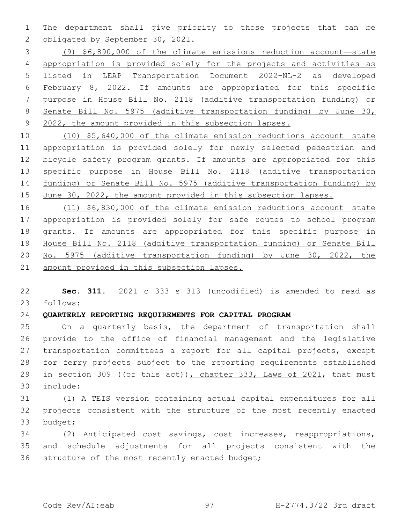The department shall give priority to those projects that can be 2 obligated by September 30, 2021.

 (9) \$6,890,000 of the climate emissions reduction account—state appropriation is provided solely for the projects and activities as listed in LEAP Transportation Document 2022-NL-2 as developed February 8, 2022. If amounts are appropriated for this specific purpose in House Bill No. 2118 (additive transportation funding) or Senate Bill No. 5975 (additive transportation funding) by June 30, 2022, the amount provided in this subsection lapses.

 (10) \$5,640,000 of the climate emission reductions account—state appropriation is provided solely for newly selected pedestrian and bicycle safety program grants. If amounts are appropriated for this specific purpose in House Bill No. 2118 (additive transportation funding) or Senate Bill No. 5975 (additive transportation funding) by June 30, 2022, the amount provided in this subsection lapses.

 (11) \$6,830,000 of the climate emission reductions account—state appropriation is provided solely for safe routes to school program grants. If amounts are appropriated for this specific purpose in House Bill No. 2118 (additive transportation funding) or Senate Bill No. 5975 (additive transportation funding) by June 30, 2022, the amount provided in this subsection lapses.

 **Sec. 311.** 2021 c 333 s 313 (uncodified) is amended to read as follows: 23

## **QUARTERLY REPORTING REQUIREMENTS FOR CAPITAL PROGRAM**

 On a quarterly basis, the department of transportation shall provide to the office of financial management and the legislative transportation committees a report for all capital projects, except for ferry projects subject to the reporting requirements established 29 in section 309 ((of this act)), chapter 333, Laws of 2021, that must include:30

 (1) A TEIS version containing actual capital expenditures for all projects consistent with the structure of the most recently enacted 33 budget;

 (2) Anticipated cost savings, cost increases, reappropriations, and schedule adjustments for all projects consistent with the 36 structure of the most recently enacted budget;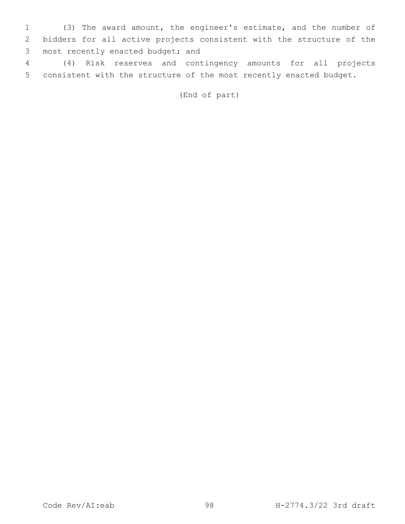1 (3) The award amount, the engineer's estimate, and the number of 2 bidders for all active projects consistent with the structure of the 3 most recently enacted budget; and

4 (4) Risk reserves and contingency amounts for all projects 5 consistent with the structure of the most recently enacted budget.

(End of part)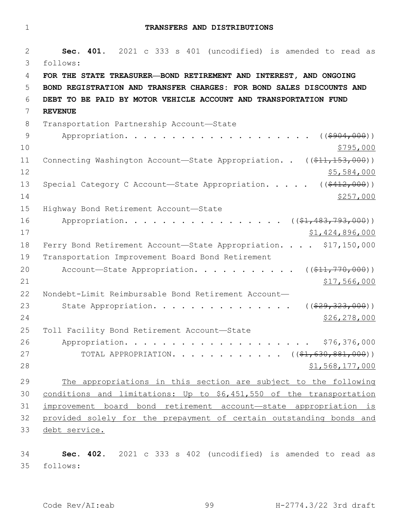1 **TRANSFERS AND DISTRIBUTIONS**

2 **Sec. 401.** 2021 c 333 s 401 (uncodified) is amended to read as follows: 3 4 **FOR THE STATE TREASURER—BOND RETIREMENT AND INTEREST, AND ONGOING**  5 **BOND REGISTRATION AND TRANSFER CHARGES: FOR BOND SALES DISCOUNTS AND**  6 **DEBT TO BE PAID BY MOTOR VEHICLE ACCOUNT AND TRANSPORTATION FUND**  7 **REVENUE** 8 Transportation Partnership Account-State 9 Appropriation. . . . . . . . . . . . . . . . . . ((\$904,000))  $10 \frac{\$795,000}{}$ 11 Connecting Washington Account—State Appropriation. . ((\$11,153,000))  $12$  \$5,584,000 13 Special Category C Account—State Appropriation. . . . ((\$412,000))  $14$   $\frac{$257,000}{}$ 15 Highway Bond Retirement Account-State 16 Appropriation. . . . . . . . . . . . . . . . ((\$1,483,793,000)) 17 \$1,424,896,000 18 Ferry Bond Retirement Account-State Appropriation. . . . \$17,150,000 19 Transportation Improvement Board Bond Retirement 20 Account—State Appropriation. . . . . . . . . .  $($   $($ \$11,770,000))  $21$   $$17,566,000$ 22 Nondebt-Limit Reimbursable Bond Retirement Account— 23 State Appropriation. . . . . . . . . . . . . . . ((\$29,323,000)) 24 \$26,278,000 25 Toll Facility Bond Retirement Account-State 26 Appropriation. . . . . . . . . . . . . . . . . . . . \$76,376,000 27 TOTAL APPROPRIATION. . . . . . . . . . . ((\$1,630,881,000))  $28$   $51,568,177,000$ 29 The appropriations in this section are subject to the following 30 conditions and limitations: Up to \$6,451,550 of the transportation 31 improvement board bond retirement account—state appropriation is 32 provided solely for the prepayment of certain outstanding bonds and 33 debt service.

34 **Sec. 402.** 2021 c 333 s 402 (uncodified) is amended to read as follows: 35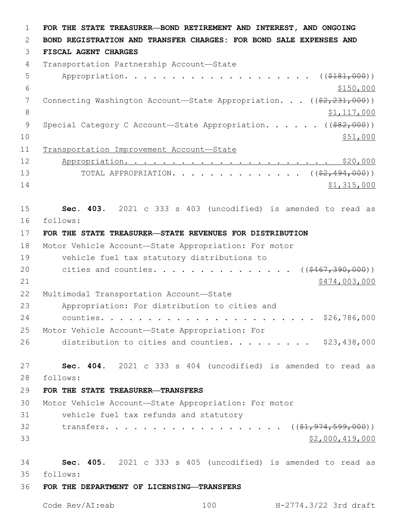1 **FOR THE STATE TREASURER—BOND RETIREMENT AND INTEREST, AND ONGOING**  2 **BOND REGISTRATION AND TRANSFER CHARGES: FOR BOND SALE EXPENSES AND**  3 **FISCAL AGENT CHARGES** 4 Transportation Partnership Account-State 5 Appropriation. . . . . . . . . . . . . . . . . . (  $(\frac{2181,000}{100})$  $\frac{$150,000}{ }$ 7 Connecting Washington Account—State Appropriation. . . ((\$2,231,000)) 8 \$1,117,000 9 Special Category C Account—State Appropriation. . . . . ((\$82,000))  $10 \frac{\$51,000}{\$}$ 11 Transportation Improvement Account—State 12 Appropriation. . . . . . . . . . . . . . . . . . . . . . \$20,000 13 TOTAL APPROPRIATION. . . . . . . . . . . . . ((<del>\$2,494,000</del>))  $14$  \$1,315,000 15 **Sec. 403.** 2021 c 333 s 403 (uncodified) is amended to read as follows: 16 17 **FOR THE STATE TREASURER—STATE REVENUES FOR DISTRIBUTION** 18 Motor Vehicle Account—State Appropriation: For motor 19 vehicle fuel tax statutory distributions to 20 cities and counties. . . . . . . . . . . . . . ((\$467,390,000)) 21 \$474,003,000 \$474,003,000 \$474,003,000 \$474,003,000 \$474,003,000 \$474,003,000 \$474,003,000 \$474,003,000 \$17 22 Multimodal Transportation Account-State 23 Appropriation: For distribution to cities and 24 counties. . . . . . . . . . . . . . . . . . . . . . . \$26,786,000 25 Motor Vehicle Account—State Appropriation: For 26 distribution to cities and counties.  $\ldots$  . . . . . \$23,438,000 27 **Sec. 404.** 2021 c 333 s 404 (uncodified) is amended to read as follows: 28 29 **FOR THE STATE TREASURER—TRANSFERS** 30 Motor Vehicle Account—State Appropriation: For motor 31 vehicle fuel tax refunds and statutory 32 transfers. . . . . . . . . . . . . . . . . ((\$1,974,599,000))  $33$   $$2,000,419,000$ 34 **Sec. 405.** 2021 c 333 s 405 (uncodified) is amended to read as follows: 35 36 **FOR THE DEPARTMENT OF LICENSING—TRANSFERS**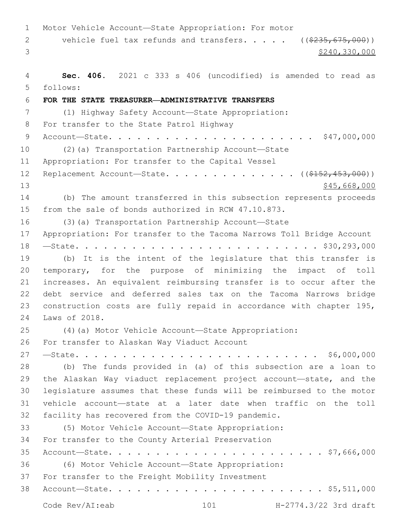Motor Vehicle Account—State Appropriation: For motor 2 vehicle fuel tax refunds and transfers. . . . . ((\$235,675,000))  $3<sup>3</sup>$  \$240,330,000 **Sec. 406.** 2021 c 333 s 406 (uncodified) is amended to read as follows: 5 **FOR THE STATE TREASURER—ADMINISTRATIVE TRANSFERS** (1) Highway Safety Account—State Appropriation: 8 For transfer to the State Patrol Highway Account—State. . . . . . . . . . . . . . . . . . . . . . \$47,000,000 (2)(a) Transportation Partnership Account—State 11 Appropriation: For transfer to the Capital Vessel 12 Replacement Account—State. . . . . . . . . . . . . ((<del>\$152,453,000</del>)) 13 \$45,668,000 (b) The amount transferred in this subsection represents proceeds from the sale of bonds authorized in RCW 47.10.873. (3)(a) Transportation Partnership Account—State Appropriation: For transfer to the Tacoma Narrows Toll Bridge Account —State. . . . . . . . . . . . . . . . . . . . . . . . . . \$30,293,000 (b) It is the intent of the legislature that this transfer is temporary, for the purpose of minimizing the impact of toll increases. An equivalent reimbursing transfer is to occur after the debt service and deferred sales tax on the Tacoma Narrows bridge construction costs are fully repaid in accordance with chapter 195, 24 Laws of 2018. (4)(a) Motor Vehicle Account—State Appropriation: 26 For transfer to Alaskan Way Viaduct Account —State. . . . . . . . . . . . . . . . . . . . . . . . . . \$6,000,000 (b) The funds provided in (a) of this subsection are a loan to the Alaskan Way viaduct replacement project account—state, and the legislature assumes that these funds will be reimbursed to the motor vehicle account—state at a later date when traffic on the toll facility has recovered from the COVID-19 pandemic. (5) Motor Vehicle Account—State Appropriation: 34 For transfer to the County Arterial Preservation Account—State. . . . . . . . . . . . . . . . . . . . . . . \$7,666,000 (6) Motor Vehicle Account—State Appropriation: 37 For transfer to the Freight Mobility Investment Account—State. . . . . . . . . . . . . . . . . . . . . . . \$5,511,000 Code Rev/AI:eab 101 H-2774.3/22 3rd draft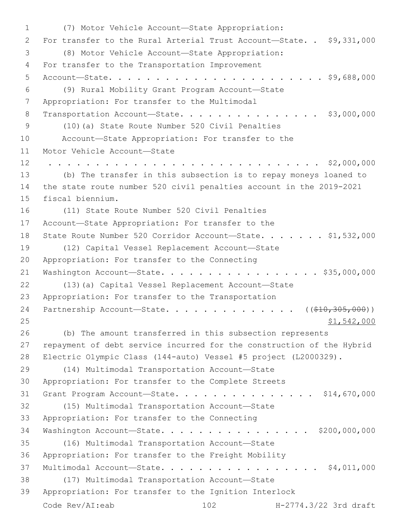(7) Motor Vehicle Account—State Appropriation:1 2 For transfer to the Rural Arterial Trust Account-State. . \$9,331,000 (8) Motor Vehicle Account—State Appropriation:3 4 For transfer to the Transportation Improvement 5 Account—State. . . . . . . . . . . . . . . . . . . . . . . \$9,688,000 (9) Rural Mobility Grant Program Account—State6 7 Appropriation: For transfer to the Multimodal 8 Transportation Account-State. . . . . . . . . . . . . . \$3,000,000 (10)(a) State Route Number 520 Civil Penalties9 10 Account—State Appropriation: For transfer to the 11 Motor Vehicle Account-State 12 . . . . . . . . . . . . . . . . . . . . . . . . . . . . . \$2,000,000 13 (b) The transfer in this subsection is to repay moneys loaned to 14 the state route number 520 civil penalties account in the 2019-2021 15 fiscal biennium. 16 (11) State Route Number 520 Civil Penalties 17 Account—State Appropriation: For transfer to the 18 State Route Number 520 Corridor Account-State. . . . . . \$1,532,000 (12) Capital Vessel Replacement Account—State19 20 Appropriation: For transfer to the Connecting 21 Washington Account-State. . . . . . . . . . . . . . . . \$35,000,000 22 (13)(a) Capital Vessel Replacement Account—State 23 Appropriation: For transfer to the Transportation 24 Partnership Account—State. . . . . . . . . . . . . . ((\$10,305,000)) 25 \$1,542,000 26 (b) The amount transferred in this subsection represents 27 repayment of debt service incurred for the construction of the Hybrid 28 Electric Olympic Class (144-auto) Vessel #5 project (L2000329). (14) Multimodal Transportation Account—State29 30 Appropriation: For transfer to the Complete Streets 31 Grant Program Account—State. . . . . . . . . . . . . . . \$14,670,000 (15) Multimodal Transportation Account—State32 33 Appropriation: For transfer to the Connecting 34 Washington Account—State. . . . . . . . . . . . . . . . \$200,000,000 (16) Multimodal Transportation Account—State35 36 Appropriation: For transfer to the Freight Mobility 37 Multimodal Account—State. . . . . . . . . . . . . . . . . \$4,011,000 (17) Multimodal Transportation Account—State38 39 Appropriation: For transfer to the Ignition Interlock Code Rev/AI:eab 102 H-2774.3/22 3rd draft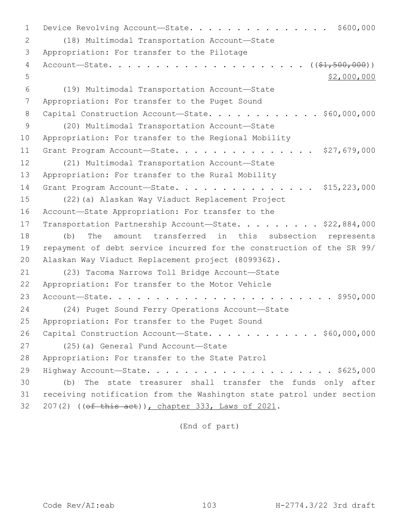1 Device Revolving Account—State. . . . . . . . . . . . . . \$600,000 (18) Multimodal Transportation Account—State2 3 Appropriation: For transfer to the Pilotage 4 Account—State. . . . . . . . . . . . . . . . . . . . . ((\$1,500,000))  $5$  \$2,000,000 (19) Multimodal Transportation Account—State6 7 Appropriation: For transfer to the Puget Sound 8 Capital Construction Account-State. . . . . . . . . . . \$60,000,000 (20) Multimodal Transportation Account—State9 10 Appropriation: For transfer to the Regional Mobility 11 Grant Program Account—State. . . . . . . . . . . . . . . \$27,679,000 12 (21) Multimodal Transportation Account-State 13 Appropriation: For transfer to the Rural Mobility 14 Grant Program Account-State. . . . . . . . . . . . . . . \$15,223,000 15 (22)(a) Alaskan Way Viaduct Replacement Project 16 Account-State Appropriation: For transfer to the 17 Transportation Partnership Account-State. . . . . . . . \$22,884,000 18 (b) The amount transferred in this subsection represents 19 repayment of debt service incurred for the construction of the SR 99/ 20 Alaskan Way Viaduct Replacement project (809936Z). 21 (23) Tacoma Narrows Toll Bridge Account-State 22 Appropriation: For transfer to the Motor Vehicle 23 Account—State. . . . . . . . . . . . . . . . . . . . . . . . \$950,000 24 (24) Puget Sound Ferry Operations Account—State 25 Appropriation: For transfer to the Puget Sound 26 Capital Construction Account-State. . . . . . . . . . . \$60,000,000 27 (25)(a) General Fund Account—State 28 Appropriation: For transfer to the State Patrol 29 Highway Account—State. . . . . . . . . . . . . . . . . . . . \$625,000 30 (b) The state treasurer shall transfer the funds only after 31 receiving notification from the Washington state patrol under section 32 207(2) ((of this act)), chapter 333, Laws of 2021.

(End of part)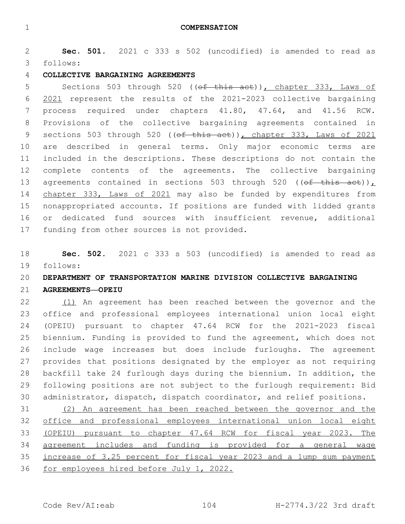**Sec. 501.** 2021 c 333 s 502 (uncodified) is amended to read as follows: 3

### **COLLECTIVE BARGAINING AGREEMENTS**

5 Sections 503 through 520 ((of this act)), chapter 333, Laws of 2021 represent the results of the 2021-2023 collective bargaining process required under chapters 41.80, 47.64, and 41.56 RCW. Provisions of the collective bargaining agreements contained in 9 sections 503 through 520 (( $ef$  this act)), chapter 333, Laws of 2021 are described in general terms. Only major economic terms are included in the descriptions. These descriptions do not contain the complete contents of the agreements. The collective bargaining 13 agreements contained in sections 503 through 520 (( $\theta$ f this act)), 14 chapter 333, Laws of 2021 may also be funded by expenditures from nonappropriated accounts. If positions are funded with lidded grants or dedicated fund sources with insufficient revenue, additional 17 funding from other sources is not provided.

 **Sec. 502.** 2021 c 333 s 503 (uncodified) is amended to read as follows: 19

## **DEPARTMENT OF TRANSPORTATION MARINE DIVISION COLLECTIVE BARGAINING**

### **AGREEMENTS—OPEIU**

 (1) An agreement has been reached between the governor and the office and professional employees international union local eight (OPEIU) pursuant to chapter 47.64 RCW for the 2021-2023 fiscal biennium. Funding is provided to fund the agreement, which does not include wage increases but does include furloughs. The agreement provides that positions designated by the employer as not requiring backfill take 24 furlough days during the biennium. In addition, the following positions are not subject to the furlough requirement: Bid administrator, dispatch, dispatch coordinator, and relief positions.

 (2) An agreement has been reached between the governor and the office and professional employees international union local eight (OPEIU) pursuant to chapter 47.64 RCW for fiscal year 2023. The agreement includes and funding is provided for a general wage increase of 3.25 percent for fiscal year 2023 and a lump sum payment for employees hired before July 1, 2022.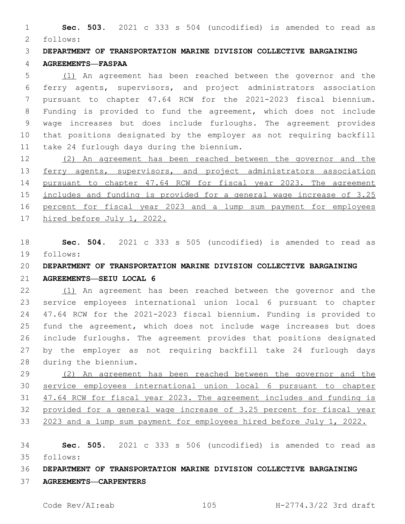**Sec. 503.** 2021 c 333 s 504 (uncodified) is amended to read as follows: 2

 **DEPARTMENT OF TRANSPORTATION MARINE DIVISION COLLECTIVE BARGAINING AGREEMENTS—FASPAA**

 (1) An agreement has been reached between the governor and the ferry agents, supervisors, and project administrators association pursuant to chapter 47.64 RCW for the 2021-2023 fiscal biennium. Funding is provided to fund the agreement, which does not include wage increases but does include furloughs. The agreement provides that positions designated by the employer as not requiring backfill 11 take 24 furlough days during the biennium.

 (2) An agreement has been reached between the governor and the 13 ferry agents, supervisors, and project administrators association pursuant to chapter 47.64 RCW for fiscal year 2023. The agreement includes and funding is provided for a general wage increase of 3.25 percent for fiscal year 2023 and a lump sum payment for employees hired before July 1, 2022.

 **Sec. 504.** 2021 c 333 s 505 (uncodified) is amended to read as 19 follows:

**DEPARTMENT OF TRANSPORTATION MARINE DIVISION COLLECTIVE BARGAINING** 

**AGREEMENTS—SEIU LOCAL 6**

 (1) An agreement has been reached between the governor and the service employees international union local 6 pursuant to chapter 47.64 RCW for the 2021-2023 fiscal biennium. Funding is provided to fund the agreement, which does not include wage increases but does include furloughs. The agreement provides that positions designated by the employer as not requiring backfill take 24 furlough days 28 during the biennium.

 (2) An agreement has been reached between the governor and the service employees international union local 6 pursuant to chapter 47.64 RCW for fiscal year 2023. The agreement includes and funding is provided for a general wage increase of 3.25 percent for fiscal year 33 2023 and a lump sum payment for employees hired before July 1, 2022.

 **Sec. 505.** 2021 c 333 s 506 (uncodified) is amended to read as follows: 35

**DEPARTMENT OF TRANSPORTATION MARINE DIVISION COLLECTIVE BARGAINING** 

**AGREEMENTS—CARPENTERS**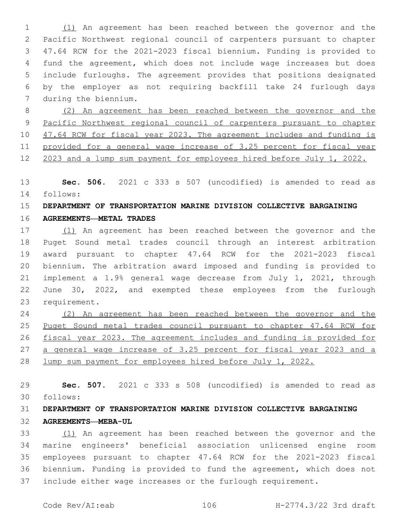(1) An agreement has been reached between the governor and the Pacific Northwest regional council of carpenters pursuant to chapter 47.64 RCW for the 2021-2023 fiscal biennium. Funding is provided to fund the agreement, which does not include wage increases but does include furloughs. The agreement provides that positions designated by the employer as not requiring backfill take 24 furlough days 7 during the biennium.

 (2) An agreement has been reached between the governor and the Pacific Northwest regional council of carpenters pursuant to chapter 10 47.64 RCW for fiscal year 2023. The agreement includes and funding is provided for a general wage increase of 3.25 percent for fiscal year 2023 and a lump sum payment for employees hired before July 1, 2022.

 **Sec. 506.** 2021 c 333 s 507 (uncodified) is amended to read as follows: 14

### **DEPARTMENT OF TRANSPORTATION MARINE DIVISION COLLECTIVE BARGAINING**

**AGREEMENTS—METAL TRADES**

 (1) An agreement has been reached between the governor and the Puget Sound metal trades council through an interest arbitration award pursuant to chapter 47.64 RCW for the 2021-2023 fiscal biennium. The arbitration award imposed and funding is provided to implement a 1.9% general wage decrease from July 1, 2021, through June 30, 2022, and exempted these employees from the furlough 23 requirement.

 (2) An agreement has been reached between the governor and the Puget Sound metal trades council pursuant to chapter 47.64 RCW for fiscal year 2023. The agreement includes and funding is provided for a general wage increase of 3.25 percent for fiscal year 2023 and a lump sum payment for employees hired before July 1, 2022.

 **Sec. 507.** 2021 c 333 s 508 (uncodified) is amended to read as follows: 30

# **DEPARTMENT OF TRANSPORTATION MARINE DIVISION COLLECTIVE BARGAINING AGREEMENTS—MEBA-UL**

 (1) An agreement has been reached between the governor and the marine engineers' beneficial association unlicensed engine room employees pursuant to chapter 47.64 RCW for the 2021-2023 fiscal biennium. Funding is provided to fund the agreement, which does not include either wage increases or the furlough requirement.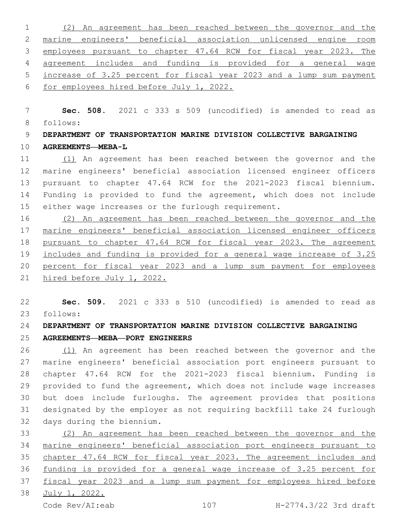(2) An agreement has been reached between the governor and the marine engineers' beneficial association unlicensed engine room 3 employees pursuant to chapter 47.64 RCW for fiscal year 2023. The agreement includes and funding is provided for a general wage increase of 3.25 percent for fiscal year 2023 and a lump sum payment for employees hired before July 1, 2022.

 **Sec. 508.** 2021 c 333 s 509 (uncodified) is amended to read as follows: 8

 **DEPARTMENT OF TRANSPORTATION MARINE DIVISION COLLECTIVE BARGAINING AGREEMENTS—MEBA-L**

 (1) An agreement has been reached between the governor and the marine engineers' beneficial association licensed engineer officers pursuant to chapter 47.64 RCW for the 2021-2023 fiscal biennium. Funding is provided to fund the agreement, which does not include either wage increases or the furlough requirement.

 (2) An agreement has been reached between the governor and the marine engineers' beneficial association licensed engineer officers pursuant to chapter 47.64 RCW for fiscal year 2023. The agreement includes and funding is provided for a general wage increase of 3.25 20 percent for fiscal year 2023 and a lump sum payment for employees hired before July 1, 2022.

 **Sec. 509.** 2021 c 333 s 510 (uncodified) is amended to read as follows: 23

**DEPARTMENT OF TRANSPORTATION MARINE DIVISION COLLECTIVE BARGAINING** 

### **AGREEMENTS—MEBA—PORT ENGINEERS**

 (1) An agreement has been reached between the governor and the marine engineers' beneficial association port engineers pursuant to chapter 47.64 RCW for the 2021-2023 fiscal biennium. Funding is provided to fund the agreement, which does not include wage increases but does include furloughs. The agreement provides that positions designated by the employer as not requiring backfill take 24 furlough 32 days during the biennium.

 (2) An agreement has been reached between the governor and the marine engineers' beneficial association port engineers pursuant to chapter 47.64 RCW for fiscal year 2023. The agreement includes and funding is provided for a general wage increase of 3.25 percent for fiscal year 2023 and a lump sum payment for employees hired before July 1, 2022.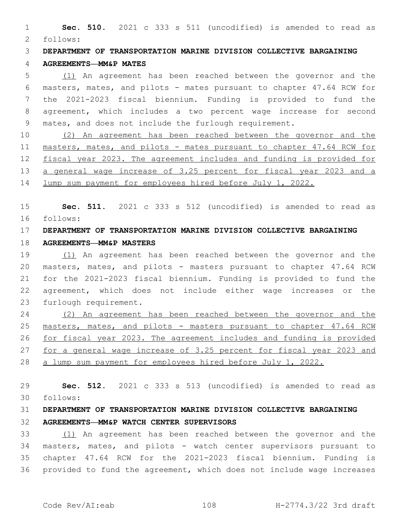**Sec. 510.** 2021 c 333 s 511 (uncodified) is amended to read as follows: 2

**DEPARTMENT OF TRANSPORTATION MARINE DIVISION COLLECTIVE BARGAINING** 

### **AGREEMENTS—MM&P MATES**

 (1) An agreement has been reached between the governor and the masters, mates, and pilots - mates pursuant to chapter 47.64 RCW for the 2021-2023 fiscal biennium. Funding is provided to fund the agreement, which includes a two percent wage increase for second mates, and does not include the furlough requirement.

 (2) An agreement has been reached between the governor and the masters, mates, and pilots - mates pursuant to chapter 47.64 RCW for fiscal year 2023. The agreement includes and funding is provided for 13 a general wage increase of 3.25 percent for fiscal year 2023 and a lump sum payment for employees hired before July 1, 2022.

 **Sec. 511.** 2021 c 333 s 512 (uncodified) is amended to read as follows: 16

# **DEPARTMENT OF TRANSPORTATION MARINE DIVISION COLLECTIVE BARGAINING**

#### **AGREEMENTS—MM&P MASTERS**

 (1) An agreement has been reached between the governor and the masters, mates, and pilots - masters pursuant to chapter 47.64 RCW for the 2021-2023 fiscal biennium. Funding is provided to fund the agreement, which does not include either wage increases or the 23 furlough requirement.

 (2) An agreement has been reached between the governor and the masters, mates, and pilots - masters pursuant to chapter 47.64 RCW for fiscal year 2023. The agreement includes and funding is provided for a general wage increase of 3.25 percent for fiscal year 2023 and a lump sum payment for employees hired before July 1, 2022.

 **Sec. 512.** 2021 c 333 s 513 (uncodified) is amended to read as follows: 30

# **DEPARTMENT OF TRANSPORTATION MARINE DIVISION COLLECTIVE BARGAINING AGREEMENTS—MM&P WATCH CENTER SUPERVISORS**

 (1) An agreement has been reached between the governor and the masters, mates, and pilots - watch center supervisors pursuant to chapter 47.64 RCW for the 2021-2023 fiscal biennium. Funding is provided to fund the agreement, which does not include wage increases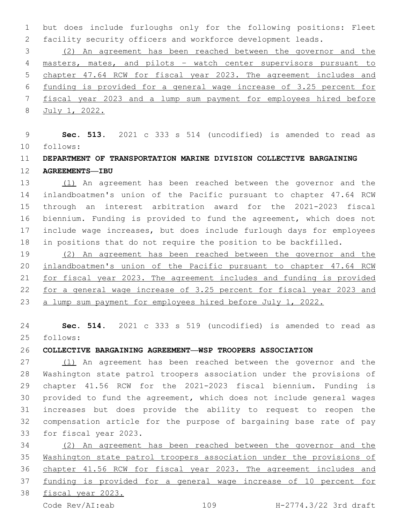but does include furloughs only for the following positions: Fleet facility security officers and workforce development leads.

 (2) An agreement has been reached between the governor and the masters, mates, and pilots – watch center supervisors pursuant to chapter 47.64 RCW for fiscal year 2023. The agreement includes and funding is provided for a general wage increase of 3.25 percent for fiscal year 2023 and a lump sum payment for employees hired before July 1, 2022.

 **Sec. 513.** 2021 c 333 s 514 (uncodified) is amended to read as follows: 10

# **DEPARTMENT OF TRANSPORTATION MARINE DIVISION COLLECTIVE BARGAINING AGREEMENTS—IBU**

 (1) An agreement has been reached between the governor and the inlandboatmen's union of the Pacific pursuant to chapter 47.64 RCW through an interest arbitration award for the 2021-2023 fiscal biennium. Funding is provided to fund the agreement, which does not include wage increases, but does include furlough days for employees in positions that do not require the position to be backfilled.

 (2) An agreement has been reached between the governor and the inlandboatmen's union of the Pacific pursuant to chapter 47.64 RCW for fiscal year 2023. The agreement includes and funding is provided for a general wage increase of 3.25 percent for fiscal year 2023 and a lump sum payment for employees hired before July 1, 2022.

 **Sec. 514.** 2021 c 333 s 519 (uncodified) is amended to read as follows: 25

**COLLECTIVE BARGAINING AGREEMENT—WSP TROOPERS ASSOCIATION**

 (1) An agreement has been reached between the governor and the Washington state patrol troopers association under the provisions of chapter 41.56 RCW for the 2021-2023 fiscal biennium. Funding is provided to fund the agreement, which does not include general wages increases but does provide the ability to request to reopen the compensation article for the purpose of bargaining base rate of pay 33 for fiscal year 2023.

 (2) An agreement has been reached between the governor and the Washington state patrol troopers association under the provisions of chapter 41.56 RCW for fiscal year 2023. The agreement includes and funding is provided for a general wage increase of 10 percent for fiscal year 2023.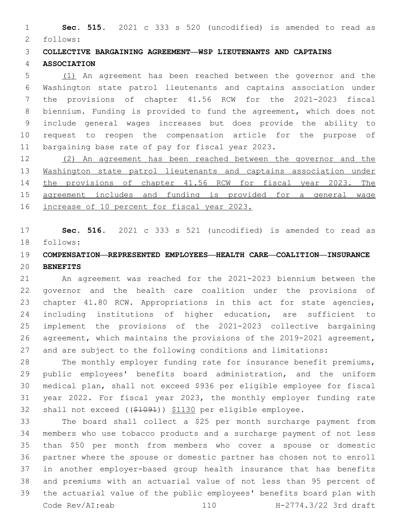**Sec. 515.** 2021 c 333 s 520 (uncodified) is amended to read as 2 follows:

**COLLECTIVE BARGAINING AGREEMENT—WSP LIEUTENANTS AND CAPTAINS** 

#### **ASSOCIATION**

 (1) An agreement has been reached between the governor and the Washington state patrol lieutenants and captains association under the provisions of chapter 41.56 RCW for the 2021-2023 fiscal biennium. Funding is provided to fund the agreement, which does not include general wages increases but does provide the ability to request to reopen the compensation article for the purpose of 11 bargaining base rate of pay for fiscal year 2023.

 (2) An agreement has been reached between the governor and the Washington state patrol lieutenants and captains association under the provisions of chapter 41.56 RCW for fiscal year 2023. The agreement includes and funding is provided for a general wage increase of 10 percent for fiscal year 2023.

 **Sec. 516.** 2021 c 333 s 521 (uncodified) is amended to read as follows: 18

## **COMPENSATION—REPRESENTED EMPLOYEES—HEALTH CARE—COALITION—INSURANCE BENEFITS**

 An agreement was reached for the 2021-2023 biennium between the governor and the health care coalition under the provisions of chapter 41.80 RCW. Appropriations in this act for state agencies, including institutions of higher education, are sufficient to implement the provisions of the 2021-2023 collective bargaining agreement, which maintains the provisions of the 2019-2021 agreement, and are subject to the following conditions and limitations:

 The monthly employer funding rate for insurance benefit premiums, public employees' benefits board administration, and the uniform medical plan, shall not exceed \$936 per eligible employee for fiscal year 2022. For fiscal year 2023, the monthly employer funding rate shall not exceed ((\$1091)) \$1130 per eligible employee.

 The board shall collect a \$25 per month surcharge payment from members who use tobacco products and a surcharge payment of not less than \$50 per month from members who cover a spouse or domestic partner where the spouse or domestic partner has chosen not to enroll in another employer-based group health insurance that has benefits and premiums with an actuarial value of not less than 95 percent of the actuarial value of the public employees' benefits board plan with Code Rev/AI:eab 110 H-2774.3/22 3rd draft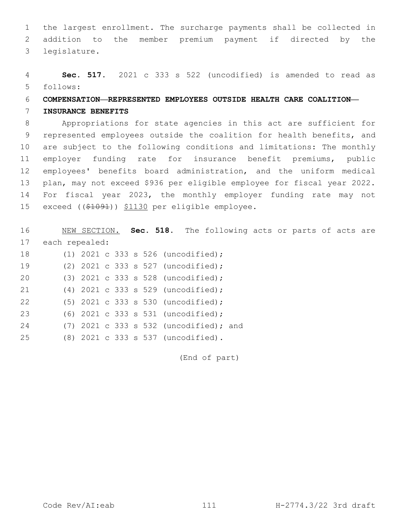1 the largest enrollment. The surcharge payments shall be collected in 2 addition to the member premium payment if directed by the legislature.3

4 **Sec. 517.** 2021 c 333 s 522 (uncodified) is amended to read as follows: 5

## 6 **COMPENSATION—REPRESENTED EMPLOYEES OUTSIDE HEALTH CARE COALITION—**

#### 7 **INSURANCE BENEFITS**

 Appropriations for state agencies in this act are sufficient for represented employees outside the coalition for health benefits, and are subject to the following conditions and limitations: The monthly employer funding rate for insurance benefit premiums, public employees' benefits board administration, and the uniform medical plan, may not exceed \$936 per eligible employee for fiscal year 2022. For fiscal year 2023, the monthly employer funding rate may not 15 exceed ((\$1091)) \$1130 per eligible employee.

16 NEW SECTION. **Sec. 518.** The following acts or parts of acts are 17 each repealed: (1) 2021 c 333 s 526 (uncodified);18

| <b>I</b> O |  |  |  | $(1)$ 2021 C 333 S 320 (UNCOQILIEQ);   |  |
|------------|--|--|--|----------------------------------------|--|
| 19         |  |  |  | (2) $2021$ c 333 s 527 (uncodified);   |  |
| 20         |  |  |  | $(3)$ 2021 c 333 s 528 (uncodified);   |  |
| 21         |  |  |  | $(4)$ 2021 c 333 s 529 (uncodified);   |  |
| 22         |  |  |  | $(5)$ 2021 c 333 s 530 (uncodified);   |  |
| 23         |  |  |  | $(6)$ 2021 c 333 s 531 (uncodified);   |  |
| 24         |  |  |  | (7) 2021 c 333 s 532 (uncodified); and |  |
| 25         |  |  |  | (8) 2021 c 333 s 537 (uncodified).     |  |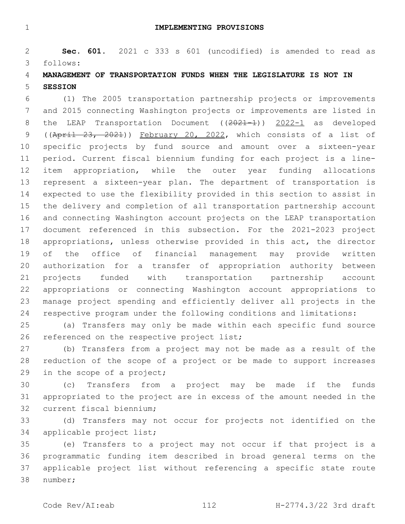**IMPLEMENTING PROVISIONS**

 **Sec. 601.** 2021 c 333 s 601 (uncodified) is amended to read as follows: 3

## **MANAGEMENT OF TRANSPORTATION FUNDS WHEN THE LEGISLATURE IS NOT IN SESSION**

 (1) The 2005 transportation partnership projects or improvements and 2015 connecting Washington projects or improvements are listed in 8 the LEAP Transportation Document ((2021-1)) 2022-1 as developed 9 ((April 23, 2021)) February 20, 2022, which consists of a list of specific projects by fund source and amount over a sixteen-year period. Current fiscal biennium funding for each project is a line- item appropriation, while the outer year funding allocations represent a sixteen-year plan. The department of transportation is expected to use the flexibility provided in this section to assist in the delivery and completion of all transportation partnership account and connecting Washington account projects on the LEAP transportation document referenced in this subsection. For the 2021-2023 project appropriations, unless otherwise provided in this act, the director of the office of financial management may provide written authorization for a transfer of appropriation authority between projects funded with transportation partnership account appropriations or connecting Washington account appropriations to manage project spending and efficiently deliver all projects in the respective program under the following conditions and limitations:

 (a) Transfers may only be made within each specific fund source 26 referenced on the respective project list;

 (b) Transfers from a project may not be made as a result of the reduction of the scope of a project or be made to support increases 29 in the scope of a project;

 (c) Transfers from a project may be made if the funds appropriated to the project are in excess of the amount needed in the 32 current fiscal biennium;

 (d) Transfers may not occur for projects not identified on the 34 applicable project list;

 (e) Transfers to a project may not occur if that project is a programmatic funding item described in broad general terms on the applicable project list without referencing a specific state route 38 number;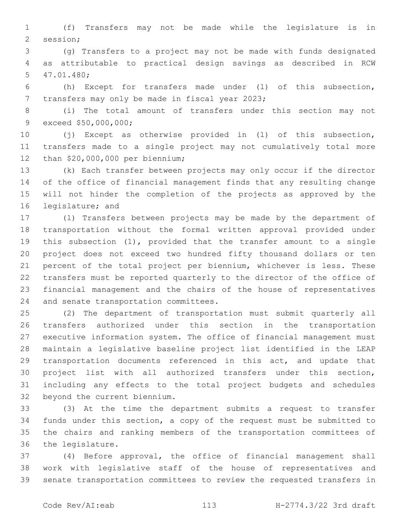(f) Transfers may not be made while the legislature is in 2 session;

 (g) Transfers to a project may not be made with funds designated as attributable to practical design savings as described in RCW 47.01.480;5

 (h) Except for transfers made under (l) of this subsection, 7 transfers may only be made in fiscal year 2023;

 (i) The total amount of transfers under this section may not 9 exceed \$50,000,000;

 (j) Except as otherwise provided in (l) of this subsection, transfers made to a single project may not cumulatively total more 12 than \$20,000,000 per biennium;

 (k) Each transfer between projects may only occur if the director of the office of financial management finds that any resulting change will not hinder the completion of the projects as approved by the 16 legislature; and

 (l) Transfers between projects may be made by the department of transportation without the formal written approval provided under this subsection (1), provided that the transfer amount to a single project does not exceed two hundred fifty thousand dollars or ten percent of the total project per biennium, whichever is less. These transfers must be reported quarterly to the director of the office of financial management and the chairs of the house of representatives 24 and senate transportation committees.

 (2) The department of transportation must submit quarterly all transfers authorized under this section in the transportation executive information system. The office of financial management must maintain a legislative baseline project list identified in the LEAP 29 transportation documents referenced in this act, and update that project list with all authorized transfers under this section, including any effects to the total project budgets and schedules 32 beyond the current biennium.

 (3) At the time the department submits a request to transfer funds under this section, a copy of the request must be submitted to the chairs and ranking members of the transportation committees of 36 the legislature.

 (4) Before approval, the office of financial management shall work with legislative staff of the house of representatives and senate transportation committees to review the requested transfers in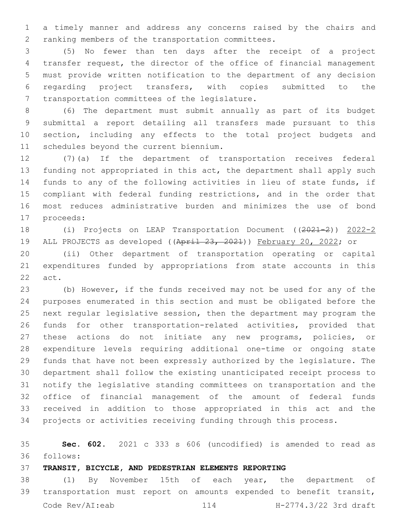a timely manner and address any concerns raised by the chairs and 2 ranking members of the transportation committees.

 (5) No fewer than ten days after the receipt of a project transfer request, the director of the office of financial management must provide written notification to the department of any decision regarding project transfers, with copies submitted to the 7 transportation committees of the legislature.

 (6) The department must submit annually as part of its budget submittal a report detailing all transfers made pursuant to this section, including any effects to the total project budgets and 11 schedules beyond the current biennium.

 (7)(a) If the department of transportation receives federal funding not appropriated in this act, the department shall apply such funds to any of the following activities in lieu of state funds, if compliant with federal funding restrictions, and in the order that most reduces administrative burden and minimizes the use of bond 17 proceeds:

 (i) Projects on LEAP Transportation Document ((2021-2)) 2022-2 19 ALL PROJECTS as developed ((April 23, 2021)) February 20, 2022; or

 (ii) Other department of transportation operating or capital expenditures funded by appropriations from state accounts in this 22 act.

 (b) However, if the funds received may not be used for any of the purposes enumerated in this section and must be obligated before the next regular legislative session, then the department may program the funds for other transportation-related activities, provided that these actions do not initiate any new programs, policies, or expenditure levels requiring additional one-time or ongoing state funds that have not been expressly authorized by the legislature. The department shall follow the existing unanticipated receipt process to notify the legislative standing committees on transportation and the office of financial management of the amount of federal funds received in addition to those appropriated in this act and the projects or activities receiving funding through this process.

 **Sec. 602.** 2021 c 333 s 606 (uncodified) is amended to read as follows: 36

**TRANSIT, BICYCLE, AND PEDESTRIAN ELEMENTS REPORTING**

 (1) By November 15th of each year, the department of transportation must report on amounts expended to benefit transit, Code Rev/AI:eab 114 H-2774.3/22 3rd draft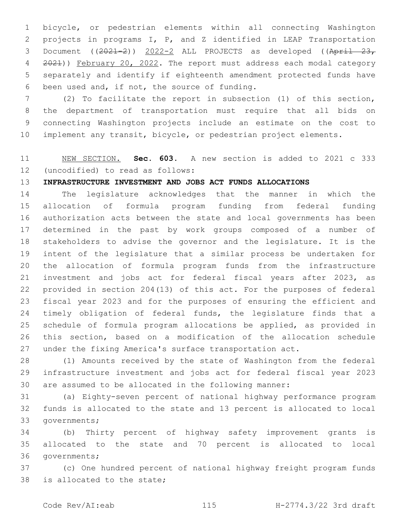bicycle, or pedestrian elements within all connecting Washington projects in programs I, P, and Z identified in LEAP Transportation 3 Document  $((2021-2))$   $2022-2$  ALL PROJECTS as developed  $((April - 23, 23)$ 4 2021)) February 20, 2022. The report must address each modal category separately and identify if eighteenth amendment protected funds have 6 been used and, if not, the source of funding.

 (2) To facilitate the report in subsection (1) of this section, the department of transportation must require that all bids on connecting Washington projects include an estimate on the cost to implement any transit, bicycle, or pedestrian project elements.

# NEW SECTION. **Sec. 603.** A new section is added to 2021 c 333 12 (uncodified) to read as follows:

## **INFRASTRUCTURE INVESTMENT AND JOBS ACT FUNDS ALLOCATIONS**

 The legislature acknowledges that the manner in which the allocation of formula program funding from federal funding authorization acts between the state and local governments has been determined in the past by work groups composed of a number of stakeholders to advise the governor and the legislature. It is the intent of the legislature that a similar process be undertaken for the allocation of formula program funds from the infrastructure investment and jobs act for federal fiscal years after 2023, as provided in section 204(13) of this act. For the purposes of federal fiscal year 2023 and for the purposes of ensuring the efficient and 24 timely obligation of federal funds, the legislature finds that a schedule of formula program allocations be applied, as provided in this section, based on a modification of the allocation schedule under the fixing America's surface transportation act.

 (1) Amounts received by the state of Washington from the federal infrastructure investment and jobs act for federal fiscal year 2023 are assumed to be allocated in the following manner:

 (a) Eighty-seven percent of national highway performance program funds is allocated to the state and 13 percent is allocated to local 33 governments;

 (b) Thirty percent of highway safety improvement grants is allocated to the state and 70 percent is allocated to local 36 governments;

 (c) One hundred percent of national highway freight program funds 38 is allocated to the state;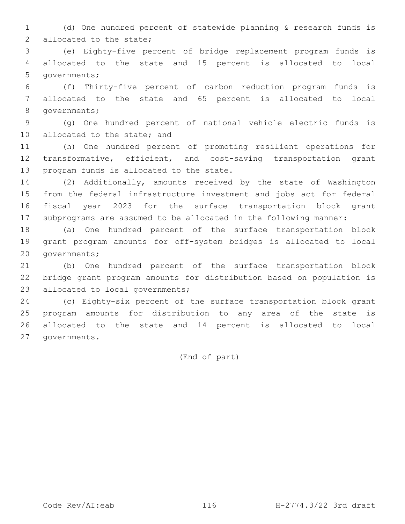(d) One hundred percent of statewide planning & research funds is 2 allocated to the state;

 (e) Eighty-five percent of bridge replacement program funds is allocated to the state and 15 percent is allocated to local 5 governments;

 (f) Thirty-five percent of carbon reduction program funds is allocated to the state and 65 percent is allocated to local 8 qovernments;

 (g) One hundred percent of national vehicle electric funds is 10 allocated to the state; and

 (h) One hundred percent of promoting resilient operations for transformative, efficient, and cost-saving transportation grant 13 program funds is allocated to the state.

 (2) Additionally, amounts received by the state of Washington from the federal infrastructure investment and jobs act for federal fiscal year 2023 for the surface transportation block grant subprograms are assumed to be allocated in the following manner:

 (a) One hundred percent of the surface transportation block grant program amounts for off-system bridges is allocated to local 20 governments;

 (b) One hundred percent of the surface transportation block bridge grant program amounts for distribution based on population is 23 allocated to local governments;

 (c) Eighty-six percent of the surface transportation block grant program amounts for distribution to any area of the state is allocated to the state and 14 percent is allocated to local 27 qovernments.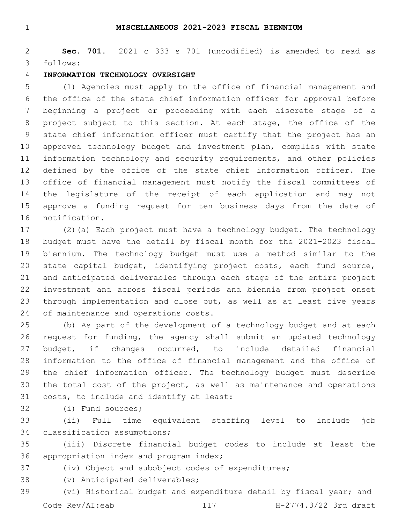#### **MISCELLANEOUS 2021-2023 FISCAL BIENNIUM**

 **Sec. 701.** 2021 c 333 s 701 (uncodified) is amended to read as follows: 3

#### **INFORMATION TECHNOLOGY OVERSIGHT**

 (1) Agencies must apply to the office of financial management and the office of the state chief information officer for approval before beginning a project or proceeding with each discrete stage of a project subject to this section. At each stage, the office of the state chief information officer must certify that the project has an approved technology budget and investment plan, complies with state information technology and security requirements, and other policies defined by the office of the state chief information officer. The office of financial management must notify the fiscal committees of the legislature of the receipt of each application and may not approve a funding request for ten business days from the date of 16 notification.

 (2)(a) Each project must have a technology budget. The technology budget must have the detail by fiscal month for the 2021-2023 fiscal biennium. The technology budget must use a method similar to the state capital budget, identifying project costs, each fund source, and anticipated deliverables through each stage of the entire project investment and across fiscal periods and biennia from project onset 23 through implementation and close out, as well as at least five years 24 of maintenance and operations costs.

 (b) As part of the development of a technology budget and at each request for funding, the agency shall submit an updated technology budget, if changes occurred, to include detailed financial information to the office of financial management and the office of the chief information officer. The technology budget must describe the total cost of the project, as well as maintenance and operations 31 costs, to include and identify at least:

32 (i) Fund sources;

 (ii) Full time equivalent staffing level to include job 34 classification assumptions;

 (iii) Discrete financial budget codes to include at least the 36 appropriation index and program index;

(iv) Object and subobject codes of expenditures;

38 (v) Anticipated deliverables;

 (vi) Historical budget and expenditure detail by fiscal year; and Code Rev/AI:eab 117 H-2774.3/22 3rd draft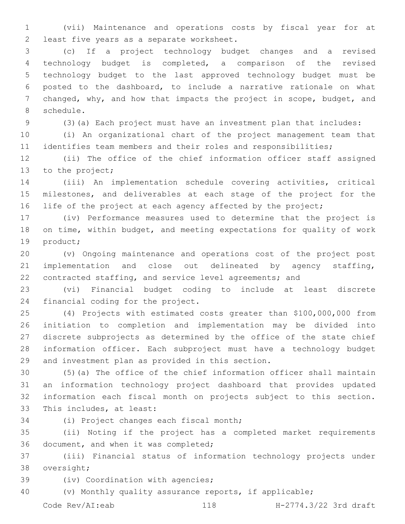(vii) Maintenance and operations costs by fiscal year for at 2 least five years as a separate worksheet.

 (c) If a project technology budget changes and a revised technology budget is completed, a comparison of the revised technology budget to the last approved technology budget must be posted to the dashboard, to include a narrative rationale on what changed, why, and how that impacts the project in scope, budget, and 8 schedule.

(3)(a) Each project must have an investment plan that includes:

 (i) An organizational chart of the project management team that identifies team members and their roles and responsibilities;

 (ii) The office of the chief information officer staff assigned 13 to the project;

 (iii) An implementation schedule covering activities, critical milestones, and deliverables at each stage of the project for the 16 life of the project at each agency affected by the project;

 (iv) Performance measures used to determine that the project is on time, within budget, and meeting expectations for quality of work 19 product;

 (v) Ongoing maintenance and operations cost of the project post implementation and close out delineated by agency staffing, contracted staffing, and service level agreements; and

 (vi) Financial budget coding to include at least discrete 24 financial coding for the project.

 (4) Projects with estimated costs greater than \$100,000,000 from initiation to completion and implementation may be divided into discrete subprojects as determined by the office of the state chief information officer. Each subproject must have a technology budget 29 and investment plan as provided in this section.

 (5)(a) The office of the chief information officer shall maintain an information technology project dashboard that provides updated information each fiscal month on projects subject to this section. 33 This includes, at least:

34 (i) Project changes each fiscal month;

 (ii) Noting if the project has a completed market requirements 36 document, and when it was completed;

 (iii) Financial status of information technology projects under 38 oversight;

39 (iv) Coordination with agencies;

(v) Monthly quality assurance reports, if applicable;

Code Rev/AI:eab 118 H-2774.3/22 3rd draft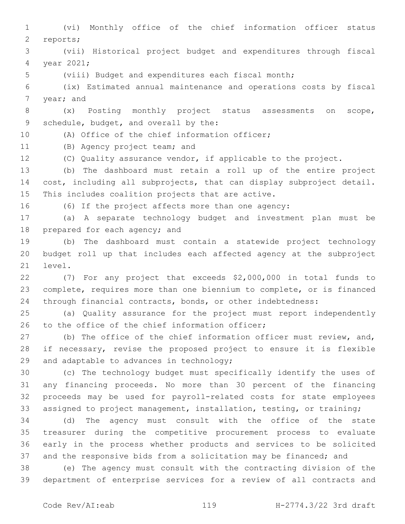(vi) Monthly office of the chief information officer status 2 reports; (vii) Historical project budget and expenditures through fiscal 4 year 2021; (viii) Budget and expenditures each fiscal month; (ix) Estimated annual maintenance and operations costs by fiscal 7 year; and (x) Posting monthly project status assessments on scope, 9 schedule, budget, and overall by the: 10 (A) Office of the chief information officer; 11 (B) Agency project team; and (C) Quality assurance vendor, if applicable to the project. (b) The dashboard must retain a roll up of the entire project cost, including all subprojects, that can display subproject detail. 15 This includes coalition projects that are active. (6) If the project affects more than one agency: (a) A separate technology budget and investment plan must be 18 prepared for each agency; and (b) The dashboard must contain a statewide project technology budget roll up that includes each affected agency at the subproject 21 level. (7) For any project that exceeds \$2,000,000 in total funds to complete, requires more than one biennium to complete, or is financed through financial contracts, bonds, or other indebtedness: (a) Quality assurance for the project must report independently 26 to the office of the chief information officer; 27 (b) The office of the chief information officer must review, and, if necessary, revise the proposed project to ensure it is flexible 29 and adaptable to advances in technology; (c) The technology budget must specifically identify the uses of any financing proceeds. No more than 30 percent of the financing proceeds may be used for payroll-related costs for state employees assigned to project management, installation, testing, or training; (d) The agency must consult with the office of the state treasurer during the competitive procurement process to evaluate early in the process whether products and services to be solicited and the responsive bids from a solicitation may be financed; and (e) The agency must consult with the contracting division of the department of enterprise services for a review of all contracts and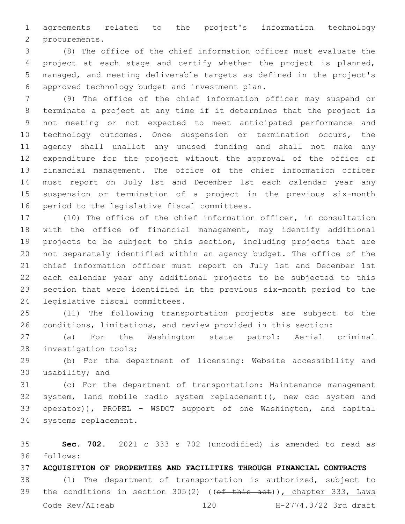agreements related to the project's information technology 2 procurements.

 (8) The office of the chief information officer must evaluate the project at each stage and certify whether the project is planned, managed, and meeting deliverable targets as defined in the project's approved technology budget and investment plan.6

 (9) The office of the chief information officer may suspend or terminate a project at any time if it determines that the project is not meeting or not expected to meet anticipated performance and technology outcomes. Once suspension or termination occurs, the agency shall unallot any unused funding and shall not make any expenditure for the project without the approval of the office of financial management. The office of the chief information officer must report on July 1st and December 1st each calendar year any suspension or termination of a project in the previous six-month 16 period to the legislative fiscal committees.

 (10) The office of the chief information officer, in consultation with the office of financial management, may identify additional projects to be subject to this section, including projects that are not separately identified within an agency budget. The office of the chief information officer must report on July 1st and December 1st each calendar year any additional projects to be subjected to this section that were identified in the previous six-month period to the 24 legislative fiscal committees.

 (11) The following transportation projects are subject to the conditions, limitations, and review provided in this section:

 (a) For the Washington state patrol: Aerial criminal 28 investigation tools;

 (b) For the department of licensing: Website accessibility and 30 usability; and

 (c) For the department of transportation: Maintenance management 32 system, land mobile radio system replacement  $(\tau$  new csc system and 33 operator)), PROPEL - WSDOT support of one Washington, and capital 34 systems replacement.

 **Sec. 702.** 2021 c 333 s 702 (uncodified) is amended to read as follows: 36

**ACQUISITION OF PROPERTIES AND FACILITIES THROUGH FINANCIAL CONTRACTS**

 (1) The department of transportation is authorized, subject to 39 the conditions in section 305(2) ((of this act)), chapter 333, Laws Code Rev/AI:eab 120 H-2774.3/22 3rd draft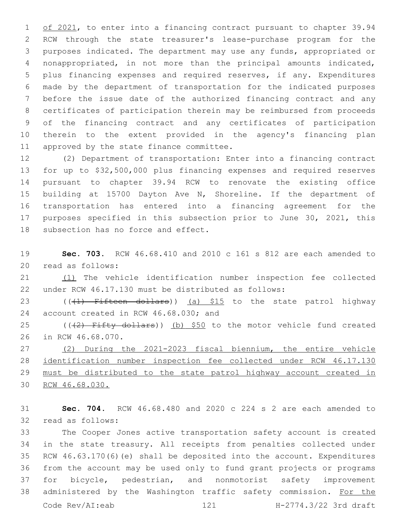1 of 2021, to enter into a financing contract pursuant to chapter 39.94 RCW through the state treasurer's lease-purchase program for the purposes indicated. The department may use any funds, appropriated or nonappropriated, in not more than the principal amounts indicated, plus financing expenses and required reserves, if any. Expenditures made by the department of transportation for the indicated purposes before the issue date of the authorized financing contract and any certificates of participation therein may be reimbursed from proceeds of the financing contract and any certificates of participation therein to the extent provided in the agency's financing plan 11 approved by the state finance committee.

 (2) Department of transportation: Enter into a financing contract for up to \$32,500,000 plus financing expenses and required reserves pursuant to chapter 39.94 RCW to renovate the existing office building at 15700 Dayton Ave N, Shoreline. If the department of transportation has entered into a financing agreement for the purposes specified in this subsection prior to June 30, 2021, this 18 subsection has no force and effect.

 **Sec. 703.** RCW 46.68.410 and 2010 c 161 s 812 are each amended to 20 read as follows:

 (1) The vehicle identification number inspection fee collected under RCW 46.17.130 must be distributed as follows:

23 (((1) Fifteen dollars)) (a) \$15 to the state patrol highway 24 account created in RCW 46.68.030; and

25 ( $(42)$  Fifty dollars)) (b) \$50 to the motor vehicle fund created 26 in RCW 46.68.070.

 (2) During the 2021-2023 fiscal biennium, the entire vehicle identification number inspection fee collected under RCW 46.17.130 must be distributed to the state patrol highway account created in RCW 46.68.030.

 **Sec. 704.** RCW 46.68.480 and 2020 c 224 s 2 are each amended to 32 read as follows:

 The Cooper Jones active transportation safety account is created in the state treasury. All receipts from penalties collected under RCW 46.63.170(6)(e) shall be deposited into the account. Expenditures from the account may be used only to fund grant projects or programs for bicycle, pedestrian, and nonmotorist safety improvement 38 administered by the Washington traffic safety commission. For the Code Rev/AI:eab 121 H-2774.3/22 3rd draft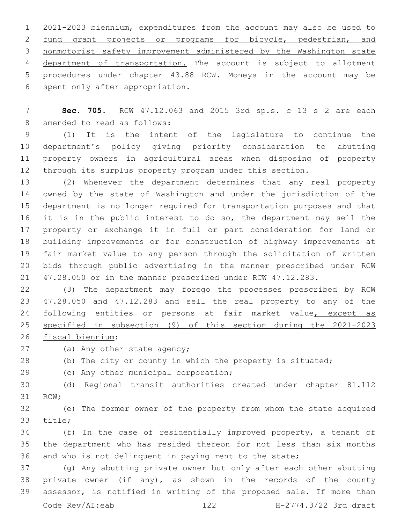2021-2023 biennium, expenditures from the account may also be used to 2 fund grant projects or programs for bicycle, pedestrian, and nonmotorist safety improvement administered by the Washington state department of transportation. The account is subject to allotment procedures under chapter 43.88 RCW. Moneys in the account may be 6 spent only after appropriation.

 **Sec. 705.** RCW 47.12.063 and 2015 3rd sp.s. c 13 s 2 are each 8 amended to read as follows:

 (1) It is the intent of the legislature to continue the department's policy giving priority consideration to abutting property owners in agricultural areas when disposing of property through its surplus property program under this section.

 (2) Whenever the department determines that any real property owned by the state of Washington and under the jurisdiction of the department is no longer required for transportation purposes and that 16 it is in the public interest to do so, the department may sell the property or exchange it in full or part consideration for land or building improvements or for construction of highway improvements at fair market value to any person through the solicitation of written bids through public advertising in the manner prescribed under RCW 47.28.050 or in the manner prescribed under RCW 47.12.283.

 (3) The department may forego the processes prescribed by RCW 47.28.050 and 47.12.283 and sell the real property to any of the 24 following entities or persons at fair market value, except as specified in subsection (9) of this section during the 2021-2023

26 fiscal biennium:

27 (a) Any other state agency;

(b) The city or county in which the property is situated;

29 (c) Any other municipal corporation;

 (d) Regional transit authorities created under chapter 81.112 31 RCW;

 (e) The former owner of the property from whom the state acquired 33 title;

 (f) In the case of residentially improved property, a tenant of the department who has resided thereon for not less than six months and who is not delinquent in paying rent to the state;

 (g) Any abutting private owner but only after each other abutting private owner (if any), as shown in the records of the county assessor, is notified in writing of the proposed sale. If more than Code Rev/AI:eab 122 H-2774.3/22 3rd draft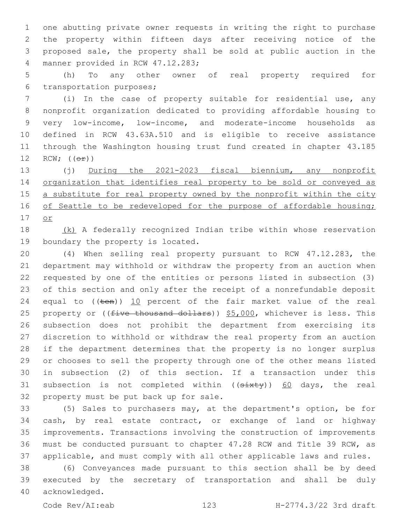one abutting private owner requests in writing the right to purchase the property within fifteen days after receiving notice of the proposed sale, the property shall be sold at public auction in the 4 manner provided in RCW 47.12.283;

 (h) To any other owner of real property required for 6 transportation purposes;

 (i) In the case of property suitable for residential use, any nonprofit organization dedicated to providing affordable housing to very low-income, low-income, and moderate-income households as defined in RCW 43.63A.510 and is eligible to receive assistance through the Washington housing trust fund created in chapter 43.185 12 RCW;  $((\theta \pm))$ 

 (j) During the 2021-2023 fiscal biennium, any nonprofit 14 organization that identifies real property to be sold or conveyed as 15 a substitute for real property owned by the nonprofit within the city 16 of Seattle to be redeveloped for the purpose of affordable housing; or

 (k) A federally recognized Indian tribe within whose reservation 19 boundary the property is located.

 (4) When selling real property pursuant to RCW 47.12.283, the department may withhold or withdraw the property from an auction when requested by one of the entities or persons listed in subsection (3) of this section and only after the receipt of a nonrefundable deposit 24 equal to  $((\text{ten}))$  10 percent of the fair market value of the real 25 property or ((five thousand dollars)) \$5,000, whichever is less. This subsection does not prohibit the department from exercising its discretion to withhold or withdraw the real property from an auction if the department determines that the property is no longer surplus or chooses to sell the property through one of the other means listed in subsection (2) of this section. If a transaction under this 31 subsection is not completed within ((sixty)) 60 days, the real 32 property must be put back up for sale.

 (5) Sales to purchasers may, at the department's option, be for cash, by real estate contract, or exchange of land or highway improvements. Transactions involving the construction of improvements must be conducted pursuant to chapter 47.28 RCW and Title 39 RCW, as applicable, and must comply with all other applicable laws and rules.

 (6) Conveyances made pursuant to this section shall be by deed executed by the secretary of transportation and shall be duly 40 acknowledged.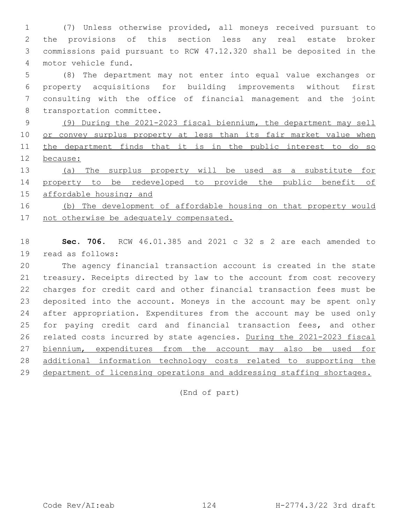(7) Unless otherwise provided, all moneys received pursuant to the provisions of this section less any real estate broker commissions paid pursuant to RCW 47.12.320 shall be deposited in the 4 motor vehicle fund.

 (8) The department may not enter into equal value exchanges or property acquisitions for building improvements without first consulting with the office of financial management and the joint 8 transportation committee.

 (9) During the 2021-2023 fiscal biennium, the department may sell 10 or convey surplus property at less than its fair market value when the department finds that it is in the public interest to do so because:

 (a) The surplus property will be used as a substitute for property to be redeveloped to provide the public benefit of affordable housing; and

 (b) The development of affordable housing on that property would 17 not otherwise be adequately compensated.

 **Sec. 706.** RCW 46.01.385 and 2021 c 32 s 2 are each amended to 19 read as follows:

 The agency financial transaction account is created in the state treasury. Receipts directed by law to the account from cost recovery charges for credit card and other financial transaction fees must be deposited into the account. Moneys in the account may be spent only after appropriation. Expenditures from the account may be used only for paying credit card and financial transaction fees, and other related costs incurred by state agencies. During the 2021-2023 fiscal 27 biennium, expenditures from the account may also be used for additional information technology costs related to supporting the 29 department of licensing operations and addressing staffing shortages.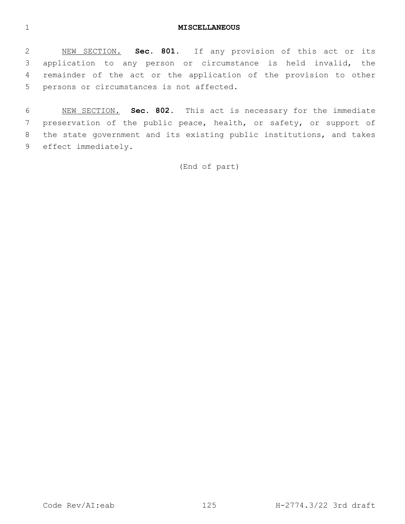#### **MISCELLANEOUS**

 NEW SECTION. **Sec. 801.** If any provision of this act or its application to any person or circumstance is held invalid, the remainder of the act or the application of the provision to other persons or circumstances is not affected.

 NEW SECTION. **Sec. 802.** This act is necessary for the immediate preservation of the public peace, health, or safety, or support of the state government and its existing public institutions, and takes effect immediately.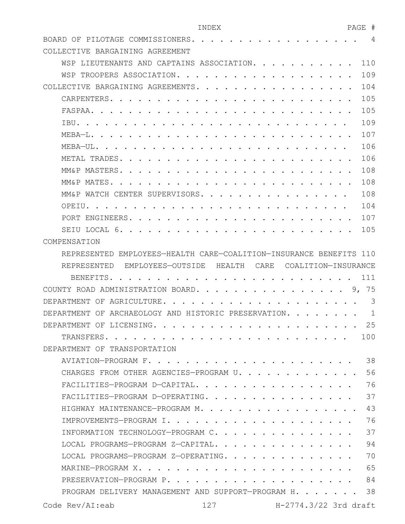# INDEX PAGE # BOARD OF PILOTAGE COMMISSIONERS. . . . . . . . . . . . . . . . . . 4

| COLLECTIVE BARGAINING AGREEMENT                                     |       |  |  |  |  |  |  |  |
|---------------------------------------------------------------------|-------|--|--|--|--|--|--|--|
| WSP LIEUTENANTS AND CAPTAINS ASSOCIATION.                           | 110   |  |  |  |  |  |  |  |
| WSP TROOPERS ASSOCIATION. .                                         | 109   |  |  |  |  |  |  |  |
| COLLECTIVE BARGAINING AGREEMENTS.                                   | 104   |  |  |  |  |  |  |  |
| CARPENTERS                                                          | 105   |  |  |  |  |  |  |  |
| FASPAA.                                                             | 105   |  |  |  |  |  |  |  |
| IBU.                                                                | 109   |  |  |  |  |  |  |  |
| $MERA-I.$                                                           | 107   |  |  |  |  |  |  |  |
| $MFBA–UL.$ .                                                        | 106   |  |  |  |  |  |  |  |
| METAL TRADES.                                                       | 106   |  |  |  |  |  |  |  |
| MM&P MASTERS.                                                       | 108   |  |  |  |  |  |  |  |
| MM&P MATES                                                          | 108   |  |  |  |  |  |  |  |
| MM&P WATCH CENTER SUPERVISORS.                                      | 108   |  |  |  |  |  |  |  |
| OPETU.                                                              | 104   |  |  |  |  |  |  |  |
| PORT ENGINEERS.                                                     | 107   |  |  |  |  |  |  |  |
| SEIU LOCAL 6.                                                       | 105   |  |  |  |  |  |  |  |
| COMPENSATION                                                        |       |  |  |  |  |  |  |  |
| REPRESENTED EMPLOYEES-HEALTH CARE-COALITION-INSURANCE BENEFITS 110  |       |  |  |  |  |  |  |  |
| REPRESENTED EMPLOYEES-OUTSIDE HEALTH<br>CARE<br>COALITION-INSURANCE |       |  |  |  |  |  |  |  |
|                                                                     |       |  |  |  |  |  |  |  |
| BENEFITS.                                                           | 111   |  |  |  |  |  |  |  |
| COUNTY ROAD ADMINISTRATION BOARD                                    | 9, 75 |  |  |  |  |  |  |  |
| DEPARTMENT OF AGRICULTURE.                                          | 3     |  |  |  |  |  |  |  |
| DEPARTMENT OF ARCHAEOLOGY AND HISTORIC PRESERVATION.                | 1     |  |  |  |  |  |  |  |
| DEPARTMENT OF LICENSING.                                            | 25    |  |  |  |  |  |  |  |
| TRANSFERS.                                                          | 100   |  |  |  |  |  |  |  |
| DEPARTMENT OF TRANSPORTATION                                        |       |  |  |  |  |  |  |  |
|                                                                     | 38    |  |  |  |  |  |  |  |
| CHARGES FROM OTHER AGENCIES-PROGRAM U.                              | 56    |  |  |  |  |  |  |  |
| FACILITIES-PROGRAM D-CAPITAL.                                       | 76    |  |  |  |  |  |  |  |
| FACILITIES-PROGRAM D-OPERATING.                                     | 37    |  |  |  |  |  |  |  |
| HIGHWAY MAINTENANCE-PROGRAM M.                                      | 43    |  |  |  |  |  |  |  |
|                                                                     | 76    |  |  |  |  |  |  |  |
| INFORMATION TECHNOLOGY-PROGRAM C.                                   | 37    |  |  |  |  |  |  |  |
| LOCAL PROGRAMS-PROGRAM Z-CAPITAL.                                   | 94    |  |  |  |  |  |  |  |
| LOCAL PROGRAMS-PROGRAM Z-OPERATING.                                 | 70    |  |  |  |  |  |  |  |
|                                                                     | 65    |  |  |  |  |  |  |  |

PROGRAM DELIVERY MANAGEMENT AND SUPPORT-PROGRAM H. . . . . . 38